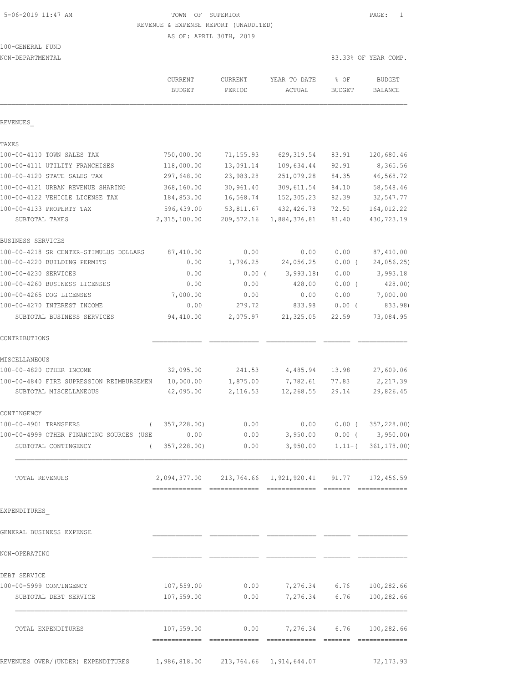# 5-06-2019 11:47 AM TOWN OF SUPERIOR PAGE: 1 REVENUE & EXPENSE REPORT (UNAUDITED)

|  | 100-GENERAL FUND |  |
|--|------------------|--|
|  |                  |  |

| NON-DEPARTMENTAL                         |                                 |                   |                                                           |                       | 83.33% OF YEAR COMP.             |  |
|------------------------------------------|---------------------------------|-------------------|-----------------------------------------------------------|-----------------------|----------------------------------|--|
|                                          | <b>CURRENT</b><br><b>BUDGET</b> | CURRENT<br>PERIOD | YEAR TO DATE<br>ACTUAL                                    | % OF<br><b>BUDGET</b> | <b>BUDGET</b><br>BALANCE         |  |
| REVENUES                                 |                                 |                   |                                                           |                       |                                  |  |
| TAXES                                    |                                 |                   |                                                           |                       |                                  |  |
| 100-00-4110 TOWN SALES TAX               | 750,000.00                      | 71,155.93         | 629, 319.54                                               | 83.91                 | 120,680.46                       |  |
| 100-00-4111 UTILITY FRANCHISES           | 118,000.00                      | 13,091.14         | 109,634.44                                                | 92.91                 | 8,365.56                         |  |
| 100-00-4120 STATE SALES TAX              | 297,648.00                      | 23,983.28         | 251,079.28                                                | 84.35                 | 46,568.72                        |  |
| 100-00-4121 URBAN REVENUE SHARING        | 368,160.00                      | 30,961.40         | 309,611.54                                                | 84.10                 | 58,548.46                        |  |
| 100-00-4122 VEHICLE LICENSE TAX          | 184,853.00                      | 16,568.74         | 152,305.23                                                | 82.39                 | 32,547.77                        |  |
| 100-00-4133 PROPERTY TAX                 | 596,439.00                      | 53,811.67         | 432, 426.78                                               | 72.50                 | 164,012.22                       |  |
| SUBTOTAL TAXES                           | 2,315,100.00                    | 209,572.16        | 1,884,376.81                                              | 81.40                 | 430,723.19                       |  |
| BUSINESS SERVICES                        |                                 |                   |                                                           |                       |                                  |  |
| 100-00-4218 SR CENTER-STIMULUS DOLLARS   | 87,410.00                       | 0.00              | 0.00                                                      | 0.00                  | 87,410.00                        |  |
| 100-00-4220 BUILDING PERMITS             | 0.00                            | 1,796.25          | 24,056.25                                                 | $0.00$ (              | 24,056.25)                       |  |
| 100-00-4230 SERVICES                     | 0.00                            | $0.00$ (          | 3,993.18                                                  | 0.00                  | 3,993.18                         |  |
| 100-00-4260 BUSINESS LICENSES            | 0.00                            | 0.00              | 428.00                                                    | 0.00(                 | 428.00)                          |  |
| 100-00-4265 DOG LICENSES                 | 7,000.00                        | 0.00              | 0.00                                                      | 0.00                  | 7,000.00                         |  |
| 100-00-4270 INTEREST INCOME              | 0.00                            | 279.72            | 833.98                                                    | $0.00$ (              | 833.98)                          |  |
| SUBTOTAL BUSINESS SERVICES               | 94,410.00                       | 2,075.97          | 21,325.05                                                 | 22.59                 | 73,084.95                        |  |
| CONTRIBUTIONS                            |                                 |                   |                                                           |                       |                                  |  |
| MISCELLANEOUS                            |                                 |                   |                                                           |                       |                                  |  |
| 100-00-4820 OTHER INCOME                 | 32,095.00                       | 241.53            | 4,485.94                                                  | 13.98                 | 27,609.06                        |  |
| 100-00-4840 FIRE SUPRESSION REIMBURSEMEN | 10,000.00                       | 1,875.00          | 7,782.61                                                  | 77.83                 | 2,217.39                         |  |
| SUBTOTAL MISCELLANEOUS                   | 42,095.00                       | 2,116.53          | 12,268.55                                                 | 29.14                 | 29,826.45                        |  |
| CONTINGENCY                              |                                 |                   |                                                           |                       |                                  |  |
| 100-00-4901 TRANSFERS<br>$\left($        | 357,228.00)                     | 0.00              | 0.00                                                      | $0.00$ (              | 357,228.00)                      |  |
| 100-00-4999 OTHER FINANCING SOURCES (USE | 0.00                            | 0.00              | 3,950.00                                                  | 0.00(                 | 3,950.00                         |  |
| SUBTOTAL CONTINGENCY                     | (357, 228.00)                   | 0.00              |                                                           |                       | $3,950.00$ 1.11-( $361,178.00$ ) |  |
| TOTAL REVENUES                           |                                 |                   | 2,094,377.00  213,764.66  1,921,920.41  91.77  172,456.59 |                       |                                  |  |
| EXPENDITURES                             |                                 |                   |                                                           |                       |                                  |  |
| GENERAL BUSINESS EXPENSE                 |                                 |                   |                                                           |                       |                                  |  |
| NON-OPERATING                            |                                 |                   |                                                           |                       |                                  |  |
| DEBT SERVICE                             |                                 |                   |                                                           |                       |                                  |  |
| 100-00-5999 CONTINGENCY                  | 107,559.00                      |                   | $0.00$ 7,276.34 6.76 100,282.66                           |                       |                                  |  |
| SUBTOTAL DEBT SERVICE                    | 107,559.00                      | 0.00              |                                                           |                       | 7,276.34 6.76 100,282.66         |  |
| TOTAL EXPENDITURES                       |                                 |                   | $107,559.00$ 0.00 7,276.34 6.76 100,282.66                |                       |                                  |  |
|                                          |                                 |                   |                                                           |                       |                                  |  |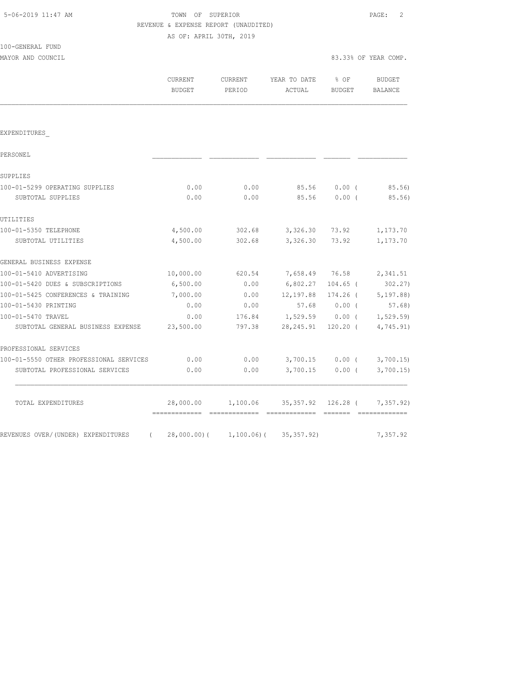# TOWN OF SUPERIOR **11:47 AM TOWN OF SUPERIOR** REVENUE & EXPENSE REPORT (UNAUDITED)

| 100-GENERAL FUND |               |
|------------------|---------------|
|                  | $\frac{1}{2}$ |

| MAYOR AND COUNCIL | 83.33% OF YEAR COMP. |  |  |
|-------------------|----------------------|--|--|

|  |  | 33.33% OF YEAR COMP. |
|--|--|----------------------|

|                                                | <b>CURRENT</b><br><b>BUDGET</b>              | <b>CURRENT</b><br>PERIOD   | YEAR TO DATE<br>ACTUAL      | % OF<br><b>BUDGET</b> | <b>BUDGET</b><br>BALANCE |
|------------------------------------------------|----------------------------------------------|----------------------------|-----------------------------|-----------------------|--------------------------|
| EXPENDITURES                                   |                                              |                            |                             |                       |                          |
|                                                |                                              |                            |                             |                       |                          |
| PERSONEL                                       |                                              |                            |                             |                       |                          |
| SUPPLIES                                       |                                              |                            |                             |                       |                          |
| 100-01-5299 OPERATING SUPPLIES                 | 0.00                                         | 0.00                       | 85.56                       | 0.00(                 | 85.56)                   |
| SUBTOTAL SUPPLIES                              | 0.00                                         | 0.00                       | 85.56                       | 0.00(                 | 85.56)                   |
| UTILITIES                                      |                                              |                            |                             |                       |                          |
| 100-01-5350 TELEPHONE                          | 4,500.00                                     | 302.68                     | 3,326.30                    | 73.92                 | 1,173.70                 |
| SUBTOTAL UTILITIES                             | 4,500.00                                     | 302.68                     | 3,326.30                    | 73.92                 | 1,173.70                 |
| GENERAL BUSINESS EXPENSE                       |                                              |                            |                             |                       |                          |
| 100-01-5410 ADVERTISING                        | 10,000.00                                    | 620.54                     | 7,658.49                    | 76.58                 | 2,341.51                 |
| 100-01-5420 DUES & SUBSCRIPTIONS               | 6,500.00                                     | 0.00                       | 6,802.27                    | $104.65$ (            | 302.27)                  |
| 100-01-5425 CONFERENCES & TRAINING             | 7,000.00                                     | 0.00                       | 12,197.88                   | 174.26 (              | 5, 197.88                |
| 100-01-5430 PRINTING                           | 0.00                                         | 0.00                       | 57.68                       | 0.00(                 | 57.68)                   |
| 100-01-5470 TRAVEL                             | 0.00                                         | 176.84                     | 1,529.59                    | $0.00$ (              | 1, 529.59)               |
| SUBTOTAL GENERAL BUSINESS EXPENSE              | 23,500.00                                    | 797.38                     | 28, 245.91                  | $120.20$ (            | 4,745.91)                |
| PROFESSIONAL SERVICES                          |                                              |                            |                             |                       |                          |
| 100-01-5550 OTHER PROFESSIONAL SERVICES        | 0.00                                         | 0.00                       | 3,700.15                    | $0.00$ (              | 3,700.15                 |
| SUBTOTAL PROFESSIONAL SERVICES                 | 0.00                                         | 0.00                       | 3,700.15                    | $0.00$ (              | 3,700.15                 |
| TOTAL EXPENDITURES                             | 28,000.00<br>=============================== | 1,100.06                   | 35, 357.92<br>------------- | $126.28$ (            | 7,357.92)                |
| REVENUES OVER/(UNDER) EXPENDITURES<br>$\left($ |                                              | $28,000.00)$ ( 1,100.06) ( | 35, 357.92)                 |                       | 7,357.92                 |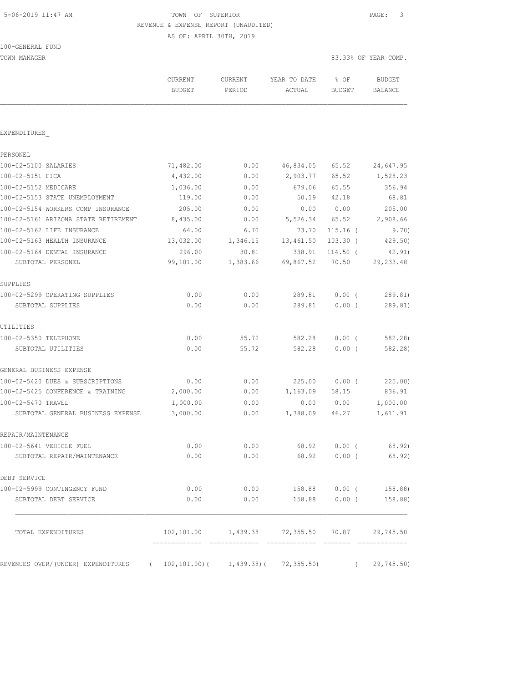# 5-06-2019 11:47 AM TOWN OF SUPERIOR PAGE: 3 REVENUE & EXPENSE REPORT (UNAUDITED)

| 100-GENERAL FUND |  |
|------------------|--|
|------------------|--|

| TOWN MANAGER                         |                          |                          |                                                   |                       | 83.33% OF YEAR COMP.     |
|--------------------------------------|--------------------------|--------------------------|---------------------------------------------------|-----------------------|--------------------------|
|                                      | CURRENT<br><b>BUDGET</b> | <b>CURRENT</b><br>PERIOD | YEAR TO DATE<br>ACTUAL                            | % OF<br><b>BUDGET</b> | BUDGET<br><b>BALANCE</b> |
| EXPENDITURES                         |                          |                          |                                                   |                       |                          |
| PERSONEL                             |                          |                          |                                                   |                       |                          |
| 100-02-5100 SALARIES                 | 71,482.00                | 0.00                     | 46,834.05                                         | 65.52                 | 24,647.95                |
| 100-02-5151 FICA                     | 4,432.00                 | 0.00                     | 2,903.77                                          | 65.52                 | 1,528.23                 |
| 100-02-5152 MEDICARE                 | 1,036.00                 | 0.00                     | 679.06                                            | 65.55                 | 356.94                   |
| 100-02-5153 STATE UNEMPLOYMENT       | 119.00                   | 0.00                     | 50.19                                             | 42.18                 | 68.81                    |
| 100-02-5154 WORKERS COMP INSURANCE   | 205.00                   | 0.00                     | 0.00                                              | 0.00                  | 205.00                   |
| 100-02-5161 ARIZONA STATE RETIREMENT | 8,435.00                 | 0.00                     | 5,526.34 65.52                                    |                       | 2,908.66                 |
| 100-02-5162 LIFE INSURANCE           | 64.00                    | 6.70                     | 73.70                                             | $115.16$ (            | 9.70)                    |
| 100-02-5163 HEALTH INSURANCE         | 13,032.00                | 1,346.15                 | 13,461.50                                         | $103.30$ (            | 429.50)                  |
| 100-02-5164 DENTAL INSURANCE         | 296.00                   | 30.81                    | 338.91                                            | 114.50 (              | 42.91)                   |
| SUBTOTAL PERSONEL                    | 99,101.00                | 1,383.66                 | 69,867.52                                         | 70.50                 | 29, 233.48               |
| SUPPLIES                             |                          |                          |                                                   |                       |                          |
| 100-02-5299 OPERATING SUPPLIES       | 0.00                     | 0.00                     | 289.81                                            | $0.00$ (              | 289.81)                  |
| SUBTOTAL SUPPLIES                    | 0.00                     | 0.00                     | 289.81                                            | $0.00$ (              | 289.81)                  |
| UTILITIES                            |                          |                          |                                                   |                       |                          |
| 100-02-5350 TELEPHONE                | 0.00                     | 55.72                    | 582.28                                            | 0.00(                 | 582.28)                  |
| SUBTOTAL UTILITIES                   | 0.00                     | 55.72                    | 582.28                                            | $0.00$ (              | 582.28)                  |
| GENERAL BUSINESS EXPENSE             |                          |                          |                                                   |                       |                          |
| 100-02-5420 DUES & SUBSCRIPTIONS     | 0.00                     | 0.00                     | 225.00                                            | $0.00$ (              | 225.00)                  |
| 100-02-5425 CONFERENCE & TRAINING    | 2,000.00                 | 0.00                     | 1,163.09                                          | 58.15                 | 836.91                   |
| 100-02-5470 TRAVEL                   | 1,000.00                 | 0.00                     | 0.00                                              | 0.00                  | 1,000.00                 |
| SUBTOTAL GENERAL BUSINESS EXPENSE    | 3,000.00                 | 0.00                     | 1,388.09                                          | 46.27                 | 1,611.91                 |
| REPAIR/MAINTENANCE                   |                          |                          |                                                   |                       |                          |
| 100-02-5641 VEHICLE FUEL             | 0.00                     | 0.00                     | 68.92                                             | 0.00(                 | 68.92)                   |
| SUBTOTAL REPAIR/MAINTENANCE          | 0.00                     | 0.00                     | 68.92                                             | $0.00$ (              | 68.92)                   |
| DEBT SERVICE                         |                          |                          |                                                   |                       |                          |
| 100-02-5999 CONTINGENCY FUND         | 0.00                     | 0.00                     | 158.88                                            | $0.00$ (              | 158.88)                  |
| SUBTOTAL DEBT SERVICE                | 0.00                     | 0.00                     | 158.88                                            | $0.00$ (              | 158.88)                  |
| TOTAL EXPENDITURES                   |                          |                          | 102,101.00  1,439.38  72,355.50  70.87  29,745.50 |                       |                          |
|                                      |                          |                          |                                                   |                       |                          |
| REVENUES OVER/(UNDER) EXPENDITURES   | 102,101.00)(<br>$\left($ | 1,439.38)(               | 72, 355.50                                        | $\left($              | 29,745.50)               |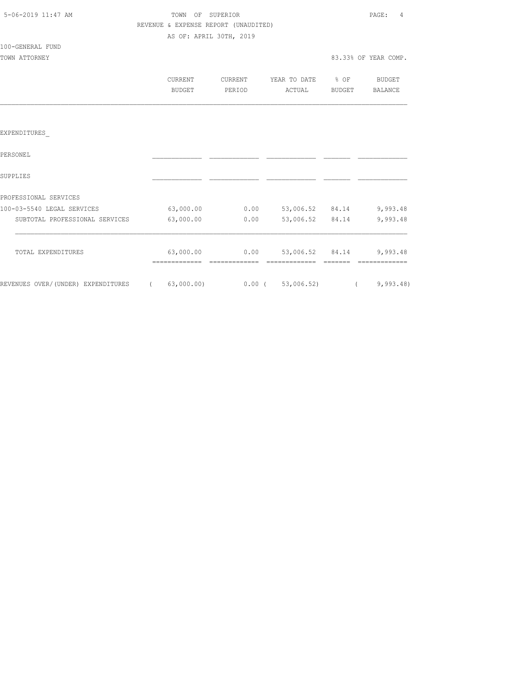| 5-06-2019 11:47 AM |  |
|--------------------|--|

100-GENERAL FUND

## TOWN OF SUPERIOR **11:47 AM TOWN OF SUPERIOR**  REVENUE & EXPENSE REPORT (UNAUDITED) AS OF: APRIL 30TH, 2019

| TOWN ATTORNEY |                   |                   |                        | 83.33% OF YEAR COMP. |                          |  |  |
|---------------|-------------------|-------------------|------------------------|----------------------|--------------------------|--|--|
|               | CURRENT<br>BUDGET | CURRENT<br>PERIOD | YEAR TO DATE<br>ACTUAL | % OF<br>BUDGET       | BUDGET<br><b>BALANCE</b> |  |  |
|               |                   |                   |                        |                      |                          |  |  |
| EXPENDITURES  |                   |                   |                        |                      |                          |  |  |
| PERSONEL      |                   |                   |                        |                      |                          |  |  |

| SUPPLIES                           |            |          |            |       |          |
|------------------------------------|------------|----------|------------|-------|----------|
| PROFESSIONAL SERVICES              |            |          |            |       |          |
| 100-03-5540 LEGAL SERVICES         | 63,000.00  | 0.00     | 53,006.52  | 84.14 | 9,993.48 |
| SUBTOTAL PROFESSIONAL SERVICES     | 63,000.00  | 0.00     | 53,006.52  | 84.14 | 9,993.48 |
| TOTAL EXPENDITURES                 | 63,000.00  | 0.00     | 53,006.52  | 84.14 | 9,993.48 |
| REVENUES OVER/(UNDER) EXPENDITURES | 63,000.00) | $0.00$ ( | 53,006.52) |       | 9,993.48 |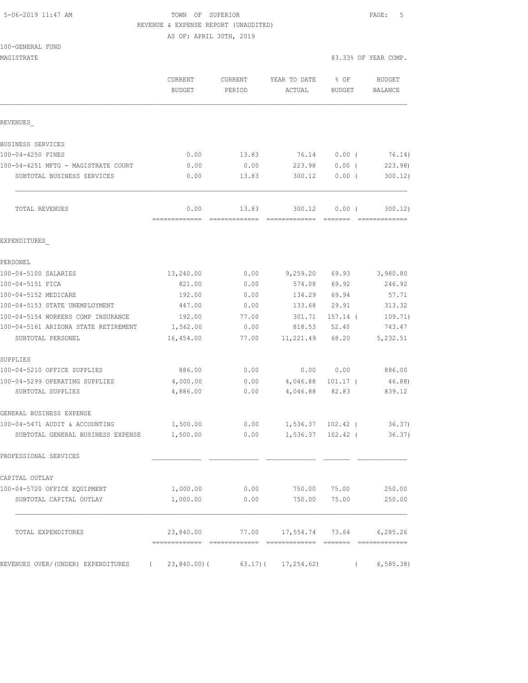## 5-06-2019 11:47 AM TOWN OF SUPERIOR PAGE: 5 REVENUE & EXPENSE REPORT (UNAUDITED)

|  | 100-GENERAL FUND |  |
|--|------------------|--|
|  |                  |  |

| MAGISTRATE                           |                                      |                   |                        |                | 83.33% OF YEAR COMP. |
|--------------------------------------|--------------------------------------|-------------------|------------------------|----------------|----------------------|
|                                      | CURRENT<br>BUDGET                    | CURRENT<br>PERIOD | YEAR TO DATE<br>ACTUAL | % OF<br>BUDGET | BUDGET<br>BALANCE    |
| REVENUES                             |                                      |                   |                        |                |                      |
| BUSINESS SERVICES                    |                                      |                   |                        |                |                      |
| 100-04-4250 FINES                    | 0.00                                 | 13.83             | 76.14                  | $0.00$ (       | 76.14)               |
| 100-04-4251 MFTG - MAGISTRATE COURT  | 0.00                                 | 0.00              | 223.98                 | $0.00$ (       | 223.98               |
| SUBTOTAL BUSINESS SERVICES           | 0.00                                 | 13.83             | 300.12                 | $0.00$ (       | 300.12)              |
| TOTAL REVENUES                       | 0.00<br>-------------- ------------- | 13.83             | 300.12                 | 0.00(          | 300.12)              |
| EXPENDITURES                         |                                      |                   |                        |                |                      |
| PERSONEL                             |                                      |                   |                        |                |                      |
| 100-04-5100 SALARIES                 | 13,240.00                            | 0.00              | 9,259.20 69.93         |                | 3,980.80             |
| 100-04-5151 FICA                     | 821.00                               | 0.00              | 574.08                 | 69.92          | 246.92               |
| 100-04-5152 MEDICARE                 | 192.00                               | 0.00              | 134.29                 | 69.94          | 57.71                |
| 100-04-5153 STATE UNEMPLOYMENT       | 447.00                               | 0.00              | 133.68                 | 29.91          | 313.32               |
| 100-04-5154 WORKERS COMP INSURANCE   | 192.00                               | 77.00             | 301.71                 | $157.14$ (     | 109.71)              |
| 100-04-5161 ARIZONA STATE RETIREMENT | 1,562.00                             | 0.00              | 818.53                 | 52.40          | 743.47               |
| SUBTOTAL PERSONEL                    | 16,454.00                            | 77.00             | 11,221.49              | 68.20          | 5,232.51             |
| SUPPLIES                             |                                      |                   |                        |                |                      |
| 100-04-5210 OFFICE SUPPLIES          | 886.00                               | 0.00              |                        | 0.00 0.00      | 886.00               |
| 100-04-5299 OPERATING SUPPLIES       | 4,000.00                             | 0.00              | 4,046.88 101.17 (      |                | 46.88)               |
| SUBTOTAL SUPPLIES                    | 4,886.00                             | 0.00              | 4,046.88               | 82.83          | 839.12               |
| GENERAL BUSINESS EXPENSE             |                                      |                   |                        |                |                      |
| 100-04-5471 AUDIT & ACCOUNTING       | 1,500.00                             | 0.00              | $1,536.37$ $102.42$ (  |                | 36.37)               |
| SUBTOTAL GENERAL BUSINESS EXPENSE    | 1,500.00                             | 0.00              | 1,536.37               | $102.42$ (     | 36.37)               |
| PROFESSIONAL SERVICES                |                                      |                   |                        |                |                      |
| CAPITAL OUTLAY                       |                                      |                   |                        |                |                      |
| 100-04-5720 OFFICE EQUIPMENT         | 1,000.00                             | 0.00              | 750.00                 | 75.00          | 250.00               |
| SUBTOTAL CAPITAL OUTLAY              | 1,000.00                             | 0.00              | 750.00                 | 75.00          | 250.00               |
| TOTAL EXPENDITURES                   | 23,840.00                            |                   | 77.00 17,554.74 73.64  |                | 6,285.26             |
| REVENUES OVER/(UNDER) EXPENDITURES   | $23,840.00$ ) (<br>$\left($          |                   | $63.17$ ) (17, 254.62) |                | 6, 585.38            |
|                                      |                                      |                   |                        |                |                      |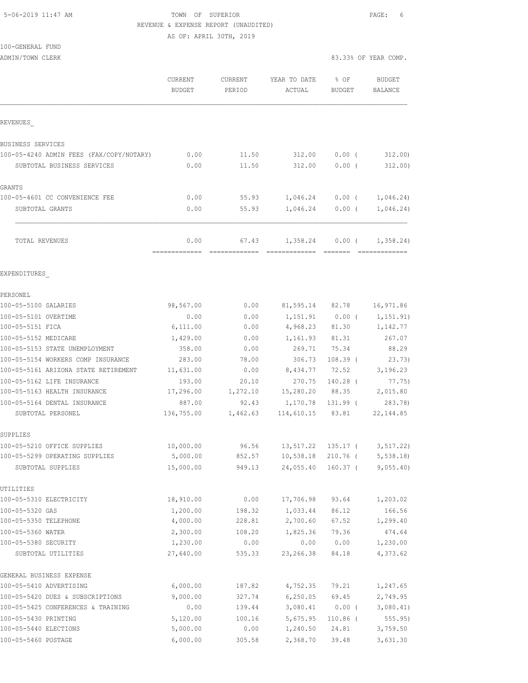### 5-06-2019 11:47 AM TOWN OF SUPERIOR PAGE: 6 REVENUE & EXPENSE REPORT (UNAUDITED) AS OF: APRIL 30TH, 2019

100-GENERAL FUND

|                                          | CURRENT<br><b>BUDGET</b> | CURRENT<br>PERIOD | YEAR TO DATE<br>ACTUAL   | % OF<br><b>BUDGET</b> | <b>BUDGET</b><br>BALANCE |
|------------------------------------------|--------------------------|-------------------|--------------------------|-----------------------|--------------------------|
| REVENUES                                 |                          |                   |                          |                       |                          |
| <b>BUSINESS SERVICES</b>                 |                          |                   |                          |                       |                          |
| 100-05-4240 ADMIN FEES (FAX/COPY/NOTARY) | 0.00                     | 11.50             | 312.00                   | $0.00$ (              | 312.00                   |
| SUBTOTAL BUSINESS SERVICES               | 0.00                     | 11.50             | 312.00                   | 0.00(                 | 312.00)                  |
|                                          |                          |                   |                          |                       |                          |
| <b>GRANTS</b>                            |                          |                   |                          |                       |                          |
| 100-05-4601 CC CONVENIENCE FEE           | 0.00                     | 55.93             |                          | $1,046.24$ 0.00 (     | 1,046.24)                |
| SUBTOTAL GRANTS                          | 0.00                     | 55.93             |                          | $1,046.24$ 0.00 (     | 1,046.24)                |
| TOTAL REVENUES                           | 0.00                     | 67.43             | 1,358.24                 | $0.00$ (              | 1,358.24)                |
|                                          | =============            |                   | Eccessessesse essesse    |                       |                          |
| EXPENDITURES                             |                          |                   |                          |                       |                          |
| PERSONEL                                 |                          |                   |                          |                       |                          |
| 100-05-5100 SALARIES                     | 98,567.00                | 0.00              |                          | 81,595.14 82.78       | 16,971.86                |
| 100-05-5101 OVERTIME                     | 0.00                     | 0.00              | 1,151.91                 | $0.00$ (              | 1,151.91)                |
| 100-05-5151 FICA                         | 6,111.00                 | 0.00              | 4,968.23 81.30           |                       | 1,142.77                 |
| 100-05-5152 MEDICARE                     | 1,429.00                 | 0.00              | 1,161.93                 | 81.31                 | 267.07                   |
| 100-05-5153 STATE UNEMPLOYMENT           | 358.00                   | 0.00              | 269.71                   | 75.34                 | 88.29                    |
| 100-05-5154 WORKERS COMP INSURANCE       | 283.00                   | 78.00             | 306.73                   | $108.39$ (            | 23.73)                   |
| 100-05-5161 ARIZONA STATE RETIREMENT     | 11,631.00                | 0.00              | 8,434.77                 | 72.52                 | 3,196.23                 |
| 100-05-5162 LIFE INSURANCE               | 193.00                   | 20.10             | 270.75                   | $140.28$ (            | 77.75)                   |
| 100-05-5163 HEALTH INSURANCE             | 17,296.00                | 1,272.10          |                          |                       | 15,280.20 88.35 2,015.80 |
| 100-05-5164 DENTAL INSURANCE             | 887.00                   | 92.43             | 1,170.78                 | 131.99 (              | 283.78)                  |
| SUBTOTAL PERSONEL                        | 136,755.00               | 1,462.63          |                          | 114,610.15 83.81      | 22, 144.85               |
| SUPPLIES                                 |                          |                   |                          |                       |                          |
| 100-05-5210 OFFICE SUPPLIES              | 10,000.00                |                   | 96.56 13,517.22 135.17 ( |                       | 3, 517.22)               |
| 100-05-5299 OPERATING SUPPLIES           | 5,000.00                 | 852.57            | 10,538.18 210.76 (       |                       | 5,538.18                 |
| SUBTOTAL SUPPLIES                        | 15,000.00                | 949.13            |                          | 24,055.40 160.37 (    | 9,055.40                 |
| UTILITIES                                |                          |                   |                          |                       |                          |
| 100-05-5310 ELECTRICITY                  | 18,910.00                | 0.00              | 17,706.98                | 93.64                 | 1,203.02                 |
| 100-05-5320 GAS                          | 1,200.00                 | 198.32            | 1,033.44                 | 86.12                 | 166.56                   |
| 100-05-5350 TELEPHONE                    | 4,000.00                 | 228.81            | 2,700.60                 | 67.52                 | 1,299.40                 |
| 100-05-5360 WATER                        | 2,300.00                 | 108.20            | 1,825.36                 | 79.36                 | 474.64                   |
| 100-05-5380 SECURITY                     | 1,230.00                 | 0.00              | 0.00                     | 0.00                  | 1,230.00                 |
| SUBTOTAL UTILITIES                       | 27,640.00                | 535.33            | 23, 266.38               | 84.18                 | 4,373.62                 |
| GENERAL BUSINESS EXPENSE                 |                          |                   |                          |                       |                          |
| 100-05-5410 ADVERTISING                  | 6,000.00                 | 187.82            | 4,752.35                 | 79.21                 | 1,247.65                 |
| 100-05-5420 DUES & SUBSCRIPTIONS         | 9,000.00                 | 327.74            | 6, 250.05                | 69.45                 | 2,749.95                 |
| 100-05-5425 CONFERENCES & TRAINING       | 0.00                     | 139.44            | 3,080.41                 | $0.00$ (              | 3,080.41)                |
| 100-05-5430 PRINTING                     | 5,120.00                 | 100.16            | 5,675.95                 | $110.86$ (            | 555.95)                  |
| 100-05-5440 ELECTIONS                    | 5,000.00                 | 0.00              | 1,240.50                 | 24.81                 | 3,759.50                 |
| 100-05-5460 POSTAGE                      | 6,000.00                 | 305.58            | 2,368.70                 | 39.48                 | 3,631.30                 |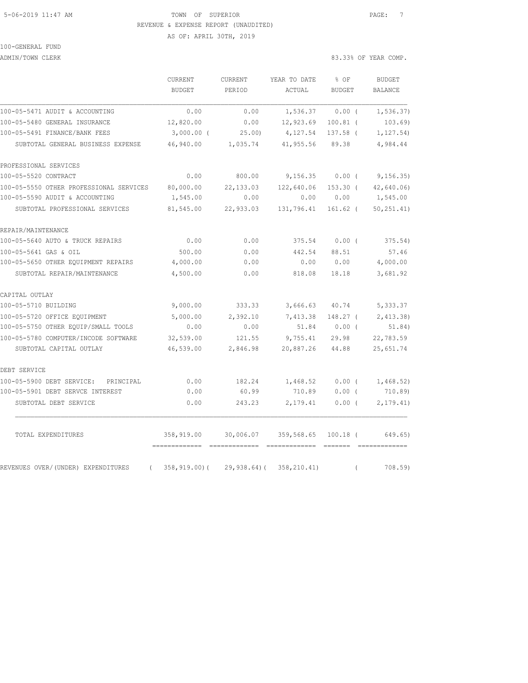## 5-06-2019 11:47 AM TOWN OF SUPERIOR PAGE: 7 REVENUE & EXPENSE REPORT (UNAUDITED)

AS OF: APRIL 30TH, 2019

# 100-GENERAL FUND

ADMIN/TOWN CLERK 83.33% OF YEAR COMP.

|                                                | <b>CURRENT</b><br><b>BUDGET</b> | <b>CURRENT</b><br>PERIOD | YEAR TO DATE<br>ACTUAL | % OF<br><b>BUDGET</b> |          | <b>BUDGET</b><br><b>BALANCE</b> |
|------------------------------------------------|---------------------------------|--------------------------|------------------------|-----------------------|----------|---------------------------------|
|                                                |                                 |                          |                        |                       |          |                                 |
| 100-05-5471 AUDIT & ACCOUNTING                 | 0.00                            | 0.00                     | 1,536.37               | $0.00$ (              |          | 1, 536.37)                      |
| 100-05-5480 GENERAL INSURANCE                  | 12,820.00                       | 0.00                     | 12,923.69              | $100.81$ (            |          | 103.69)                         |
| 100-05-5491 FINANCE/BANK FEES                  | $3,000.00$ (                    | 25.00                    | 4,127.54               | 137.58 (              |          | 1, 127.54)                      |
| SUBTOTAL GENERAL BUSINESS EXPENSE              | 46,940.00                       | 1,035.74                 | 41,955.56              | 89.38                 |          | 4,984.44                        |
| PROFESSIONAL SERVICES                          |                                 |                          |                        |                       |          |                                 |
| 100-05-5520 CONTRACT                           | 0.00                            | 800.00                   | 9,156.35               | $0.00$ (              |          | 9,156.35)                       |
| 100-05-5550 OTHER PROFESSIONAL SERVICES        | 80,000.00                       | 22, 133.03               | 122,640.06             | $153.30$ (            |          | 42,640.06                       |
| 100-05-5590 AUDIT & ACCOUNTING                 | 1,545.00                        | 0.00                     | 0.00                   | 0.00                  |          | 1,545.00                        |
| SUBTOTAL PROFESSIONAL SERVICES                 | 81,545.00                       | 22,933.03                | 131,796.41             | $161.62$ (            |          | 50, 251.41)                     |
| REPAIR/MAINTENANCE                             |                                 |                          |                        |                       |          |                                 |
| 100-05-5640 AUTO & TRUCK REPAIRS               | 0.00                            | 0.00                     | 375.54                 | $0.00$ (              |          | 375.54)                         |
| 100-05-5641 GAS & OIL                          | 500.00                          | 0.00                     | 442.54                 | 88.51                 |          | 57.46                           |
| 100-05-5650 OTHER EQUIPMENT REPAIRS            | 4,000.00                        | 0.00                     | 0.00                   | 0.00                  |          | 4,000.00                        |
| SUBTOTAL REPAIR/MAINTENANCE                    | 4,500.00                        | 0.00                     | 818.08                 | 18.18                 |          | 3,681.92                        |
| CAPITAL OUTLAY                                 |                                 |                          |                        |                       |          |                                 |
| 100-05-5710 BUILDING                           | 9,000.00                        | 333.33                   | 3,666.63               | 40.74                 |          | 5,333.37                        |
| 100-05-5720 OFFICE EQUIPMENT                   | 5,000.00                        | 2,392.10                 | 7,413.38               | 148.27 (              |          | 2,413.38                        |
| 100-05-5750 OTHER EQUIP/SMALL TOOLS            | 0.00                            | 0.00                     | 51.84                  | $0.00$ (              |          | 51.84)                          |
| 100-05-5780 COMPUTER/INCODE SOFTWARE           | 32,539.00                       | 121.55                   | 9,755.41               | 29.98                 |          | 22,783.59                       |
| SUBTOTAL CAPITAL OUTLAY                        | 46,539.00                       | 2,846.98                 | 20,887.26              | 44.88                 |          | 25,651.74                       |
| DEBT SERVICE                                   |                                 |                          |                        |                       |          |                                 |
| 100-05-5900 DEBT SERVICE:<br>PRINCIPAL         | 0.00                            | 182.24                   | 1,468.52               | $0.00$ (              |          | 1,468.52)                       |
| 100-05-5901 DEBT SERVCE INTEREST               | 0.00                            | 60.99                    | 710.89                 | $0.00$ (              |          | 710.89)                         |
| SUBTOTAL DEBT SERVICE                          | 0.00                            | 243.23                   | 2,179.41               | $0.00$ (              |          | 2, 179.41)                      |
| TOTAL EXPENDITURES                             | 358,919.00                      | 30,006.07                | 359,568.65 100.18 (    |                       |          | 649.65)                         |
| REVENUES OVER/(UNDER) EXPENDITURES<br>$\left($ | 358,919.00)(                    | $29,938.64$ ) (          | 358, 210.41)           |                       | $\left($ | 708.59)                         |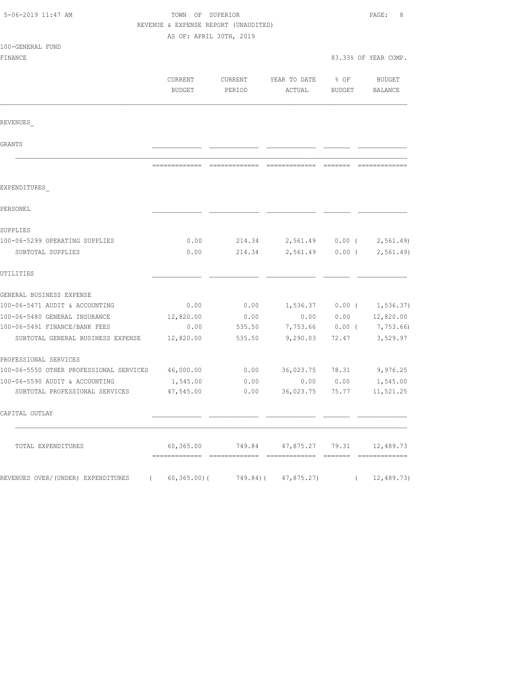| 5-06-2019 11:47 AM                                |                         | TOWN OF SUPERIOR<br>REVENUE & EXPENSE REPORT (UNAUDITED) |                                                      |                       |                             |
|---------------------------------------------------|-------------------------|----------------------------------------------------------|------------------------------------------------------|-----------------------|-----------------------------|
|                                                   | AS OF: APRIL 30TH, 2019 |                                                          |                                                      |                       |                             |
| 100-GENERAL FUND                                  |                         |                                                          |                                                      |                       |                             |
| FINANCE                                           |                         |                                                          |                                                      |                       | 83.33% OF YEAR COMP.        |
|                                                   | CURRENT<br>BUDGET       | CURRENT<br>PERIOD                                        | YEAR TO DATE<br>ACTUAL                               | % OF<br><b>BUDGET</b> | BUDGET<br>BALANCE           |
| REVENUES                                          |                         |                                                          |                                                      |                       |                             |
| GRANTS                                            |                         |                                                          |                                                      |                       |                             |
|                                                   |                         |                                                          |                                                      |                       |                             |
| EXPENDITURES                                      |                         |                                                          |                                                      |                       |                             |
| PERSONEL                                          |                         |                                                          |                                                      |                       |                             |
| SUPPLIES                                          |                         |                                                          |                                                      |                       |                             |
| 100-06-5299 OPERATING SUPPLIES                    | 0.00                    |                                                          | 214.34 2,561.49 0.00 ( 2,561.49)                     |                       |                             |
| SUBTOTAL SUPPLIES                                 | 0.00                    | 214.34                                                   | 2,561.49                                             | $0.00$ (              | 2, 561.49                   |
| UTILITIES                                         |                         |                                                          |                                                      |                       |                             |
| GENERAL BUSINESS EXPENSE                          |                         |                                                          |                                                      |                       |                             |
| 100-06-5471 AUDIT & ACCOUNTING                    | 0.00                    | 0.00                                                     |                                                      |                       | $1,536.37$ 0.00 ( 1,536.37) |
| 100-06-5480 GENERAL INSURANCE                     | 12,820.00               | 0.00                                                     | 0.00                                                 | 0.00                  | 12,820.00                   |
| 100-06-5491 FINANCE/BANK FEES                     | 0.00                    | 535.50                                                   | 7,753.66                                             | $0.00$ (              | 7,753.66)                   |
| SUBTOTAL GENERAL BUSINESS EXPENSE                 | 12,820.00               | 535.50                                                   | 9,290.03                                             | 72.47                 | 3,529.97                    |
| PROFESSIONAL SERVICES                             |                         |                                                          |                                                      |                       |                             |
| 100-06-5550 OTHER PROFESSIONAL SERVICES 46,000.00 |                         | 0.00                                                     | 36,023.75 78.31                                      |                       | 9,976.25                    |
| 100-06-5590 AUDIT & ACCOUNTING                    | 1,545.00                | 0.00                                                     | 0.00                                                 | 0.00                  | 1,545.00                    |
| SUBTOTAL PROFESSIONAL SERVICES                    | 47,545.00               | 0.00                                                     | 36,023.75                                            | 75.77                 | 11,521.25                   |
| CAPITAL OUTLAY                                    |                         |                                                          |                                                      |                       |                             |
| TOTAL EXPENDITURES                                |                         |                                                          | $60,365.00$ $749.84$ $47,875.27$ $79.31$ $12,489.73$ |                       |                             |
| REVENUES OVER/(UNDER) EXPENDITURES                |                         | $60, 365.00$ ( $749.84$ ( $47, 875.27$ )                 |                                                      |                       | 12,489.73)                  |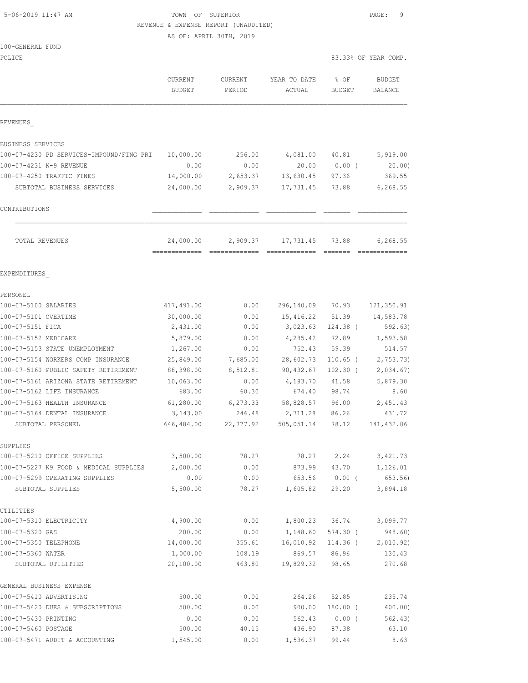5-06-2019 11:47 AM TOWN OF SUPERIOR PAGE: 9 REVENUE & EXPENSE REPORT (UNAUDITED) AS OF: APRIL 30TH, 2019 100-GENERAL FUND POLICE 83.33% OF YEAR COMP. CURRENT CURRENT YEAR TO DATE % OF BUDGET BUDGET PERIOD ACTUAL BUDGET BALANCE REVENUES\_ BUSINESS SERVICES 100-07-4230 PD SERVICES-IMPOUND/FING PRI 10,000.00 256.00 4,081.00 40.81 5,919.00 100-07-4231 K-9 REVENUE 0.00 0.00 20.00 0.00 ( 20.00) 100-07-4250 TRAFFIC FINES 14,000.00 2,653.37 13,630.45 97.36 369.55 SUBTOTAL BUSINESS SERVICES 24,000.00 2,909.37 17,731.45 73.88 6,268.55 CONTRIBUTIONS \_\_\_\_\_\_\_\_\_\_\_\_\_ \_\_\_\_\_\_\_\_\_\_\_\_\_ \_\_\_\_\_\_\_\_\_\_\_\_\_ \_\_\_\_\_\_\_ \_\_\_\_\_\_\_\_\_\_\_\_\_  $\mathcal{L}_\text{max}$  TOTAL REVENUES 24,000.00 2,909.37 17,731.45 73.88 6,268.55 ============= ============= ============= ======= ============= EXPENDITURES\_ PERSONEL 100-07-5100 SALARIES 417,491.00 0.00 296,140.09 70.93 121,350.91 100-07-5101 OVERTIME 30,000.00 0.00 15,416.22 51.39 14,583.78 100-07-5151 FICA 2,431.00 0.00 3,023.63 124.38 ( 592.63) 100-07-5152 MEDICARE 5,879.00 0.00 4,285.42 72.89 1,593.58 100-07-5153 STATE UNEMPLOYMENT 1,267.00 0.00 752.43 59.39 514.57 100-07-5154 WORKERS COMP INSURANCE 25,849.00 7,685.00 28,602.73 110.65 ( 2,753.73) 100-07-5160 PUBLIC SAFETY RETIREMENT 88,398.00 8,512.81 90,432.67 102.30 ( 2,034.67) 100-07-5161 ARIZONA STATE RETIREMENT 10,063.00 0.00 4,183.70 41.58 5,879.30 100-07-5162 LIFE INSURANCE 683.00 60.30 674.40 98.74 8.60 100-07-5163 HEALTH INSURANCE 61,280.00 6,273.33 58,828.57 96.00 2,451.43 100-07-5164 DENTAL INSURANCE 3,143.00 246.48 2,711.28 86.26 431.72 SUBTOTAL PERSONEL 646,484.00 22,777.92 505,051.14 78.12 141,432.86 SUPPLIES 100-07-5210 OFFICE SUPPLIES 3,500.00 78.27 78.27 2.24 3,421.73 100-07-5227 K9 FOOD & MEDICAL SUPPLIES 2,000.00 0.00 873.99 43.70 1,126.01

| 100-07-5227 K9 FOOD & MEDICAL SUPPLIES | 2,000.00  | 0.00   | 873.99    | 43.70      | 1,126.01  |
|----------------------------------------|-----------|--------|-----------|------------|-----------|
| 100-07-5299 OPERATING SUPPLIES         | 0.00      | 0.00   | 653.56    | 0.00(      | 653.56)   |
| SUBTOTAL SUPPLIES                      | 5,500.00  | 78.27  | 1,605.82  | 29.20      | 3,894.18  |
| UTILITIES                              |           |        |           |            |           |
| 100-07-5310 ELECTRICITY                | 4,900.00  | 0.00   | 1,800.23  | 36.74      | 3,099.77  |
| 100-07-5320 GAS                        | 200.00    | 0.00   | 1,148.60  | 574.30 (   | 948.60)   |
| 100-07-5350 TELEPHONE                  | 14,000.00 | 355.61 | 16,010.92 | 114.36 (   | 2,010.92) |
| 100-07-5360 WATER                      | 1,000.00  | 108.19 | 869.57    | 86.96      | 130.43    |
| SUBTOTAL UTILITIES                     | 20,100.00 | 463.80 | 19,829.32 | 98.65      | 270.68    |
| GENERAL BUSINESS EXPENSE               |           |        |           |            |           |
| 100-07-5410 ADVERTISING                | 500.00    | 0.00   | 264.26    | 52.85      | 235.74    |
| 100-07-5420 DUES & SUBSCRIPTIONS       | 500.00    | 0.00   | 900.00    | $180.00$ ( | 400.00)   |
| 100-07-5430 PRINTING                   | 0.00      | 0.00   | 562.43    | 0.00(      | 562.43)   |
| 100-07-5460 POSTAGE                    | 500.00    | 40.15  | 436.90    | 87.38      | 63.10     |
| 100-07-5471 AUDIT & ACCOUNTING         | 1,545.00  | 0.00   | 1,536.37  | 99.44      | 8.63      |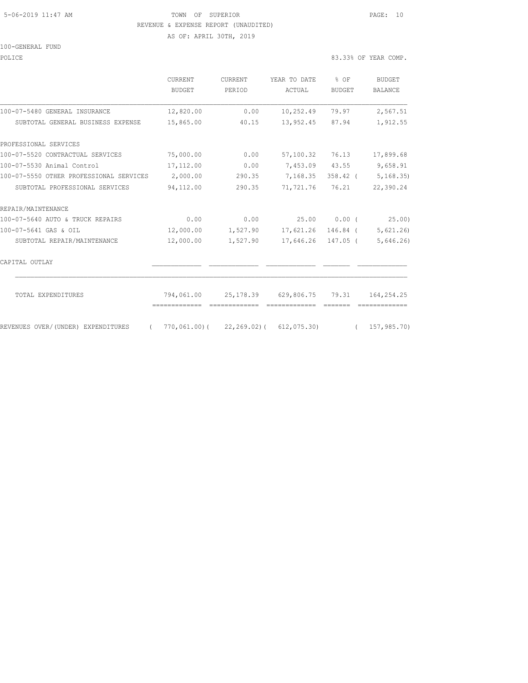#### 5-06-2019 11:47 AM TOWN OF SUPERIOR PAGE: 10 REVENUE & EXPENSE REPORT (UNAUDITED) AS OF: APRIL 30TH, 2019

100-GENERAL FUND

|  |  | 83.33% OF YEAR COMP. |
|--|--|----------------------|

|                                                | CURRENT<br>BUDGET | <b>CURRENT</b><br>PERIOD | YEAR TO DATE<br>ACTUAL                                     | $8$ OF<br>BUDGET | <b>BUDGET</b><br><b>BALANCE</b> |
|------------------------------------------------|-------------------|--------------------------|------------------------------------------------------------|------------------|---------------------------------|
| 100-07-5480 GENERAL INSURANCE                  | 12,820.00         | 0.00                     | 10,252.49                                                  | 79.97            | 2,567.51                        |
| SUBTOTAL GENERAL BUSINESS EXPENSE              | 15,865.00         | 40.15                    | 13,952.45 87.94                                            |                  | 1,912.55                        |
| PROFESSIONAL SERVICES                          |                   |                          |                                                            |                  |                                 |
| 100-07-5520 CONTRACTUAL SERVICES               | 75,000.00         | 0.00                     | 57,100.32                                                  | 76.13            | 17,899.68                       |
| 100-07-5530 Animal Control                     | 17,112.00         | 0.00                     | 7,453.09 43.55                                             |                  | 9,658.91                        |
| 100-07-5550 OTHER PROFESSIONAL SERVICES        | 2,000.00          | 290.35                   | 7,168.35                                                   |                  | 358.42 ( 5,168.35)              |
| SUBTOTAL PROFESSIONAL SERVICES                 | 94,112.00         | 290.35                   | 71,721.76                                                  | 76.21            | 22,390.24                       |
| REPAIR/MAINTENANCE                             |                   |                          |                                                            |                  |                                 |
| 100-07-5640 AUTO & TRUCK REPAIRS               | 0.00              | 0.00                     | 25.00                                                      | 0.00(            | 25.00)                          |
| 100-07-5641 GAS & OIL                          | 12,000.00         |                          | 1,527.90 17,621.26                                         | 146.84 (         | 5,621.26)                       |
| SUBTOTAL REPAIR/MAINTENANCE                    | 12,000.00         | 1,527.90                 | 17,646.26                                                  | 147.05 (         | 5,646.26)                       |
| CAPITAL OUTLAY                                 |                   |                          |                                                            |                  |                                 |
| TOTAL EXPENDITURES                             | 794,061.00        |                          | 25,178.39 629,806.75 79.31                                 |                  | 164,254.25                      |
| REVENUES OVER/(UNDER) EXPENDITURES<br>$\left($ |                   |                          |                                                            |                  |                                 |
|                                                |                   |                          | $770,061.00$ ( $22,269.02$ ( $612,075.30$ ( $157,985.70$ ) |                  |                                 |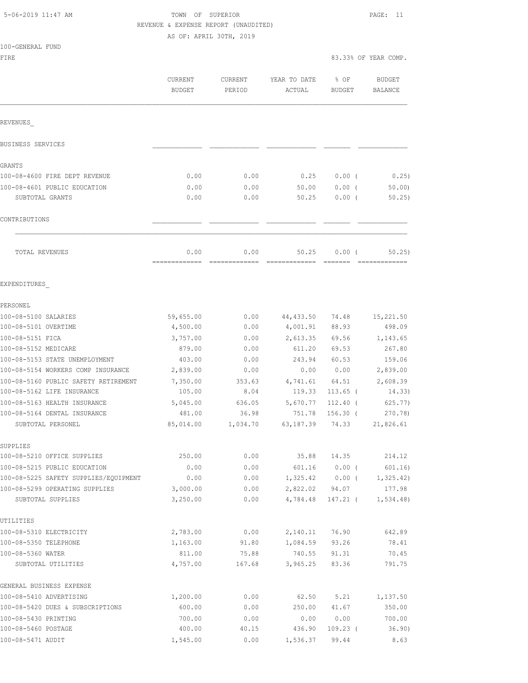# TOWN OF SUPERIOR PAGE: 11 REVENUE & EXPENSE REPORT (UNAUDITED)

AS OF: APRIL 30TH, 2019

| 100-GENERAL FUND |  |
|------------------|--|
| FTRE.            |  |
|                  |  |

|                                                 | CURRENT<br><b>BUDGET</b> | <b>CURRENT</b><br>PERIOD | YEAR TO DATE<br>ACTUAL | % OF<br>BUDGET    | <b>BUDGET</b><br><b>BALANCE</b> |
|-------------------------------------------------|--------------------------|--------------------------|------------------------|-------------------|---------------------------------|
| REVENUES                                        |                          |                          |                        |                   |                                 |
| BUSINESS SERVICES                               |                          |                          |                        |                   |                                 |
| GRANTS                                          |                          |                          |                        |                   |                                 |
| 100-08-4600 FIRE DEPT REVENUE                   | 0.00                     | 0.00                     | 0.25                   | $0.00$ (          | 0.25)                           |
|                                                 | 0.00                     |                          |                        |                   |                                 |
| 100-08-4601 PUBLIC EDUCATION<br>SUBTOTAL GRANTS | 0.00                     | 0.00<br>0.00             | 50.00<br>50.25         | 0.00(<br>$0.00$ ( | 50.00<br>50.25)                 |
| CONTRIBUTIONS                                   |                          |                          |                        |                   |                                 |
| TOTAL REVENUES                                  | 0.00                     | 0.00                     | 50.25                  | 0.00(             | 50.25                           |
| EXPENDITURES                                    |                          |                          |                        |                   |                                 |
| PERSONEL                                        |                          |                          |                        |                   |                                 |
| 100-08-5100 SALARIES                            | 59,655.00                | 0.00                     | 44,433.50              | 74.48             | 15,221.50                       |
| 100-08-5101 OVERTIME                            | 4,500.00                 | 0.00                     | 4,001.91               | 88.93             | 498.09                          |
| 100-08-5151 FICA                                | 3,757.00                 | 0.00                     | 2,613.35               | 69.56             | 1,143.65                        |
| 100-08-5152 MEDICARE                            | 879.00                   | 0.00                     | 611.20                 | 69.53             | 267.80                          |
| 100-08-5153 STATE UNEMPLOYMENT                  | 403.00                   | 0.00                     | 243.94                 | 60.53             | 159.06                          |
| 100-08-5154 WORKERS COMP INSURANCE              | 2,839.00                 | 0.00                     | 0.00                   | 0.00              | 2,839.00                        |
| 100-08-5160 PUBLIC SAFETY RETIREMENT            | 7,350.00                 | 353.63                   | 4,741.61               | 64.51             | 2,608.39                        |
| 100-08-5162 LIFE INSURANCE                      | 105.00                   | 8.04                     | 119.33                 | $113.65$ (        | 14.33)                          |
| 100-08-5163 HEALTH INSURANCE                    | 5,045.00                 | 636.05                   | 5,670.77               | $112.40$ (        | 625.77)                         |
| 100-08-5164 DENTAL INSURANCE                    | 481.00                   | 36.98                    | 751.78                 | $156.30$ (        | 270.78)                         |
| SUBTOTAL PERSONEL                               | 85,014.00                | 1,034.70                 | 63,187.39              | 74.33             | 21,826.61                       |
| SUPPLIES                                        |                          |                          |                        |                   |                                 |
| 100-08-5210 OFFICE SUPPLIES                     | 250.00                   | 0.00                     | 35.88                  | 14.35             | 214.12                          |
| 100-08-5215 PUBLIC EDUCATION                    | 0.00                     | 0.00                     | 601.16                 | $0.00$ (          | 601.16)                         |
| 100-08-5225 SAFETY SUPPLIES/EQUIPMENT           | 0.00                     | 0.00                     | 1,325.42               | $0.00$ (          | 1, 325.42)                      |
| 100-08-5299 OPERATING SUPPLIES                  | 3,000.00                 | 0.00                     | 2,822.02               | 94.07             | 177.98                          |
| SUBTOTAL SUPPLIES                               | 3,250.00                 | 0.00                     | 4,784.48               | 147.21 (          | 1,534.48                        |
| UTILITIES                                       |                          |                          |                        |                   |                                 |
| 100-08-5310 ELECTRICITY                         | 2,783.00                 | 0.00                     | 2,140.11               | 76.90             | 642.89                          |
| 100-08-5350 TELEPHONE                           | 1,163.00                 | 91.80                    | 1,084.59               | 93.26             | 78.41                           |
| 100-08-5360 WATER                               | 811.00                   | 75.88                    | 740.55                 | 91.31             | 70.45                           |
| SUBTOTAL UTILITIES                              | 4,757.00                 | 167.68                   | 3,965.25               | 83.36             | 791.75                          |
| GENERAL BUSINESS EXPENSE                        |                          |                          |                        |                   |                                 |
| 100-08-5410 ADVERTISING                         | 1,200.00                 | 0.00                     | 62.50                  | 5.21              | 1,137.50                        |
| 100-08-5420 DUES & SUBSCRIPTIONS                | 600.00                   | 0.00                     | 250.00                 | 41.67             | 350.00                          |
| 100-08-5430 PRINTING                            | 700.00                   | 0.00                     | 0.00                   | 0.00              | 700.00                          |
| 100-08-5460 POSTAGE                             | 400.00                   | 40.15                    | 436.90                 | $109.23$ (        | 36.90)                          |

100-08-5471 AUDIT 1,545.00 0.00 1,536.37 99.44 8.63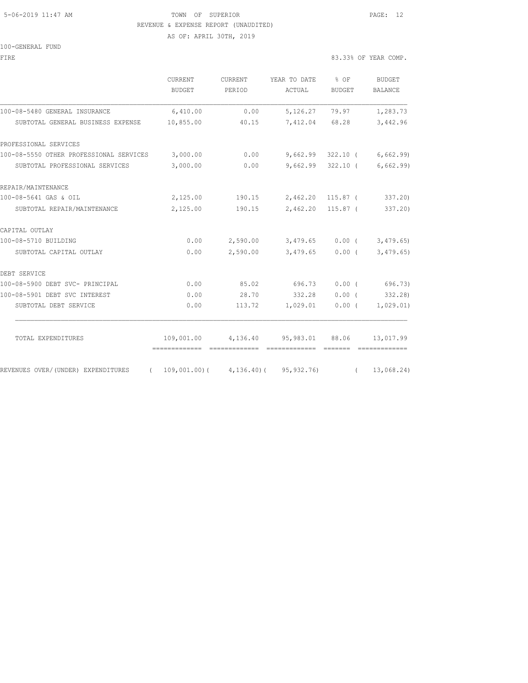## 5-06-2019 11:47 AM **TOWN** OF SUPERIOR **PAGE:** 12 REVENUE & EXPENSE REPORT (UNAUDITED)

AS OF: APRIL 30TH, 2019

100-GENERAL FUND

| FIRE                                                                             |                          |                          |                                                   |                   | 83.33% OF YEAR COMP.            |
|----------------------------------------------------------------------------------|--------------------------|--------------------------|---------------------------------------------------|-------------------|---------------------------------|
|                                                                                  | <b>CURRENT</b><br>BUDGET | <b>CURRENT</b><br>PERIOD | YEAR TO DATE<br>ACTUAL                            | $8$ OF<br>BUDGET  | <b>BUDGET</b><br><b>BALANCE</b> |
| 100-08-5480 GENERAL INSURANCE                                                    | 6,410.00                 | 0.00                     | 5,126.27                                          | 79.97             | 1,283.73                        |
| SUBTOTAL GENERAL BUSINESS EXPENSE                                                | 10,855.00                | 40.15                    |                                                   | 7,412.04 68.28    | 3,442.96                        |
| PROFESSIONAL SERVICES                                                            |                          |                          |                                                   |                   |                                 |
| 100-08-5550 OTHER PROFESSIONAL SERVICES 3,000.00                                 |                          | 0.00                     | 9,662.99                                          |                   | $322.10$ ( 6,662.99)            |
| SUBTOTAL PROFESSIONAL SERVICES                                                   | 3,000.00                 | 0.00                     |                                                   |                   | $9,662.99$ 322.10 ( 6,662.99)   |
| REPAIR/MAINTENANCE                                                               |                          |                          |                                                   |                   |                                 |
| 100-08-5641 GAS & OIL                                                            | 2,125.00                 |                          | 190.15 2,462.20 115.87 (                          |                   | 337.20)                         |
| SUBTOTAL REPAIR/MAINTENANCE                                                      | 2,125.00                 | 190.15                   |                                                   | 2,462.20 115.87 ( | 337.20)                         |
| CAPITAL OUTLAY                                                                   |                          |                          |                                                   |                   |                                 |
| 100-08-5710 BUILDING                                                             | 0.00                     |                          | $2,590.00$ $3,479.65$ $0.00$ ( $3,479.65$ )       |                   |                                 |
| SUBTOTAL CAPITAL OUTLAY                                                          | 0.00                     | 2,590.00                 |                                                   |                   | $3,479.65$ 0.00 ( 3,479.65)     |
| DEBT SERVICE                                                                     |                          |                          |                                                   |                   |                                 |
| 100-08-5900 DEBT SVC- PRINCIPAL                                                  | 0.00                     |                          | 85.02 696.73                                      |                   | $0.00$ ( 696.73)                |
| 100-08-5901 DEBT SVC INTEREST                                                    | 0.00                     | 28.70                    | 332.28                                            | $0.00$ (          | 332.28)                         |
| SUBTOTAL DEBT SERVICE                                                            | 0.00                     | 113.72                   | 1,029.01                                          | $0.00$ (          | 1,029.01)                       |
| TOTAL EXPENDITURES                                                               |                          |                          | 109,001.00  4,136.40  95,983.01  88.06  13,017.99 |                   |                                 |
| REVENUES OVER/(UNDER) EXPENDITURES (109,001.00)(4,136.40)(95,932.76) (13,068.24) |                          |                          |                                                   |                   |                                 |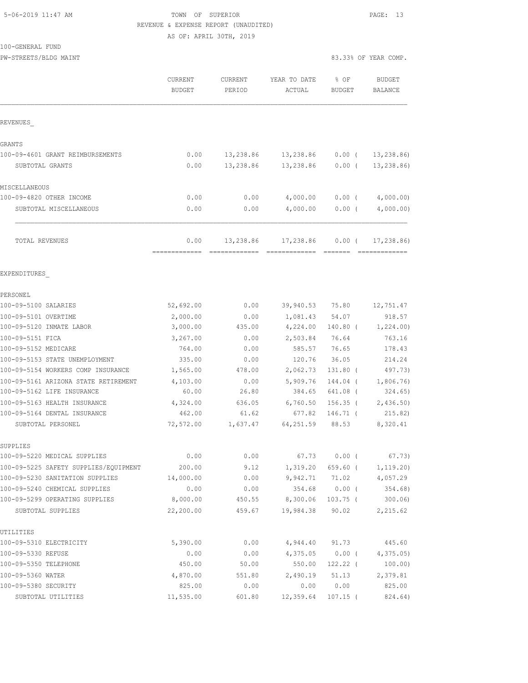### 5-06-2019 11:47 AM TOWN OF SUPERIOR PAGE: 13 REVENUE & EXPENSE REPORT (UNAUDITED) AS OF: APRIL 30TH, 2019

100-GENERAL FUND

PW-STREETS/BLDG MAINT 83.33% OF YEAR COMP.

|                                                   | CURRENT<br><b>BUDGET</b> | CURRENT<br>PERIOD | YEAR TO DATE<br>ACTUAL | % OF<br><b>BUDGET</b> | <b>BUDGET</b><br><b>BALANCE</b> |
|---------------------------------------------------|--------------------------|-------------------|------------------------|-----------------------|---------------------------------|
| REVENUES                                          |                          |                   |                        |                       |                                 |
| GRANTS                                            |                          |                   |                        |                       |                                 |
| 100-09-4601 GRANT REIMBURSEMENTS                  | 0.00                     | 13,238.86         | 13,238.86              | $0.00$ (              | 13, 238.86                      |
| SUBTOTAL GRANTS                                   | 0.00                     | 13,238.86         | 13,238.86              | $0.00$ (              | 13, 238.86                      |
| MISCELLANEOUS                                     |                          |                   |                        |                       |                                 |
| 100-09-4820 OTHER INCOME                          | 0.00                     | 0.00              | 4,000.00               | $0.00$ (              | 4,000.00)                       |
| SUBTOTAL MISCELLANEOUS                            | 0.00                     | 0.00              | 4,000.00               | $0.00$ (              | 4,000.00)                       |
| TOTAL REVENUES                                    | 0.00                     | 13,238.86         | 17,238.86              | $0.00$ (              | 17,238.86)                      |
| EXPENDITURES                                      |                          |                   |                        |                       |                                 |
| PERSONEL                                          |                          |                   |                        |                       |                                 |
| 100-09-5100 SALARIES                              | 52,692.00                | 0.00              | 39,940.53 75.80        |                       | 12,751.47                       |
| 100-09-5101 OVERTIME                              | 2,000.00                 | 0.00              | 1,081.43               | 54.07                 | 918.57                          |
| 100-09-5120 INMATE LABOR                          | 3,000.00                 | 435.00            | 4,224.00               | $140.80$ (            | 1,224.00)                       |
| 100-09-5151 FICA                                  | 3,267.00                 | 0.00              | 2,503.84               | 76.64                 | 763.16                          |
| 100-09-5152 MEDICARE                              | 764.00                   | 0.00              | 585.57                 | 76.65                 | 178.43                          |
| 100-09-5153 STATE UNEMPLOYMENT                    | 335.00                   | 0.00              | 120.76                 | 36.05                 | 214.24                          |
| 100-09-5154 WORKERS COMP INSURANCE                | 1,565.00                 | 478.00            | 2,062.73               | 131.80 (              | 497.73)                         |
| 100-09-5161 ARIZONA STATE RETIREMENT              | 4,103.00                 | 0.00              | 5,909.76               | 144.04 (              | 1,806.76)                       |
| 100-09-5162 LIFE INSURANCE                        | 60.00                    | 26.80             | 384.65                 | 641.08 (              | 324.65)                         |
| 100-09-5163 HEALTH INSURANCE                      | 4,324.00                 | 636.05            | 6,760.50               | $156.35$ (            | 2,436.50                        |
| 100-09-5164 DENTAL INSURANCE<br>SUBTOTAL PERSONEL | 462.00<br>72,572.00      | 61.62<br>1,637.47 | 677.82<br>64,251.59    | $146.71$ (<br>88.53   | 215.82)<br>8,320.41             |
| SUPPLIES                                          |                          |                   |                        |                       |                                 |
| 100-09-5220 MEDICAL SUPPLIES                      | 0.00                     | 0.00              | 67.73                  | 0.00(                 | 67.73)                          |
| 100-09-5225 SAFETY SUPPLIES/EQUIPMENT             | 200.00                   | 9.12              | 1,319.20               | 659.60 (              | 1, 119.20)                      |
| 100-09-5230 SANITATION SUPPLIES                   | 14,000.00                | 0.00              | 9,942.71               | 71.02                 | 4,057.29                        |
| 100-09-5240 CHEMICAL SUPPLIES                     | 0.00                     | 0.00              | 354.68                 | $0.00$ (              | 354.68)                         |
| 100-09-5299 OPERATING SUPPLIES                    | 8,000.00                 | 450.55            | 8,300.06               | $103.75$ (            | 300.06                          |
| SUBTOTAL SUPPLIES                                 | 22,200.00                | 459.67            | 19,984.38              | 90.02                 | 2,215.62                        |
| UTILITIES                                         |                          |                   |                        |                       |                                 |
| 100-09-5310 ELECTRICITY                           | 5,390.00                 | 0.00              | 4,944.40               | 91.73                 | 445.60                          |
| 100-09-5330 REFUSE                                | 0.00                     | 0.00              | 4,375.05               | $0.00$ (              | 4,375.05                        |
| 100-09-5350 TELEPHONE                             | 450.00                   | 50.00             | 550.00                 | 122.22 (              | 100.00)                         |
| 100-09-5360 WATER                                 | 4,870.00                 | 551.80            | 2,490.19               | 51.13                 | 2,379.81                        |
| 100-09-5380 SECURITY                              | 825.00                   | 0.00              | 0.00                   | 0.00                  | 825.00                          |
| SUBTOTAL UTILITIES                                | 11,535.00                | 601.80            | 12,359.64              | $107.15$ (            | 824.64)                         |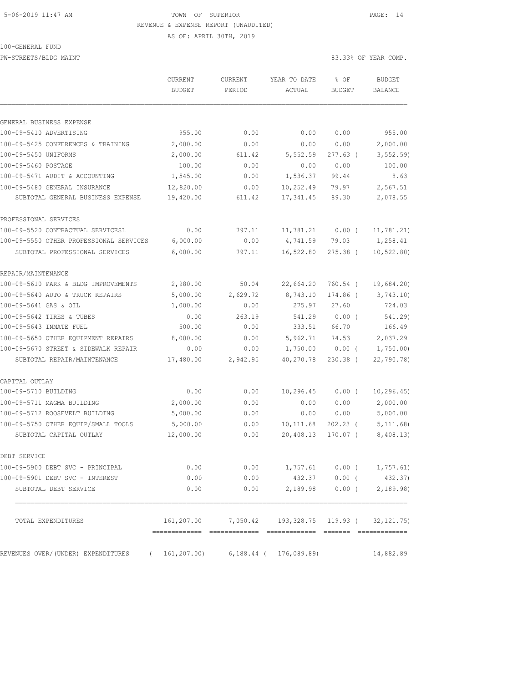### 5-06-2019 11:47 AM TOWN OF SUPERIOR PAGE: 14 REVENUE & EXPENSE REPORT (UNAUDITED)

#### 100-GENERAL FUND

PW-STREETS/BLDG MAINT

|  |  |  |  |  | 83.33% OF YEAR COMP. |
|--|--|--|--|--|----------------------|
|--|--|--|--|--|----------------------|

|                                                                            | CURRENT                | CURRENT        | YEAR TO DATE                                          | % OF             | <b>BUDGET</b>               |
|----------------------------------------------------------------------------|------------------------|----------------|-------------------------------------------------------|------------------|-----------------------------|
|                                                                            | <b>BUDGET</b>          | PERIOD         | ACTUAL                                                | <b>BUDGET</b>    | <b>BALANCE</b>              |
|                                                                            |                        |                |                                                       |                  |                             |
| GENERAL BUSINESS EXPENSE<br>100-09-5410 ADVERTISING                        | 955.00                 | 0.00           | 0.00                                                  | 0.00             | 955.00                      |
|                                                                            |                        |                |                                                       |                  |                             |
| 100-09-5425 CONFERENCES & TRAINING<br>100-09-5450 UNIFORMS                 | 2,000.00<br>2,000.00   | 0.00<br>611.42 | 0.00<br>5,552.59                                      | 0.00<br>277.63 ( | 2,000.00<br>3, 552.59       |
|                                                                            |                        |                |                                                       |                  |                             |
| 100-09-5460 POSTAGE<br>100-09-5471 AUDIT & ACCOUNTING                      | 100.00<br>1,545.00     | 0.00<br>0.00   | 0.00<br>1,536.37                                      | 0.00<br>99.44    | 100.00<br>8.63              |
|                                                                            |                        |                |                                                       |                  |                             |
| 100-09-5480 GENERAL INSURANCE<br>SUBTOTAL GENERAL BUSINESS EXPENSE         | 12,820.00<br>19,420.00 | 0.00<br>611.42 | 10,252.49<br>17,341.45                                | 79.97<br>89.30   | 2,567.51<br>2,078.55        |
| PROFESSIONAL SERVICES                                                      |                        |                |                                                       |                  |                             |
| 100-09-5520 CONTRACTUAL SERVICESL                                          | 0.00                   | 797.11         | 11,781.21                                             | $0.00$ (         | 11,781.21)                  |
| 100-09-5550 OTHER PROFESSIONAL SERVICES                                    | 6,000.00               | 0.00           | 4,741.59                                              | 79.03            | 1,258.41                    |
| SUBTOTAL PROFESSIONAL SERVICES                                             | 6,000.00               | 797.11         | 16,522.80                                             | $275.38$ (       | 10, 522.80)                 |
| REPAIR/MAINTENANCE                                                         |                        |                |                                                       |                  |                             |
| 100-09-5610 PARK & BLDG IMPROVEMENTS                                       | 2,980.00               | 50.04          | 22,664.20                                             | 760.54 (         | 19,684.20)                  |
| 100-09-5640 AUTO & TRUCK REPAIRS                                           | 5,000.00               | 2,629.72       | 8,743.10                                              | 174.86 (         | 3,743.10                    |
| 100-09-5641 GAS & OIL                                                      | 1,000.00               | 0.00           | 275.97                                                | 27.60            | 724.03                      |
| 100-09-5642 TIRES & TUBES                                                  | 0.00                   | 263.19         | 541.29                                                | 0.00(            | 541.29                      |
| 100-09-5643 INMATE FUEL                                                    | 500.00                 | 0.00           | 333.51                                                | 66.70            | 166.49                      |
| 100-09-5650 OTHER EQUIPMENT REPAIRS                                        | 8,000.00               | 0.00           | 5,962.71                                              | 74.53            | 2,037.29                    |
| 100-09-5670 STREET & SIDEWALK REPAIR                                       | 0.00                   | 0.00           | 1,750.00                                              | $0.00$ (         | 1,750.00                    |
| SUBTOTAL REPAIR/MAINTENANCE                                                | 17,480.00              | 2,942.95       | 40,270.78                                             | 230.38 (         | 22,790.78                   |
| CAPITAL OUTLAY                                                             |                        |                |                                                       |                  |                             |
| 100-09-5710 BUILDING                                                       | 0.00                   | 0.00           | 10,296.45                                             | $0.00$ (         | 10, 296.45)                 |
| 100-09-5711 MAGMA BUILDING                                                 | 2,000.00               | 0.00           | 0.00                                                  | 0.00             | 2,000.00                    |
| 100-09-5712 ROOSEVELT BUILDING                                             | 5,000.00               | 0.00           | 0.00                                                  | 0.00             | 5,000.00                    |
| 100-09-5750 OTHER EOUIP/SMALL TOOLS                                        | 5,000.00               | 0.00           | 10,111.68                                             | $202.23$ (       | 5, 111.68                   |
| SUBTOTAL CAPITAL OUTLAY                                                    | 12,000.00              | 0.00           | 20,408.13                                             | 170.07 (         | 8,408.13)                   |
| DEBT SERVICE                                                               |                        |                |                                                       |                  |                             |
| 100-09-5900 DEBT SVC - PRINCIPAL                                           | 0.00                   | 0.00           |                                                       |                  | $1,757.61$ 0.00 ( 1,757.61) |
| 100-09-5901 DEBT SVC - INTEREST                                            | 0.00                   | 0.00           |                                                       | 432.37 0.00 (    | 432.37)                     |
| SUBTOTAL DEBT SERVICE                                                      | 0.00                   | 0.00           |                                                       | 2,189.98 0.00 (  | 2,189.98)                   |
| TOTAL EXPENDITURES                                                         |                        |                | 161, 207.00 7, 050.42 193, 328.75 119.93 (32, 121.75) |                  |                             |
| REVENUES OVER/(UNDER) EXPENDITURES ( 161, 207.00) 6, 188.44 ( 176, 089.89) |                        |                |                                                       |                  | 14,882.89                   |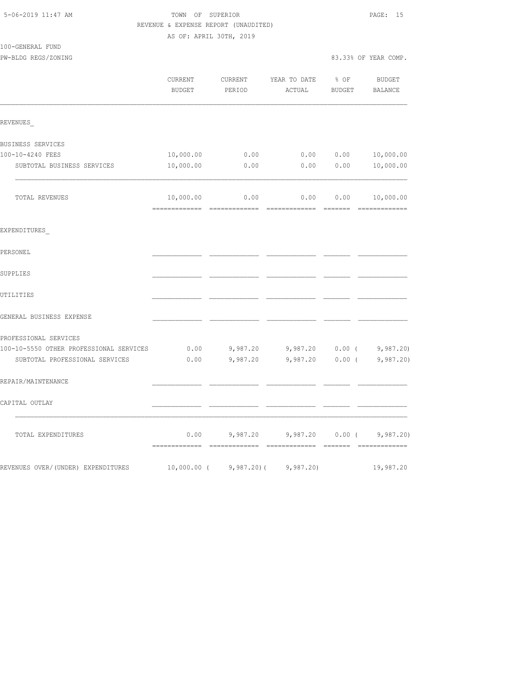|                                         |                          | REVENUE & EXPENSE REPORT (UNAUDITED) |                                             |                       |                          |
|-----------------------------------------|--------------------------|--------------------------------------|---------------------------------------------|-----------------------|--------------------------|
| 100-GENERAL FUND                        | AS OF: APRIL 30TH, 2019  |                                      |                                             |                       |                          |
| PW-BLDG REGS/ZONING                     |                          |                                      |                                             |                       | 83.33% OF YEAR COMP.     |
|                                         | CURRENT<br><b>BUDGET</b> | CURRENT<br>PERIOD                    | YEAR TO DATE<br>ACTUAL                      | % OF<br><b>BUDGET</b> | <b>BUDGET</b><br>BALANCE |
| REVENUES                                |                          |                                      |                                             |                       |                          |
| BUSINESS SERVICES                       |                          |                                      |                                             |                       |                          |
| 100-10-4240 FEES                        | 10,000.00                | 0.00                                 | 0.00                                        | 0.00                  | 10,000.00                |
| SUBTOTAL BUSINESS SERVICES              | 10,000.00                | 0.00                                 | 0.00                                        | 0.00                  | 10,000.00                |
| TOTAL REVENUES                          | 10,000.00                | 0.00                                 | 0.00                                        | 0.00                  | 10,000.00                |
| EXPENDITURES                            |                          |                                      |                                             |                       |                          |
| PERSONEL                                |                          |                                      |                                             |                       |                          |
| SUPPLIES                                |                          |                                      |                                             |                       |                          |
| UTILITIES                               |                          |                                      |                                             |                       |                          |
| GENERAL BUSINESS EXPENSE                |                          |                                      |                                             |                       |                          |
| PROFESSIONAL SERVICES                   |                          |                                      |                                             |                       |                          |
| 100-10-5550 OTHER PROFESSIONAL SERVICES | 0.00                     |                                      | $9,987.20$ $9,987.20$ $0.00$ ( $9,987.20$ ) |                       |                          |
| SUBTOTAL PROFESSIONAL SERVICES          | 0.00                     | 9,987.20                             | 9,987.20                                    | 0.00(                 | 9,987.20                 |
| REPAIR/MAINTENANCE                      |                          |                                      |                                             |                       |                          |
| CAPITAL OUTLAY                          |                          |                                      |                                             |                       |                          |
| TOTAL EXPENDITURES                      | 0.00                     | 9,987.20                             | 9,987.20                                    | $0.00$ (              | 9,987.20                 |
| REVENUES OVER/ (UNDER) EXPENDITURES     | $10,000.00$ (            | $9,987.20$ (                         | 9,987.20                                    |                       | 19,987.20                |

5-06-2019 11:47 AM TOWN OF SUPERIOR PAGE: 15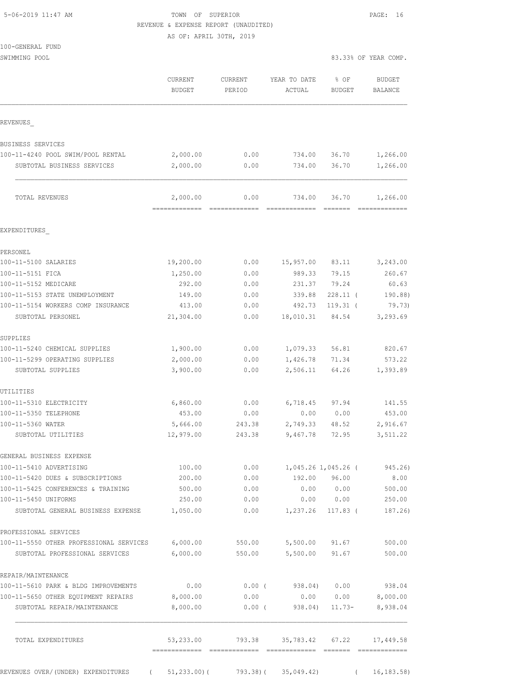| 5-06-2019 11:47 AM |  |  |
|--------------------|--|--|

## TOWN OF SUPERIOR **Example 2019** 2019 2020 REVENUE & EXPENSE REPORT (UNAUDITED)

AS OF: APRIL 30TH, 2019

| 100-GENERAL FUND |  |
|------------------|--|
|                  |  |

SWIMMING POOL 83.33% OF YEAR COMP.

|                                                           | <b>CURRENT</b><br><b>BUDGET</b> | <b>CURRENT</b><br>PERIOD | YEAR TO DATE<br>ACTUAL | % OF<br><b>BUDGET</b>   | BUDGET<br><b>BALANCE</b> |
|-----------------------------------------------------------|---------------------------------|--------------------------|------------------------|-------------------------|--------------------------|
|                                                           |                                 |                          |                        |                         |                          |
| REVENUES                                                  |                                 |                          |                        |                         |                          |
| BUSINESS SERVICES                                         |                                 |                          |                        |                         |                          |
| 100-11-4240 POOL SWIM/POOL RENTAL                         | 2,000.00                        | 0.00                     | 734.00                 | 36.70                   | 1,266.00                 |
| SUBTOTAL BUSINESS SERVICES                                | 2,000.00                        | 0.00                     | 734.00                 | 36.70                   | 1,266.00                 |
| TOTAL REVENUES                                            | 2,000.00<br>----------          | 0.00                     | 734.00                 | 36.70                   | 1,266.00                 |
| EXPENDITURES                                              |                                 |                          |                        |                         |                          |
|                                                           |                                 |                          |                        |                         |                          |
| PERSONEL<br>100-11-5100 SALARIES                          | 19,200.00                       | 0.00                     | 15,957.00              | 83.11                   | 3,243.00                 |
| 100-11-5151 FICA                                          | 1,250.00                        | 0.00                     | 989.33                 | 79.15                   | 260.67                   |
| 100-11-5152 MEDICARE                                      | 292.00                          | 0.00                     | 231.37                 | 79.24                   | 60.63                    |
| 100-11-5153 STATE UNEMPLOYMENT                            | 149.00                          | 0.00                     | 339.88                 | $228.11$ (              | 190.88)                  |
| 100-11-5154 WORKERS COMP INSURANCE                        | 413.00                          | 0.00                     | 492.73                 | $119.31$ (              | 79.73)                   |
| SUBTOTAL PERSONEL                                         | 21,304.00                       | 0.00                     | 18,010.31              | 84.54                   | 3,293.69                 |
| SUPPLIES                                                  |                                 |                          |                        |                         |                          |
| 100-11-5240 CHEMICAL SUPPLIES                             | 1,900.00                        | 0.00                     | 1,079.33               | 56.81                   | 820.67                   |
| 100-11-5299 OPERATING SUPPLIES                            | 2,000.00                        | 0.00                     | 1,426.78               | 71.34                   | 573.22                   |
| SUBTOTAL SUPPLIES                                         | 3,900.00                        | 0.00                     | 2,506.11               | 64.26                   | 1,393.89                 |
| UTILITIES                                                 |                                 |                          |                        |                         |                          |
| 100-11-5310 ELECTRICITY                                   | 6,860.00                        | 0.00                     | 6,718.45               | 97.94                   | 141.55                   |
| 100-11-5350 TELEPHONE                                     | 453.00                          | 0.00                     | 0.00                   | 0.00                    | 453.00                   |
| 100-11-5360 WATER                                         | 5,666.00                        | 243.38                   | 2,749.33               | 48.52                   | 2,916.67                 |
| SUBTOTAL UTILITIES                                        | 12,979.00                       | 243.38                   | 9,467.78               | 72.95                   | 3,511.22                 |
| GENERAL BUSINESS EXPENSE                                  |                                 |                          |                        |                         |                          |
| 100-11-5410 ADVERTISING                                   | 100.00                          | 0.00                     |                        | 1,045.26 1,045.26 (     | 945.26)                  |
| 100-11-5420 DUES & SUBSCRIPTIONS                          | 200.00                          | 0.00                     |                        | 192.00 96.00            | 8.00                     |
| 100-11-5425 CONFERENCES & TRAINING                        | 500.00                          | 0.00                     | 0.00                   | 0.00                    | 500.00                   |
| 100-11-5450 UNIFORMS<br>SUBTOTAL GENERAL BUSINESS EXPENSE | 250.00<br>1,050.00              | 0.00<br>0.00             | 1,237.26               | 0.00 0.00<br>$117.83$ ( | 250.00<br>187.26)        |
|                                                           |                                 |                          |                        |                         |                          |
| PROFESSIONAL SERVICES                                     |                                 |                          |                        |                         |                          |
| 100-11-5550 OTHER PROFESSIONAL SERVICES 6,000.00          |                                 | 550.00                   | 5,500.00               | 91.67                   | 500.00                   |
| SUBTOTAL PROFESSIONAL SERVICES                            | 6,000.00                        | 550.00                   | 5,500.00               | 91.67                   | 500.00                   |
| REPAIR/MAINTENANCE                                        |                                 |                          |                        |                         |                          |
| 100-11-5610 PARK & BLDG IMPROVEMENTS                      | 0.00                            | $0.00$ (                 |                        | 938.04) 0.00            | 938.04                   |
| 100-11-5650 OTHER EQUIPMENT REPAIRS                       | 8,000.00                        | 0.00                     | 0.00                   | 0.00                    | 8,000.00                 |
| SUBTOTAL REPAIR/MAINTENANCE                               | 8,000.00                        | $0.00$ (                 | 938.04)                | $11.73-$                | 8,938.04                 |
| TOTAL EXPENDITURES                                        | 53,233.00                       | 793.38                   | 35,783.42 67.22        |                         | 17,449.58                |
| REVENUES OVER/(UNDER) EXPENDITURES<br>$\sqrt{2}$          | $51, 233.00$ (                  | 793.38)(                 | 35,049.42)             | $\left($                | 16, 183.58               |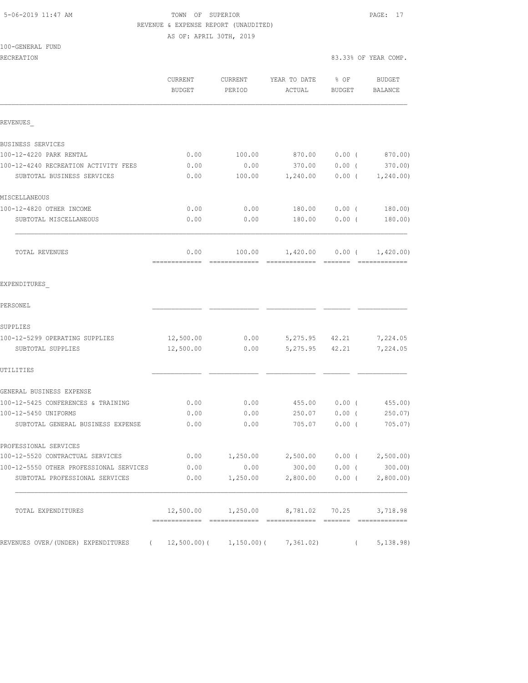# 5-06-2019 11:47 AM TOWN OF SUPERIOR PAGE: 17 REVENUE & EXPENSE REPORT (UNAUDITED)

| 100-GENERAL FUND |  |
|------------------|--|
|------------------|--|

|                                                  | CURRENT<br>BUDGET | CURRENT<br>PERIOD            | YEAR TO DATE<br>ACTUAL                         | $8$ OF<br>BUDGET |            | BUDGET<br>BALANCE |
|--------------------------------------------------|-------------------|------------------------------|------------------------------------------------|------------------|------------|-------------------|
| REVENUES                                         |                   |                              |                                                |                  |            |                   |
| BUSINESS SERVICES                                |                   |                              |                                                |                  |            |                   |
| 100-12-4220 PARK RENTAL                          | 0.00              | 100.00                       | 870.00                                         | $0.00$ (         |            | 870.00)           |
| 100-12-4240 RECREATION ACTIVITY FEES             | 0.00              | 0.00                         | 370.00 0.00 (                                  |                  |            | 370.00)           |
| SUBTOTAL BUSINESS SERVICES                       | 0.00              | 100.00                       | $1,240.00$ $0.00$ ( $1,240.00$ )               |                  |            |                   |
| MISCELLANEOUS                                    |                   |                              |                                                |                  |            |                   |
| 100-12-4820 OTHER INCOME                         | 0.00              | 0.00                         | 180.00                                         | $0.00$ (         |            | 180.00)           |
| SUBTOTAL MISCELLANEOUS                           | 0.00              | 0.00                         | 180.00                                         | $0.00$ (         |            | 180.00)           |
| TOTAL REVENUES                                   | 0.00              | 100.00                       | $1,420.00$ $0.00$ ( $1,420.00$ )               |                  |            |                   |
| EXPENDITURES                                     |                   |                              |                                                |                  |            |                   |
| PERSONEL                                         |                   |                              |                                                |                  |            |                   |
| SUPPLIES                                         |                   |                              |                                                |                  |            |                   |
| 100-12-5299 OPERATING SUPPLIES                   | 12,500.00         | 0.00                         | 5,275.95 42.21                                 |                  |            | 7,224.05          |
| SUBTOTAL SUPPLIES                                | 12,500.00         | 0.00                         | 5,275.95 42.21                                 |                  |            | 7,224.05          |
| UTILITIES                                        |                   |                              |                                                |                  |            |                   |
| GENERAL BUSINESS EXPENSE                         |                   |                              |                                                |                  |            |                   |
| 100-12-5425 CONFERENCES & TRAINING               | 0.00              | 0.00                         | 455.00                                         | $0.00$ (         |            | 455.00            |
| 100-12-5450 UNIFORMS                             | 0.00              | 0.00                         | 250.07 0.00 (                                  |                  |            | 250.07            |
| SUBTOTAL GENERAL BUSINESS EXPENSE                | 0.00              | 0.00                         | 705.07                                         | $0.00$ (         |            | 705.07)           |
| PROFESSIONAL SERVICES                            |                   |                              |                                                |                  |            |                   |
| 100-12-5520 CONTRACTUAL SERVICES                 | 0.00              |                              | $1,250.00$ $2,500.00$ $0.00$ $($ $2,500.00)$   |                  |            |                   |
| 100-12-5550 OTHER PROFESSIONAL SERVICES          | 0.00              | 0.00                         | 300.00 0.00 (                                  |                  |            | 300.00)           |
| SUBTOTAL PROFESSIONAL SERVICES                   | 0.00              | 1,250.00                     | $2,800.00$ 0.00 ( 2,800.00)                    |                  |            |                   |
| TOTAL EXPENDITURES                               |                   |                              | 12,500.00  1,250.00  8,781.02  70.25  3,718.98 |                  |            |                   |
| REVENUES OVER/(UNDER) EXPENDITURES<br>$\sqrt{2}$ |                   | $12,500.00)$ ( $1,150.00)$ ( | 7,361.02)                                      |                  | $\sqrt{2}$ | 5,138.98)         |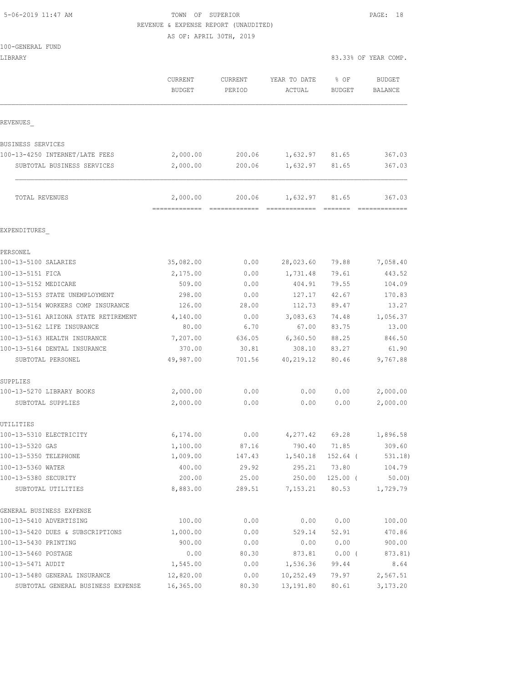## 5-06-2019 11:47 AM TOWN OF SUPERIOR PAGE: 18 REVENUE & EXPENSE REPORT (UNAUDITED)

| 100-GENERAL FUND                           |                          |                   |                        |                       |                                 |
|--------------------------------------------|--------------------------|-------------------|------------------------|-----------------------|---------------------------------|
| LIBRARY                                    |                          |                   |                        |                       | 83.33% OF YEAR COMP.            |
|                                            | CURRENT<br><b>BUDGET</b> | CURRENT<br>PERIOD | YEAR TO DATE<br>ACTUAL | % OF<br><b>BUDGET</b> | <b>BUDGET</b><br><b>BALANCE</b> |
| REVENUES                                   |                          |                   |                        |                       |                                 |
| <b>BUSINESS SERVICES</b>                   |                          |                   |                        |                       |                                 |
| 100-13-4250 INTERNET/LATE FEES             | 2,000.00                 | 200.06            | 1,632.97               | 81.65                 | 367.03                          |
| SUBTOTAL BUSINESS SERVICES                 | 2,000.00                 | 200.06            | 1,632.97               | 81.65                 | 367.03                          |
| TOTAL REVENUES                             | 2,000.00                 | 200.06            | 1,632.97               | 81.65                 | 367.03                          |
| EXPENDITURES                               |                          |                   |                        |                       |                                 |
| PERSONEL                                   |                          |                   |                        |                       |                                 |
| 100-13-5100 SALARIES                       | 35,082.00                | 0.00              | 28,023.60              | 79.88                 | 7,058.40                        |
| 100-13-5151 FICA                           | 2,175.00                 | 0.00              | 1,731.48               | 79.61                 | 443.52                          |
| 100-13-5152 MEDICARE                       | 509.00                   | 0.00              | 404.91                 | 79.55                 | 104.09                          |
| 100-13-5153 STATE UNEMPLOYMENT             | 298.00                   | 0.00              | 127.17                 | 42.67                 | 170.83                          |
| 100-13-5154 WORKERS COMP INSURANCE         | 126.00                   | 28.00             | 112.73                 | 89.47                 | 13.27                           |
| 100-13-5161 ARIZONA STATE RETIREMENT       | 4,140.00                 | 0.00              | 3,083.63               | 74.48                 | 1,056.37                        |
| 100-13-5162 LIFE INSURANCE                 | 80.00                    | 6.70              | 67.00                  | 83.75                 | 13.00                           |
| 100-13-5163 HEALTH INSURANCE               | 7,207.00                 | 636.05            | 6,360.50               | 88.25                 | 846.50                          |
| 100-13-5164 DENTAL INSURANCE               | 370.00                   | 30.81             | 308.10                 | 83.27                 | 61.90                           |
| SUBTOTAL PERSONEL                          | 49,987.00                | 701.56            | 40,219.12              | 80.46                 | 9,767.88                        |
| SUPPLIES                                   |                          |                   |                        |                       |                                 |
| 100-13-5270 LIBRARY BOOKS                  | 2,000.00                 | 0.00              | 0.00                   | 0.00                  | 2,000.00                        |
| SUBTOTAL SUPPLIES                          | 2,000.00                 | 0.00              | 0.00                   | 0.00                  | 2,000.00                        |
| UTILITIES                                  |                          |                   |                        |                       |                                 |
| 100-13-5310 ELECTRICITY                    | 6,174.00                 | 0.00              | 4,277.42               | 69.28                 | 1,896.58                        |
| 100-13-5320 GAS                            | 1,100.00                 | 87.16             | 790.40                 | 71.85                 | 309.60                          |
| 100-13-5350 TELEPHONE                      | 1,009.00                 | 147.43            | 1,540.18               | $152.64$ (            | 531.18)                         |
| 100-13-5360 WATER                          | 400.00                   | 29.92             | 295.21                 | 73.80                 | 104.79                          |
| 100-13-5380 SECURITY<br>SUBTOTAL UTILITIES | 200.00<br>8,883.00       | 25.00<br>289.51   | 250.00<br>7,153.21     | $125.00$ (<br>80.53   | 50.00<br>1,729.79               |
| GENERAL BUSINESS EXPENSE                   |                          |                   |                        |                       |                                 |
| 100-13-5410 ADVERTISING                    | 100.00                   | 0.00              | 0.00                   | 0.00                  | 100.00                          |
| 100-13-5420 DUES & SUBSCRIPTIONS           | 1,000.00                 | 0.00              | 529.14                 | 52.91                 | 470.86                          |
| 100-13-5430 PRINTING                       | 900.00                   | 0.00              | 0.00                   | 0.00                  | 900.00                          |
| 100-13-5460 POSTAGE                        | 0.00                     | 80.30             | 873.81                 | $0.00$ (              | 873.81)                         |
| 100-13-5471 AUDIT                          | 1,545.00                 | 0.00              | 1,536.36               | 99.44                 | 8.64                            |
| 100-13-5480 GENERAL INSURANCE              | 12,820.00                | 0.00              | 10,252.49              | 79.97                 | 2,567.51                        |
| SUBTOTAL GENERAL BUSINESS EXPENSE          | 16,365.00                | 80.30             | 13,191.80              | 80.61                 | 3,173.20                        |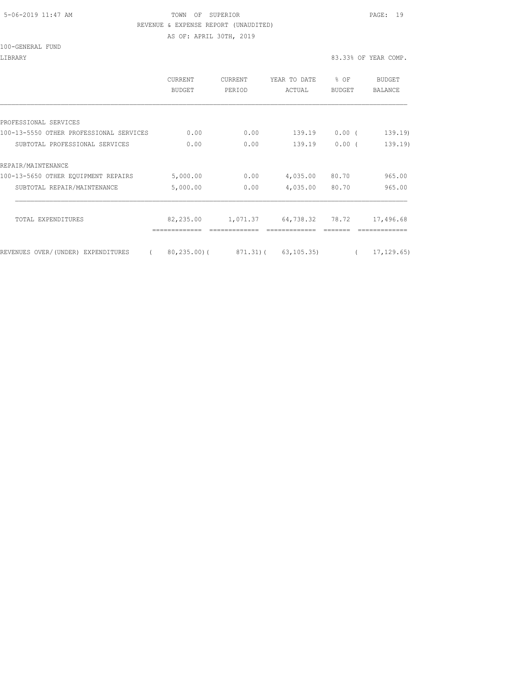#### 5-06-2019 11:47 AM TOWN OF SUPERIOR PAGE: 19 REVENUE & EXPENSE REPORT (UNAUDITED)

AS OF: APRIL 30TH, 2019

100-GENERAL FUND

|                                         | <b>CURRENT</b><br>BUDGET | <b>CURRENT</b><br>PERIOD | YEAR TO DATE<br>ACTUAL                        | % OF<br>BUDGET | BUDGET<br><b>BALANCE</b> |
|-----------------------------------------|--------------------------|--------------------------|-----------------------------------------------|----------------|--------------------------|
|                                         |                          |                          |                                               |                |                          |
| PROFESSIONAL SERVICES                   |                          |                          |                                               |                |                          |
| 100-13-5550 OTHER PROFESSIONAL SERVICES | 0.00                     | 0.00                     | 139.19                                        | $0.00$ (       | 139.19                   |
| SUBTOTAL PROFESSIONAL SERVICES          | 0.00                     | 0.00                     | 139.19                                        | 0.00(          | 139.19)                  |
| REPAIR/MAINTENANCE                      |                          |                          |                                               |                |                          |
| 100-13-5650 OTHER EQUIPMENT REPAIRS     | 5,000.00                 | 0.00                     | 4,035.00                                      | 80.70          | 965.00                   |
| SUBTOTAL REPAIR/MAINTENANCE             | 5,000.00                 | 0.00                     | 4,035.00                                      | 80.70          | 965.00                   |
| TOTAL EXPENDITURES                      | 82,235.00                | 1,071.37                 | 64,738.32                                     | 78.72          | 17,496.68                |
| REVENUES OVER/(UNDER) EXPENDITURES      |                          |                          | $80, 235, 00$ ( $871, 31$ ) ( $63, 105, 35$ ) |                | 17, 129, 65)             |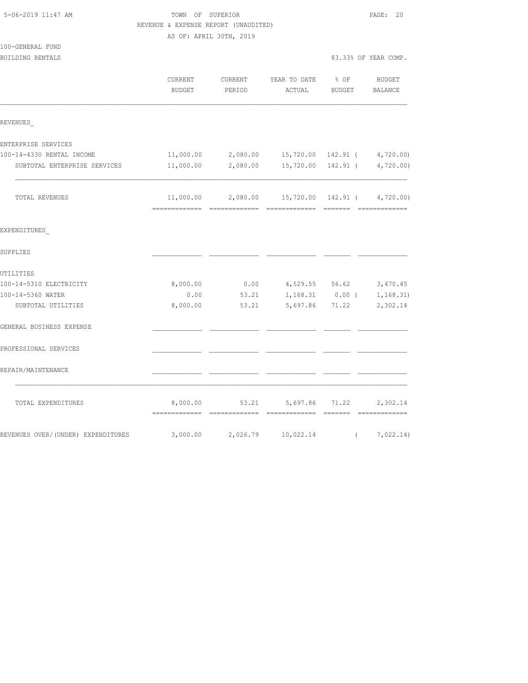| 5-06-2019 11:47 AM                   | TOWN OF SUPERIOR<br>REVENUE & EXPENSE REPORT (UNAUDITED)<br>AS OF: APRIL 30TH, 2019 | PAGE: 20          |                                                            |                       |                      |
|--------------------------------------|-------------------------------------------------------------------------------------|-------------------|------------------------------------------------------------|-----------------------|----------------------|
| 100-GENERAL FUND<br>BUILDING RENTALS |                                                                                     |                   |                                                            |                       | 83.33% OF YEAR COMP. |
|                                      | CURRENT<br><b>BUDGET</b>                                                            | CURRENT<br>PERIOD | YEAR TO DATE<br>ACTUAL                                     | $8$ OF<br>BUDGET      | BUDGET<br>BALANCE    |
| REVENUES                             |                                                                                     |                   |                                                            |                       |                      |
| ENTERPRISE SERVICES                  |                                                                                     |                   |                                                            |                       |                      |
| 100-14-4330 RENTAL INCOME            | 11,000.00                                                                           | 2,080.00          | 15,720.00 142.91 (                                         |                       | 4,720.00             |
| SUBTOTAL ENTERPRISE SERVICES         | 11,000.00                                                                           | 2,080.00          |                                                            | 15,720.00 142.91 (    | 4,720.00             |
| TOTAL REVENUES                       |                                                                                     |                   | $11,000.00$ $2,080.00$ $15,720.00$ $142.91$ ( $4,720.00$ ) |                       |                      |
| EXPENDITURES                         |                                                                                     |                   |                                                            |                       |                      |
| SUPPLIES                             |                                                                                     |                   |                                                            |                       |                      |
| UTILITIES                            |                                                                                     |                   |                                                            |                       |                      |
| 100-14-5310 ELECTRICITY              | 8,000.00                                                                            | 0.00              |                                                            | 4,529.55 56.62        | 3,470.45             |
| 100-14-5360 WATER                    | 0.00                                                                                | 53.21             | 1,168.31                                                   | $0.00$ (              | 1, 168.31)           |
| SUBTOTAL UTILITIES                   | 8,000.00                                                                            | 53.21             | 5,697.86                                                   | 71.22                 | 2,302.14             |
| GENERAL BUSINESS EXPENSE             |                                                                                     |                   |                                                            |                       |                      |
| PROFESSIONAL SERVICES                |                                                                                     |                   |                                                            |                       |                      |
| REPAIR/MAINTENANCE                   |                                                                                     |                   |                                                            |                       |                      |
| TOTAL EXPENDITURES                   | 8,000.00                                                                            | 53.21             | 5,697.86                                                   | 71.22<br>---- ------- | 2,302.14             |
| REVENUES OVER/(UNDER) EXPENDITURES   |                                                                                     | 3,000.00 2,026.79 | 10,022.14                                                  | $\left($              | 7,022.14)            |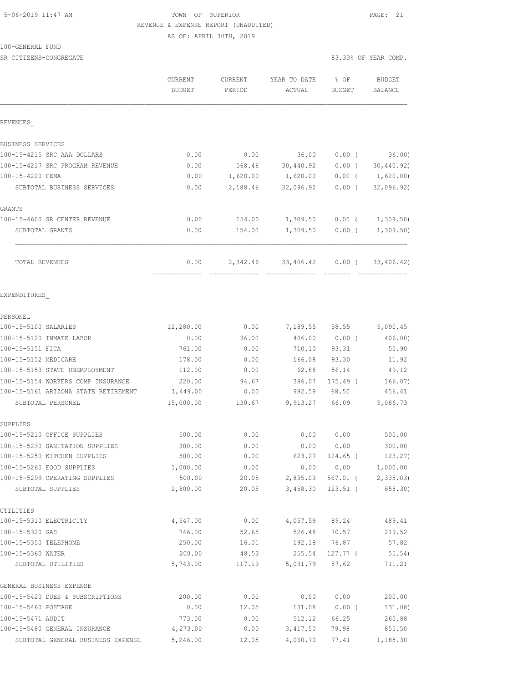### 5-06-2019 11:47 AM TOWN OF SUPERIOR PAGE: 21 REVENUE & EXPENSE REPORT (UNAUDITED) AS OF: APRIL 30TH, 2019

100-GENERAL FUND

SR CITIZENS-CONGREGATE 83.33% OF YEAR COMP.

|                                                     | CURRENT<br><b>BUDGET</b> | CURRENT<br>PERIOD | YEAR TO DATE<br>ACTUAL | % OF<br>BUDGET         | <b>BUDGET</b><br>BALANCE  |
|-----------------------------------------------------|--------------------------|-------------------|------------------------|------------------------|---------------------------|
| REVENUES                                            |                          |                   |                        |                        |                           |
| BUSINESS SERVICES                                   |                          |                   |                        |                        |                           |
| 100-15-4215 SRC AAA DOLLARS                         | 0.00                     | 0.00              | 36.00                  | $0.00$ (               | 36.00                     |
| 100-15-4217 SRC PROGRAM REVENUE                     | 0.00                     | 568.46            | 30,440.92              | $0.00$ (               | 30,440.92)                |
| 100-15-4220 FEMA                                    | 0.00                     | 1,620.00          | 1,620.00               | $0.00$ (               | 1,620.00)                 |
| SUBTOTAL BUSINESS SERVICES                          | 0.00                     | 2,188.46          | 32,096.92              | $0.00$ (               | 32,096.92)                |
| GRANTS                                              |                          |                   |                        |                        |                           |
| 100-15-4600 SR CENTER REVENUE                       | 0.00                     | 154.00            | 1,309.50               | $0.00$ (               | 1,309.50                  |
| SUBTOTAL GRANTS                                     | 0.00                     | 154.00            | 1,309.50               | $0.00$ (               | 1,309.50                  |
| TOTAL REVENUES                                      | 0.00                     | 2,342.46          | 33,406.42              | $0.00$ (               | 33,406.42)                |
| EXPENDITURES                                        |                          |                   |                        |                        |                           |
| PERSONEL                                            |                          |                   |                        |                        |                           |
| 100-15-5100 SALARIES                                | 12,280.00                | 0.00              |                        |                        | 7, 189.55 58.55 5, 090.45 |
| 100-15-5120 INMATE LABOR                            | 0.00                     | 36.00             | 406.00                 | $0.00$ (               | 406.00                    |
| 100-15-5151 FICA                                    | 761.00                   | 0.00              | 710.10                 | 93.31                  | 50.90                     |
| 100-15-5152 MEDICARE                                | 178.00                   | 0.00              | 166.08                 | 93.30                  | 11.92                     |
| 100-15-5153 STATE UNEMPLOYMENT                      | 112.00                   | 0.00              | 62.88                  | 56.14                  | 49.12                     |
| 100-15-5154 WORKERS COMP INSURANCE                  | 220.00                   | 94.67             | 386.07                 | $175.49$ (             | 166.07)                   |
| 100-15-5161 ARIZONA STATE RETIREMENT                | 1,449.00                 | 0.00              | 992.59                 | 68.50                  | 456.41                    |
| SUBTOTAL PERSONEL                                   | 15,000.00                | 130.67            | 9,913.27               | 66.09                  | 5,086.73                  |
| SUPPLIES                                            |                          |                   |                        |                        |                           |
| 100-15-5210 OFFICE SUPPLIES                         | 500.00                   | 0.00              | 0.00                   | 0.00                   | 500.00                    |
| 100-15-5230 SANITATION SUPPLIES                     | 300.00                   | 0.00              | 0.00                   | 0.00                   | 300.00                    |
| 100-15-5250 KITCHEN SUPPLIES                        | 500.00                   | 0.00              | 623.27                 | 124.65 (               | 123.27)                   |
| 100-15-5260 FOOD SUPPLIES                           | 1,000.00                 | 0.00              | 0.00                   | 0.00                   | 1,000.00                  |
| 100-15-5299 OPERATING SUPPLIES<br>SUBTOTAL SUPPLIES | 500.00<br>2,800.00       | 20.05<br>20.05    | 2,835.03<br>3,458.30   | 567.01 (<br>$123.51$ ( | 2,335.03)<br>658.30)      |
| UTILITIES                                           |                          |                   |                        |                        |                           |
| 100-15-5310 ELECTRICITY                             | 4,547.00                 | 0.00              | 4,057.59               | 89.24                  | 489.41                    |
| 100-15-5320 GAS                                     | 746.00                   | 52.65             | 526.48                 | 70.57                  | 219.52                    |
| 100-15-5350 TELEPHONE                               | 250.00                   | 16.01             | 192.18                 | 76.87                  | 57.82                     |
| 100-15-5360 WATER                                   | 200.00                   | 48.53             | 255.54                 | $127.77$ (             | 55.54)                    |
| SUBTOTAL UTILITIES                                  | 5,743.00                 | 117.19            | 5,031.79               | 87.62                  | 711.21                    |
| GENERAL BUSINESS EXPENSE                            |                          |                   |                        |                        |                           |
| 100-15-5420 DUES & SUBSCRIPTIONS                    | 200.00                   | 0.00              | 0.00                   | 0.00                   | 200.00                    |
| 100-15-5460 POSTAGE                                 | 0.00                     | 12.05             | 131.08                 | 0.00(                  | 131.08)                   |
| 100-15-5471 AUDIT                                   | 773.00                   | 0.00              | 512.12                 | 66.25                  | 260.88                    |
| 100-15-5480 GENERAL INSURANCE                       | 4,273.00                 | 0.00              | 3,417.50               | 79.98                  | 855.50                    |

SUBTOTAL GENERAL BUSINESS EXPENSE 5,246.00 12.05 4,060.70 77.41 1,185.30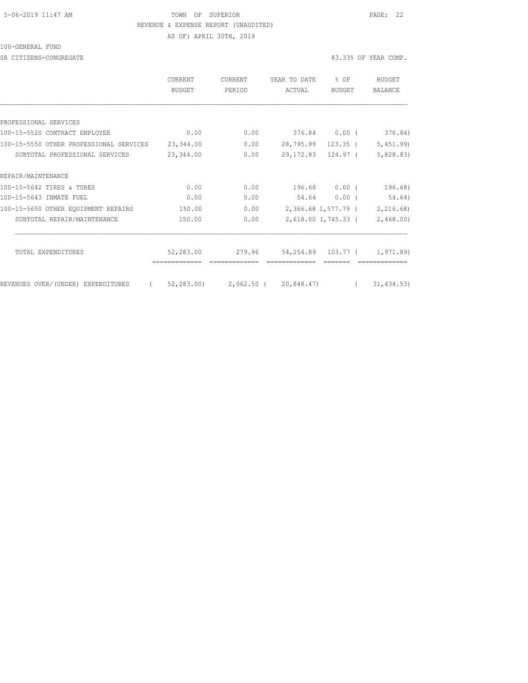### 5-06-2019 11:47 AM TOWN OF SUPERIOR PAGE: 22 REVENUE & EXPENSE REPORT (UNAUDITED) AS OF: APRIL 30TH, 2019

100-GENERAL FUND

SR CITIZENS-CONGREGATE 83.33% OF YEAR COMP.

|                                                | CURRENT<br>BUDGET | <b>CURRENT</b><br>PERIOD         | YEAR TO DATE<br>ACTUAL | % OF<br><b>BUDGET</b> |                      | <b>BUDGET</b><br>BALANCE      |
|------------------------------------------------|-------------------|----------------------------------|------------------------|-----------------------|----------------------|-------------------------------|
|                                                |                   |                                  |                        |                       |                      |                               |
| PROFESSIONAL SERVICES                          |                   |                                  |                        |                       |                      |                               |
| 100-15-5520 CONTRACT EMPLOYEE                  | 0.00              | 0.00                             |                        | 376.84 0.00 (         |                      | 376.84)                       |
| 100-15-5550 OTHER PROFESSIONAL SERVICES        | 23,344.00         | 0.00                             | 28,795.99 123.35 (     |                       |                      | 5,451.99                      |
| SUBTOTAL PROFESSIONAL SERVICES                 | 23,344.00         | 0.00                             | 29, 172.83 124.97 (    |                       |                      | 5,828.83)                     |
| REPAIR/MAINTENANCE                             |                   |                                  |                        |                       |                      |                               |
| 100-15-5642 TIRES & TUBES                      | 0.00              | 0.00                             |                        | 196.68 0.00 (         |                      | 196.68)                       |
| 100-15-5643 INMATE FUEL                        | 0.00              | 0.00                             | 54.64                  | $0.00$ (              |                      | 54.64)                        |
| 100-15-5650 OTHER EQUIPMENT REPAIRS            | 150.00            | 0.00                             |                        |                       |                      | 2,366.68 1,577.79 ( 2,216.68) |
| SUBTOTAL REPAIR/MAINTENANCE                    | 150.00            | 0.00                             |                        |                       |                      | 2,618.00 1,745.33 ( 2,468.00) |
| TOTAL EXPENDITURES                             | 52,283.00         | 279.96                           | 54,254.89 103.77 (     |                       |                      |                               |
|                                                |                   |                                  |                        |                       |                      | 1,971.89)                     |
| $\left($<br>REVENUES OVER/(UNDER) EXPENDITURES |                   | 52,283.00) 2,062.50 ( 20,848.47) |                        |                       | $\sim$ $\sim$ $\sim$ | 31, 434.53)                   |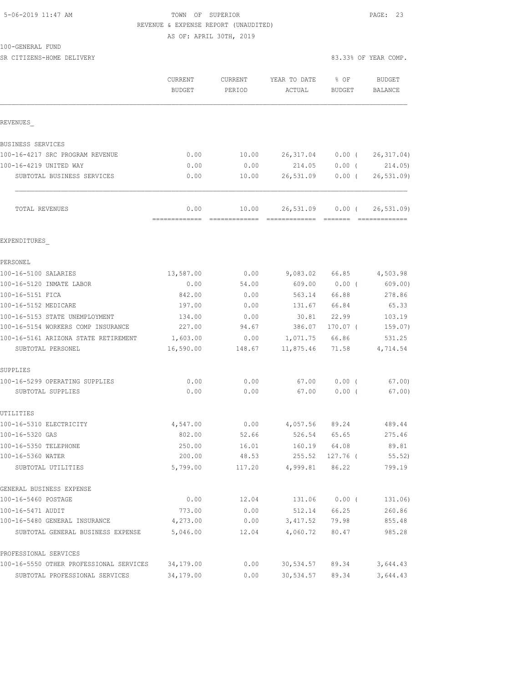### 5-06-2019 11:47 AM TOWN OF SUPERIOR PAGE: 23 REVENUE & EXPENSE REPORT (UNAUDITED)

AS OF: APRIL 30TH, 2019

| 100-GENERAL FUND |  |
|------------------|--|
|------------------|--|

SR CITIZENS-HOME DELIVERY 83.33% OF YEAR COMP.

|                                                           | CURRENT<br><b>BUDGET</b> | <b>CURRENT</b><br>PERIOD | YEAR TO DATE<br>ACTUAL     | % OF<br><b>BUDGET</b> | <b>BUDGET</b><br><b>BALANCE</b> |
|-----------------------------------------------------------|--------------------------|--------------------------|----------------------------|-----------------------|---------------------------------|
| REVENUES                                                  |                          |                          |                            |                       |                                 |
| BUSINESS SERVICES                                         |                          |                          |                            |                       |                                 |
| 100-16-4217 SRC PROGRAM REVENUE                           | 0.00                     | 10.00                    | 26,317.04                  | $0.00$ (              | 26, 317.04)                     |
| 100-16-4219 UNITED WAY                                    | 0.00                     | 0.00                     | 214.05                     | $0.00$ (              | 214.05)                         |
| SUBTOTAL BUSINESS SERVICES                                | 0.00                     | 10.00                    | 26,531.09                  | $0.00$ (              | 26, 531.09                      |
| TOTAL REVENUES                                            | 0.00<br>=============    | 10.00                    | 26,531.09<br>============= | $0.00$ (<br>--------  | 26, 531.09<br>=============     |
| EXPENDITURES                                              |                          |                          |                            |                       |                                 |
| PERSONEL                                                  |                          |                          |                            |                       |                                 |
| 100-16-5100 SALARIES                                      | 13,587.00                | 0.00                     | 9,083.02                   | 66.85                 | 4,503.98                        |
| 100-16-5120 INMATE LABOR                                  | 0.00                     | 54.00                    | 609.00                     | $0.00$ (              | 609.00)                         |
| 100-16-5151 FICA                                          | 842.00                   | 0.00                     | 563.14                     | 66.88                 | 278.86                          |
| 100-16-5152 MEDICARE                                      | 197.00                   | 0.00                     | 131.67                     | 66.84                 | 65.33                           |
| 100-16-5153 STATE UNEMPLOYMENT                            | 134.00                   | 0.00                     | 30.81                      | 22.99                 | 103.19                          |
| 100-16-5154 WORKERS COMP INSURANCE                        | 227.00                   | 94.67                    | 386.07                     | $170.07$ (            | 159.07)                         |
| 100-16-5161 ARIZONA STATE RETIREMENT<br>SUBTOTAL PERSONEL | 1,603.00<br>16,590.00    | 0.00<br>148.67           | 1,071.75<br>11,875.46      | 66.86<br>71.58        | 531.25<br>4,714.54              |
| SUPPLIES                                                  |                          |                          |                            |                       |                                 |
| 100-16-5299 OPERATING SUPPLIES                            | 0.00                     | 0.00                     | 67.00                      | 0.00(                 | 67.00)                          |
| SUBTOTAL SUPPLIES                                         | 0.00                     | 0.00                     | 67.00                      | $0.00$ (              | 67.00                           |
| UTILITIES                                                 |                          |                          |                            |                       |                                 |
| 100-16-5310 ELECTRICITY                                   | 4,547.00                 | 0.00                     | 4,057.56                   | 89.24                 | 489.44                          |
| 100-16-5320 GAS                                           | 802.00                   | 52.66                    | 526.54                     | 65.65                 | 275.46                          |
| 100-16-5350 TELEPHONE                                     | 250.00                   | 16.01                    | 160.19                     | 64.08                 | 89.81                           |
| 100-16-5360 WATER<br>SUBTOTAL UTILITIES                   | 200.00<br>5,799.00       | 48.53<br>117.20          | 255.52<br>4,999.81         | 127.76 (<br>86.22     | 55.52)<br>799.19                |
| GENERAL BUSINESS EXPENSE                                  |                          |                          |                            |                       |                                 |
| 100-16-5460 POSTAGE                                       | 0.00                     | 12.04                    | 131.06                     | $0.00$ (              | 131.06)                         |
| 100-16-5471 AUDIT                                         | 773.00                   | 0.00                     | 512.14                     | 66.25                 | 260.86                          |
| 100-16-5480 GENERAL INSURANCE                             | 4,273.00                 | 0.00                     | 3,417.52                   | 79.98                 | 855.48                          |
| SUBTOTAL GENERAL BUSINESS EXPENSE                         | 5,046.00                 | 12.04                    | 4,060.72                   | 80.47                 | 985.28                          |
| PROFESSIONAL SERVICES                                     |                          |                          |                            |                       |                                 |
| 100-16-5550 OTHER PROFESSIONAL SERVICES                   | 34,179.00                | 0.00                     | 30, 534.57                 | 89.34                 | 3,644.43                        |
| SUBTOTAL PROFESSIONAL SERVICES                            | 34,179.00                | 0.00                     | 30,534.57                  | 89.34                 | 3,644.43                        |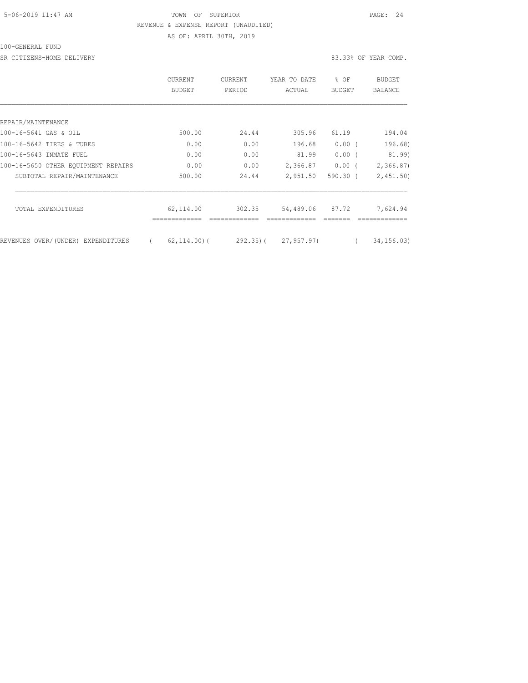### 5-06-2019 11:47 AM TOWN OF SUPERIOR PAGE: 24 REVENUE & EXPENSE REPORT (UNAUDITED) AS OF: APRIL 30TH, 2019

100-GENERAL FUND

SR CITIZENS-HOME DELIVERY 83.33% OF YEAR COMP.

|                                     | <b>CURRENT</b><br>BUDGET | <b>CURRENT</b><br>PERIOD | YEAR TO DATE<br>ACTUAL | % OF<br>BUDGET | BUDGET<br>BALANCE |
|-------------------------------------|--------------------------|--------------------------|------------------------|----------------|-------------------|
|                                     |                          |                          |                        |                |                   |
| REPAIR/MAINTENANCE                  |                          |                          |                        |                |                   |
| 100-16-5641 GAS & OIL               | 500.00                   | 24.44                    | 305.96                 | 61.19          | 194.04            |
| 100-16-5642 TIRES & TUBES           | 0.00                     | 0.00                     | 196.68                 | $0.00$ (       | 196.68)           |
| 100-16-5643 INMATE FUEL             | 0.00                     | 0.00                     | 81.99                  | $0.00$ (       | 81.99)            |
| 100-16-5650 OTHER EOUIPMENT REPAIRS | 0.00                     | 0.00                     | 2,366.87               | $0.00$ (       | 2,366.87          |
| SUBTOTAL REPAIR/MAINTENANCE         | 500.00                   | 24.44                    | 2,951.50               | $590.30$ (     | 2,451.50)         |
| TOTAL EXPENDITURES                  | 62,114.00                | 302.35                   | 54,489.06 87.72        |                | 7,624.94          |
|                                     |                          |                          |                        |                |                   |
| REVENUES OVER/(UNDER) EXPENDITURES  | $62, 114, 00$ (          |                          | 292.35) ( 27,957.97)   |                | 34, 156.03        |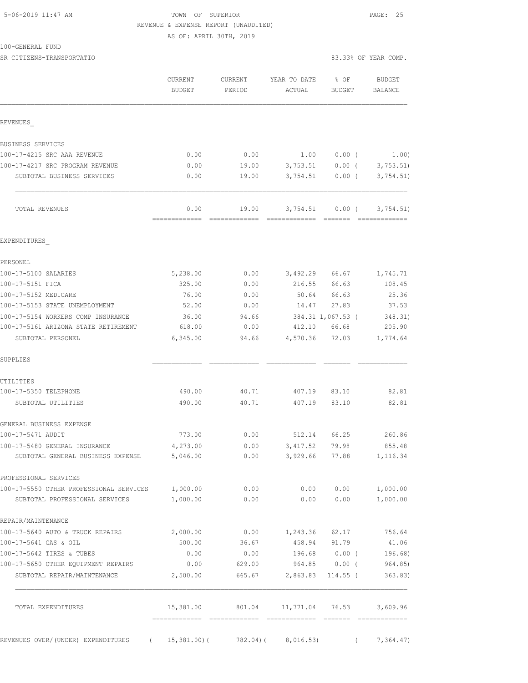## 5-06-2019 11:47 AM TOWN OF SUPERIOR PAGE: 25 REVENUE & EXPENSE REPORT (UNAUDITED)

AS OF: APRIL 30TH, 2019

SR CITIZENS-TRANSPORTATIO 83.33% OF YEAR COMP.

|                                                                    | CURRENT<br>BUDGET     | CURRENT<br>PERIOD                                                                                                                                                                                                                                                                                                                                                                                                                                                                               | YEAR TO DATE<br>ACTUAL      | % OF<br><b>BUDGET</b> | <b>BUDGET</b><br>BALANCE      |
|--------------------------------------------------------------------|-----------------------|-------------------------------------------------------------------------------------------------------------------------------------------------------------------------------------------------------------------------------------------------------------------------------------------------------------------------------------------------------------------------------------------------------------------------------------------------------------------------------------------------|-----------------------------|-----------------------|-------------------------------|
| REVENUES                                                           |                       |                                                                                                                                                                                                                                                                                                                                                                                                                                                                                                 |                             |                       |                               |
| BUSINESS SERVICES                                                  |                       |                                                                                                                                                                                                                                                                                                                                                                                                                                                                                                 |                             |                       |                               |
| 100-17-4215 SRC AAA REVENUE                                        | 0.00                  | 0.00                                                                                                                                                                                                                                                                                                                                                                                                                                                                                            | 1.00                        | $0.00$ (              | 1.00)                         |
| 100-17-4217 SRC PROGRAM REVENUE                                    | 0.00                  | 19.00                                                                                                                                                                                                                                                                                                                                                                                                                                                                                           | 3,753.51                    |                       | $0.00$ ( 3,753.51)            |
| SUBTOTAL BUSINESS SERVICES                                         | 0.00                  | 19.00                                                                                                                                                                                                                                                                                                                                                                                                                                                                                           |                             | $3,754.51$ 0.00 (     | 3,754.51)                     |
| TOTAL REVENUES                                                     | 0.00<br>============= | 19.00<br>$\begin{array}{cccccccccccccc} \multicolumn{2}{c}{} & \multicolumn{2}{c}{} & \multicolumn{2}{c}{} & \multicolumn{2}{c}{} & \multicolumn{2}{c}{} & \multicolumn{2}{c}{} & \multicolumn{2}{c}{} & \multicolumn{2}{c}{} & \multicolumn{2}{c}{} & \multicolumn{2}{c}{} & \multicolumn{2}{c}{} & \multicolumn{2}{c}{} & \multicolumn{2}{c}{} & \multicolumn{2}{c}{} & \multicolumn{2}{c}{} & \multicolumn{2}{c}{} & \multicolumn{2}{c}{} & \multicolumn{2}{c}{} & \multicolumn{2}{c}{} & \$ | 3,754.51<br>=============   | $0.00$ (<br>--------  | 3,754.51)<br><b>COSSESSES</b> |
| EXPENDITURES                                                       |                       |                                                                                                                                                                                                                                                                                                                                                                                                                                                                                                 |                             |                       |                               |
| PERSONEL                                                           |                       |                                                                                                                                                                                                                                                                                                                                                                                                                                                                                                 |                             |                       |                               |
| 100-17-5100 SALARIES                                               | 5,238.00              | 0.00                                                                                                                                                                                                                                                                                                                                                                                                                                                                                            | 3,492.29 66.67              |                       | 1,745.71                      |
| 100-17-5151 FICA                                                   | 325.00                | 0.00                                                                                                                                                                                                                                                                                                                                                                                                                                                                                            | 216.55                      | 66.63                 | 108.45                        |
| 100-17-5152 MEDICARE                                               | 76.00                 | 0.00                                                                                                                                                                                                                                                                                                                                                                                                                                                                                            | 50.64                       | 66.63                 | 25.36                         |
| 100-17-5153 STATE UNEMPLOYMENT                                     | 52.00                 | 0.00                                                                                                                                                                                                                                                                                                                                                                                                                                                                                            | 14.47                       | 27.83                 | 37.53                         |
| 100-17-5154 WORKERS COMP INSURANCE                                 | 36.00                 | 94.66                                                                                                                                                                                                                                                                                                                                                                                                                                                                                           |                             | 384.31 1,067.53 (     | 348.31)                       |
| 100-17-5161 ARIZONA STATE RETIREMENT                               | 618.00                | 0.00                                                                                                                                                                                                                                                                                                                                                                                                                                                                                            | 412.10                      | 66.68                 | 205.90                        |
| SUBTOTAL PERSONEL                                                  | 6,345.00              | 94.66                                                                                                                                                                                                                                                                                                                                                                                                                                                                                           | 4,570.36                    | 72.03                 | 1,774.64                      |
| SUPPLIES                                                           |                       |                                                                                                                                                                                                                                                                                                                                                                                                                                                                                                 |                             |                       |                               |
| UTILITIES                                                          |                       |                                                                                                                                                                                                                                                                                                                                                                                                                                                                                                 |                             |                       |                               |
| 100-17-5350 TELEPHONE                                              | 490.00                | 40.71                                                                                                                                                                                                                                                                                                                                                                                                                                                                                           | 407.19                      | 83.10                 | 82.81                         |
| SUBTOTAL UTILITIES                                                 | 490.00                | 40.71                                                                                                                                                                                                                                                                                                                                                                                                                                                                                           | 407.19                      | 83.10                 | 82.81                         |
| GENERAL BUSINESS EXPENSE                                           |                       |                                                                                                                                                                                                                                                                                                                                                                                                                                                                                                 |                             |                       |                               |
| 100-17-5471 AUDIT                                                  | 773.00                | 0.00                                                                                                                                                                                                                                                                                                                                                                                                                                                                                            | 512.14 66.25                |                       | 260.86                        |
| 100-17-5480 GENERAL INSURANCE<br>SUBTOTAL GENERAL BUSINESS EXPENSE | 4,273.00<br>5,046.00  | 0.00<br>0.00                                                                                                                                                                                                                                                                                                                                                                                                                                                                                    | 3,417.52<br>3,929.66        | 79.98<br>77.88        | 855.48<br>1,116.34            |
| PROFESSIONAL SERVICES                                              |                       |                                                                                                                                                                                                                                                                                                                                                                                                                                                                                                 |                             |                       |                               |
| 100-17-5550 OTHER PROFESSIONAL SERVICES 1,000.00                   |                       | 0.00                                                                                                                                                                                                                                                                                                                                                                                                                                                                                            |                             | 0.00 0.00             | 1,000.00                      |
| SUBTOTAL PROFESSIONAL SERVICES                                     | 1,000.00              | 0.00                                                                                                                                                                                                                                                                                                                                                                                                                                                                                            | 0.00                        | 0.00                  | 1,000.00                      |
| REPAIR/MAINTENANCE                                                 |                       |                                                                                                                                                                                                                                                                                                                                                                                                                                                                                                 |                             |                       |                               |
| 100-17-5640 AUTO & TRUCK REPAIRS                                   | 2,000.00              |                                                                                                                                                                                                                                                                                                                                                                                                                                                                                                 | $0.00$ $1,243.36$ $62.17$   |                       | 756.64                        |
| 100-17-5641 GAS & OIL                                              | 500.00                |                                                                                                                                                                                                                                                                                                                                                                                                                                                                                                 | 36.67 458.94 91.79          |                       | 41.06                         |
| 100-17-5642 TIRES & TUBES                                          | 0.00                  |                                                                                                                                                                                                                                                                                                                                                                                                                                                                                                 | $0.00$ 196.68 0.00 (        |                       | 196.68)                       |
| 100-17-5650 OTHER EQUIPMENT REPAIRS                                | 0.00                  |                                                                                                                                                                                                                                                                                                                                                                                                                                                                                                 | 629.00 964.85 0.00 (964.85) |                       |                               |
| SUBTOTAL REPAIR/MAINTENANCE                                        | 2,500.00              |                                                                                                                                                                                                                                                                                                                                                                                                                                                                                                 | 665.67 2,863.83 114.55 (    |                       | 363.83)                       |
| TOTAL EXPENDITURES                                                 | 15,381.00             |                                                                                                                                                                                                                                                                                                                                                                                                                                                                                                 | 801.04 11,771.04 76.53      |                       | 3,609.96                      |
| REVENUES OVER/(UNDER) EXPENDITURES (15,381.00) (782.04) (8,016.53) |                       |                                                                                                                                                                                                                                                                                                                                                                                                                                                                                                 |                             |                       | 7,364.47)                     |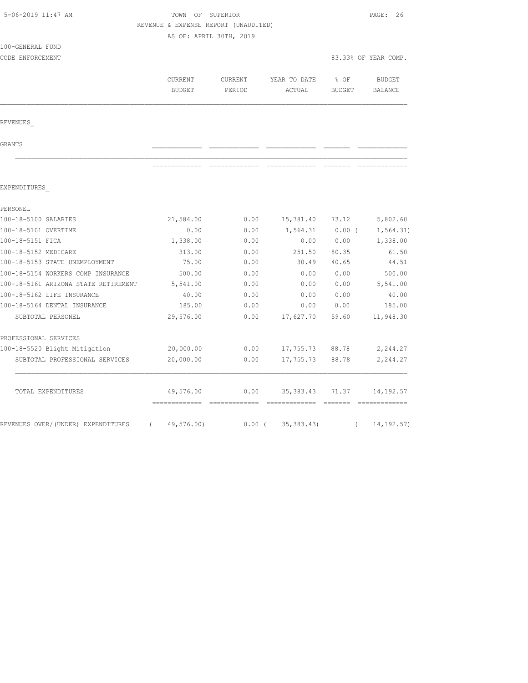| 5-06-2019 11:47 AM                   |                          | TOWN OF SUPERIOR<br>REVENUE & EXPENSE REPORT (UNAUDITED)<br>AS OF: APRIL 30TH, 2019 |                        |                       |                      |  |
|--------------------------------------|--------------------------|-------------------------------------------------------------------------------------|------------------------|-----------------------|----------------------|--|
| 100-GENERAL FUND<br>CODE ENFORCEMENT |                          |                                                                                     |                        |                       | 83.33% OF YEAR COMP. |  |
|                                      | CURRENT<br><b>BUDGET</b> | CURRENT<br>PERIOD                                                                   | YEAR TO DATE<br>ACTUAL | ී OF<br><b>BUDGET</b> | BUDGET<br>BALANCE    |  |
| REVENUES                             |                          |                                                                                     |                        |                       |                      |  |
| GRANTS                               |                          |                                                                                     |                        |                       |                      |  |
|                                      | =============            | --------------                                                                      | -------------          | --------              |                      |  |
| EXPENDITURES                         |                          |                                                                                     |                        |                       |                      |  |
| PERSONEL                             |                          |                                                                                     |                        |                       |                      |  |
| 100-18-5100 SALARIES                 | 21,584.00                | 0.00                                                                                | 15,781.40              | 73.12                 | 5,802.60             |  |
| 100-18-5101 OVERTIME                 | 0.00                     | 0.00                                                                                | 1,564.31               | $0.00$ (              | 1, 564.31)           |  |
| 100-18-5151 FICA                     | 1,338.00                 | 0.00                                                                                | 0.00                   | 0.00                  | 1,338.00             |  |
| 100-18-5152 MEDICARE                 | 313.00                   | 0.00                                                                                | 251.50                 | 80.35                 | 61.50                |  |
| 100-18-5153 STATE UNEMPLOYMENT       | 75.00                    | 0.00                                                                                | 30.49                  | 40.65                 | 44.51                |  |
| 100-18-5154 WORKERS COMP INSURANCE   | 500.00                   | 0.00                                                                                | 0.00                   | 0.00                  | 500.00               |  |
| 100-18-5161 ARIZONA STATE RETIREMENT | 5,541.00                 | 0.00                                                                                | 0.00                   | 0.00                  | 5,541.00             |  |
| 100-18-5162 LIFE INSURANCE           | 40.00                    | 0.00                                                                                | 0.00                   | 0.00                  | 40.00                |  |
| 100-18-5164 DENTAL INSURANCE         | 185.00                   | 0.00                                                                                | 0.00                   | 0.00                  | 185.00               |  |
| SUBTOTAL PERSONEL                    | 29,576.00                | 0.00                                                                                | 17,627.70              | 59.60                 | 11,948.30            |  |
| PROFESSIONAL SERVICES                |                          |                                                                                     |                        |                       |                      |  |
| 100-18-5520 Blight Mitigation        | 20,000.00                | 0.00                                                                                | 17,755.73              | 88.78                 | 2,244.27             |  |
| SUBTOTAL PROFESSIONAL SERVICES       | 20,000.00                | 0.00                                                                                | 17,755.73              | 88.78                 | 2,244.27             |  |
| TOTAL EXPENDITURES                   | 49,576.00                | 0.00                                                                                | 35, 383.43             | 71.37                 | 14, 192.57           |  |
| REVENUES OVER/(UNDER) EXPENDITURES   | 49,576.00)<br>$\left($   | 0.00(                                                                               | 35, 383.43)            | $\left($              | 14, 192.57)          |  |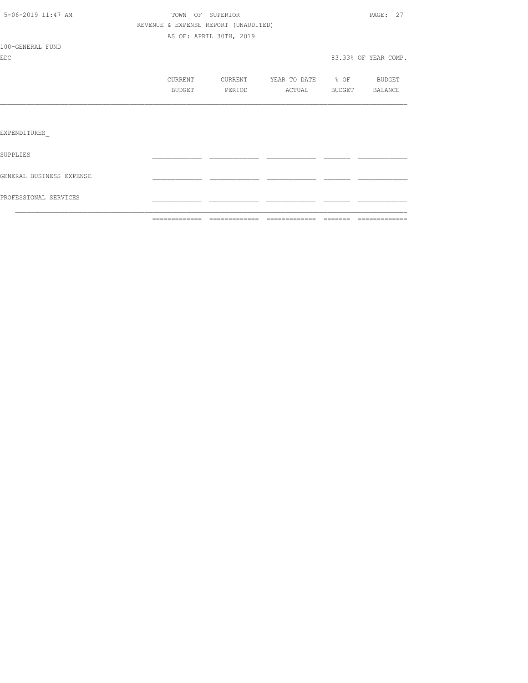|                          | =============                        | --------------          | =============     | --------      | =============        |
|--------------------------|--------------------------------------|-------------------------|-------------------|---------------|----------------------|
| PROFESSIONAL SERVICES    |                                      |                         |                   |               |                      |
| GENERAL BUSINESS EXPENSE |                                      |                         |                   |               |                      |
| SUPPLIES                 |                                      |                         |                   |               |                      |
| EXPENDITURES             |                                      |                         |                   |               |                      |
|                          |                                      |                         |                   |               |                      |
|                          | <b>BUDGET</b>                        | PERIOD                  | ACTUAL            | <b>BUDGET</b> | BALANCE              |
|                          | CURRENT                              | CURRENT                 | YEAR TO DATE % OF |               | BUDGET               |
| <b>EDC</b>               |                                      |                         |                   |               | 83.33% OF YEAR COMP. |
| 100-GENERAL FUND         |                                      |                         |                   |               |                      |
|                          |                                      | AS OF: APRIL 30TH, 2019 |                   |               |                      |
|                          | REVENUE & EXPENSE REPORT (UNAUDITED) |                         |                   |               |                      |
| 5-06-2019 11:47 AM       |                                      | TOWN OF SUPERIOR        |                   |               | PAGE: 27             |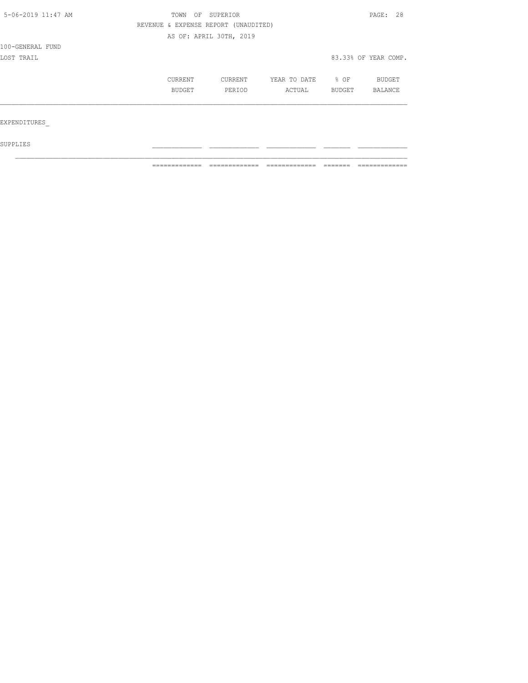| 5-06-2019 11:47 AM | OF<br>TOWN                           | SUPERIOR                |              |        | PAGE: 28             |
|--------------------|--------------------------------------|-------------------------|--------------|--------|----------------------|
|                    | REVENUE & EXPENSE REPORT (UNAUDITED) |                         |              |        |                      |
|                    |                                      | AS OF: APRIL 30TH, 2019 |              |        |                      |
| 100-GENERAL FUND   |                                      |                         |              |        |                      |
| LOST TRAIL         |                                      |                         |              |        | 83.33% OF YEAR COMP. |
|                    | CURRENT                              | <b>CURRENT</b>          | YEAR TO DATE | % OF   | BUDGET               |
|                    | BUDGET                               | PERIOD                  | ACTUAL       | BUDGET | BALANCE              |
|                    |                                      |                         |              |        |                      |
| EXPENDITURES       |                                      |                         |              |        |                      |
|                    |                                      |                         |              |        |                      |

 $\mathcal{L}_\text{max}$ 

 ${\tt SUPPLIES}$ 

============= ============= ============= ======= =============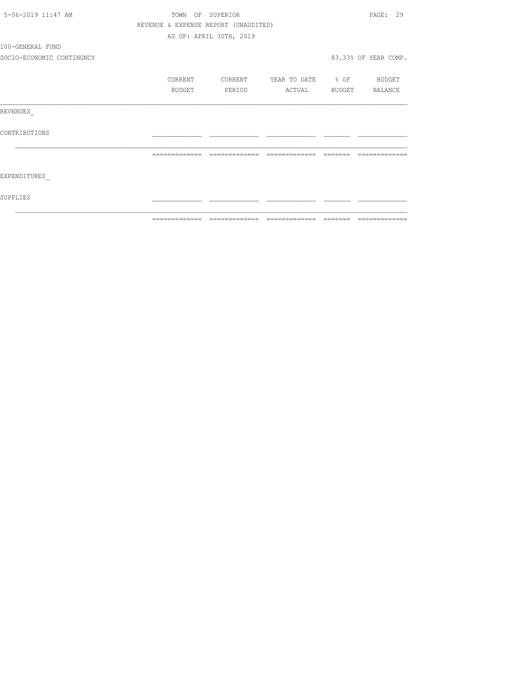| 5-06-2019 11:47 AM        |                                      | TOWN OF SUPERIOR        |                                | PAGE: 29             |
|---------------------------|--------------------------------------|-------------------------|--------------------------------|----------------------|
|                           | REVENUE & EXPENSE REPORT (UNAUDITED) |                         |                                |                      |
|                           |                                      | AS OF: APRIL 30TH, 2019 |                                |                      |
| 100-GENERAL FUND          |                                      |                         |                                |                      |
| SOCIO-ECONOMIC CONTINGNCY |                                      |                         |                                | 83.33% OF YEAR COMP. |
|                           | CURRENT                              | CURRENT                 | YEAR TO DATE % OF BUDGET       |                      |
|                           | <b>BUDGET</b>                        | PERIOD                  | ACTUAL BUDGET BALANCE          |                      |
| REVENUES                  |                                      |                         |                                |                      |
| CONTRIBUTIONS             |                                      |                         |                                |                      |
|                           | =============                        |                         | ============================== |                      |
| EXPENDITURES              |                                      |                         |                                |                      |
| SUPPLIES                  |                                      |                         |                                |                      |
|                           |                                      |                         |                                |                      |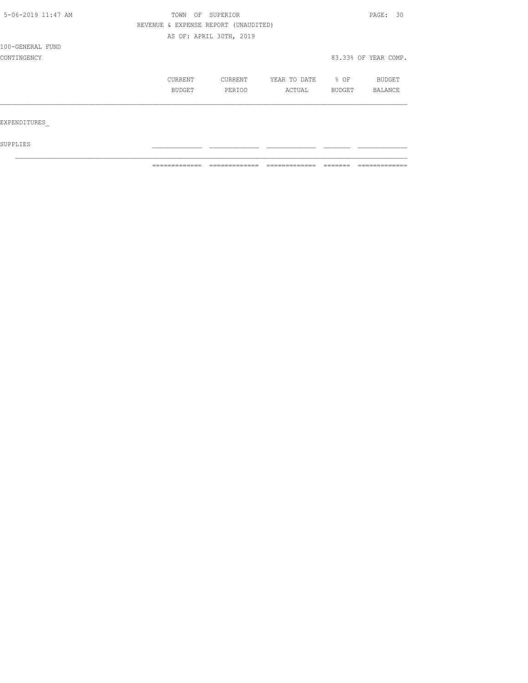| 5-06-2019 11:47 AM | TOWN | OF            | SUPERIOR                             |              |        | PAGE: 30             |
|--------------------|------|---------------|--------------------------------------|--------------|--------|----------------------|
|                    |      |               | REVENUE & EXPENSE REPORT (UNAUDITED) |              |        |                      |
|                    |      |               | AS OF: APRIL 30TH, 2019              |              |        |                      |
| 100-GENERAL FUND   |      |               |                                      |              |        |                      |
| CONTINGENCY        |      |               |                                      |              |        | 83.33% OF YEAR COMP. |
|                    |      | CURRENT       | CURRENT                              | YEAR TO DATE | % OF   | <b>BUDGET</b>        |
|                    |      | <b>BUDGET</b> | PERIOD                               | ACTUAL       | BUDGET | <b>BALANCE</b>       |
|                    |      |               |                                      |              |        |                      |
| EXPENDITURES       |      |               |                                      |              |        |                      |
|                    |      |               |                                      |              |        |                      |

 $\mathcal{L}_\text{max}$ 

 ${\tt SUPPLIES}$ 

============= ============= ============= ======= =============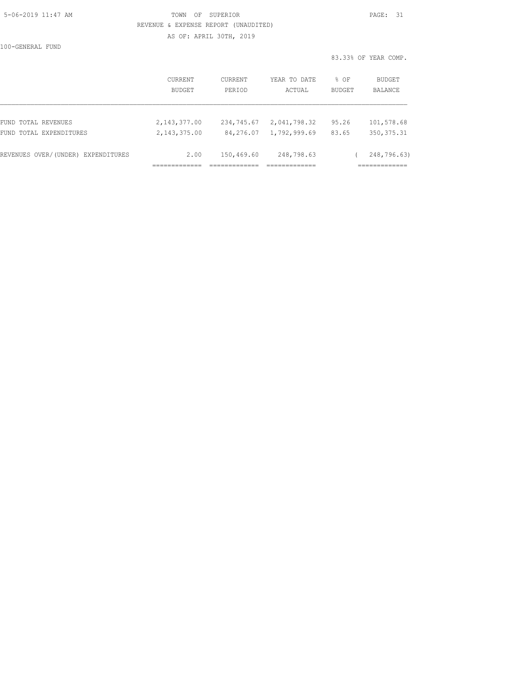### 5-06-2019 11:47 AM TOWN OF SUPERIOR PAGE: 31 REVENUE & EXPENSE REPORT (UNAUDITED) AS OF: APRIL 30TH, 2019

100-GENERAL FUND

|                                    |                          |                   |                        |                       | 83.33% OF YEAR COMP.     |
|------------------------------------|--------------------------|-------------------|------------------------|-----------------------|--------------------------|
|                                    | CURRENT<br><b>BUDGET</b> | CURRENT<br>PERIOD | YEAR TO DATE<br>ACTUAL | % OF<br><b>BUDGET</b> | BUDGET<br><b>BALANCE</b> |
| FUND TOTAL REVENUES                | 2, 143, 377.00           | 234,745.67        | 2,041,798.32           | 95.26                 | 101,578.68               |
| FUND TOTAL EXPENDITURES            | 2, 143, 375, 00          | 84,276.07         | 1,792,999.69           | 83.65                 | 350, 375.31              |
| REVENUES OVER/(UNDER) EXPENDITURES | 2.00                     | 150,469.60        | 248,798.63             |                       | 248,796.63)              |
|                                    |                          |                   |                        |                       | ===========              |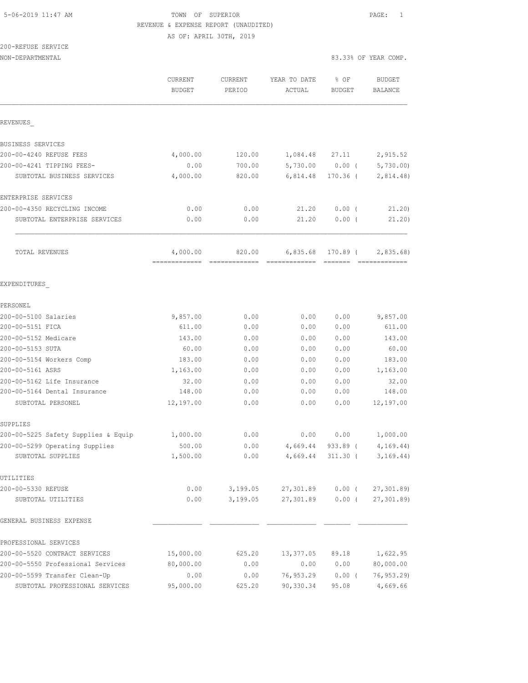# 5-06-2019 11:47 AM TOWN OF SUPERIOR PAGE: 1 REVENUE & EXPENSE REPORT (UNAUDITED)

AS OF: APRIL 30TH, 2019

# 200-REFUSE SERVICE

| NON-DEPARTMENTAL                    |                                           |                   |                                                    |                | 83.33% OF YEAR COMP.      |
|-------------------------------------|-------------------------------------------|-------------------|----------------------------------------------------|----------------|---------------------------|
|                                     | <b>CURRENT</b><br><b>BUDGET</b>           | CURRENT<br>PERIOD | YEAR TO DATE<br>ACTUAL                             | % OF<br>BUDGET | <b>BUDGET</b><br>BALANCE  |
| REVENUES                            |                                           |                   |                                                    |                |                           |
| BUSINESS SERVICES                   |                                           |                   |                                                    |                |                           |
| 200-00-4240 REFUSE FEES             | 4,000.00                                  | 120.00            | 1,084.48 27.11                                     |                | 2,915.52                  |
| 200-00-4241 TIPPING FEES-           | 0.00                                      | 700.00            |                                                    |                | 5,730.00 0.00 ( 5,730.00) |
| SUBTOTAL BUSINESS SERVICES          | 4,000.00                                  | 820.00            | 6,814.48                                           | 170.36 (       | 2,814.48                  |
| ENTERPRISE SERVICES                 |                                           |                   |                                                    |                |                           |
| 200-00-4350 RECYCLING INCOME        | 0.00                                      | 0.00              | 21.20                                              | $0.00$ (       | 21.20                     |
| SUBTOTAL ENTERPRISE SERVICES        | 0.00                                      | 0.00              | 21.20                                              | $0.00$ (       | 21.20)                    |
| TOTAL REVENUES                      | 4,000.00<br>-------------- -------------- | 820.00            | 6,835.68<br>====================================== | 170.89 (       | 2,835.68                  |
| EXPENDITURES                        |                                           |                   |                                                    |                |                           |
| PERSONEL                            |                                           |                   |                                                    |                |                           |
| 200-00-5100 Salaries                | 9,857.00                                  | 0.00              | 0.00                                               | 0.00           | 9,857.00                  |
| 200-00-5151 FICA                    | 611.00                                    | 0.00              | 0.00                                               | 0.00           | 611.00                    |
| 200-00-5152 Medicare                | 143.00                                    | 0.00              | 0.00                                               | 0.00           | 143.00                    |
| 200-00-5153 SUTA                    | 60.00                                     | 0.00              | 0.00                                               | 0.00           | 60.00                     |
| 200-00-5154 Workers Comp            | 183.00                                    | 0.00              | 0.00                                               | 0.00           | 183.00                    |
| 200-00-5161 ASRS                    | 1,163.00                                  | 0.00              | 0.00                                               | 0.00           | 1,163.00                  |
| 200-00-5162 Life Insurance          | 32.00                                     | 0.00              | 0.00                                               | 0.00           | 32.00                     |
| 200-00-5164 Dental Insurance        | 148.00                                    | 0.00              | 0.00                                               | 0.00           | 148.00                    |
| SUBTOTAL PERSONEL                   | 12,197.00                                 | 0.00              | 0.00                                               | 0.00           | 12,197.00                 |
| SUPPLIES                            |                                           |                   |                                                    |                |                           |
| 200-00-5225 Safety Supplies & Equip | 1,000.00                                  | 0.00              | 0.00                                               | 0.00           | 1,000.00                  |
| 200-00-5299 Operating Supplies      | 500.00                                    | 0.00              | 4,669.44                                           | $933.89$ (     | 4, 169.44)                |
| SUBTOTAL SUPPLIES                   | 1,500.00                                  | 0.00              | 4,669.44                                           | 311.30 (       | 3, 169.44)                |
| UTILITIES                           |                                           |                   |                                                    |                |                           |
| 200-00-5330 REFUSE                  | 0.00                                      | 3,199.05          | 27,301.89                                          | $0.00$ (       | 27,301.89)                |
| SUBTOTAL UTILITIES                  | 0.00                                      | 3,199.05          | 27,301.89                                          | $0.00$ (       | 27,301.89)                |
| GENERAL BUSINESS EXPENSE            |                                           |                   |                                                    |                |                           |
| PROFESSIONAL SERVICES               |                                           |                   |                                                    |                |                           |
| 200-00-5520 CONTRACT SERVICES       | 15,000.00                                 | 625.20            | 13,377.05                                          | 89.18          | 1,622.95                  |
| 200-00-5550 Professional Services   | 80,000.00                                 | 0.00              | 0.00                                               | 0.00           | 80,000.00                 |
| 200-00-5599 Transfer Clean-Up       | 0.00                                      | 0.00              | 76,953.29                                          | $0.00$ (       | 76, 953.29                |
| SUBTOTAL PROFESSIONAL SERVICES      | 95,000.00                                 | 625.20            | 90,330.34                                          | 95.08          | 4,669.66                  |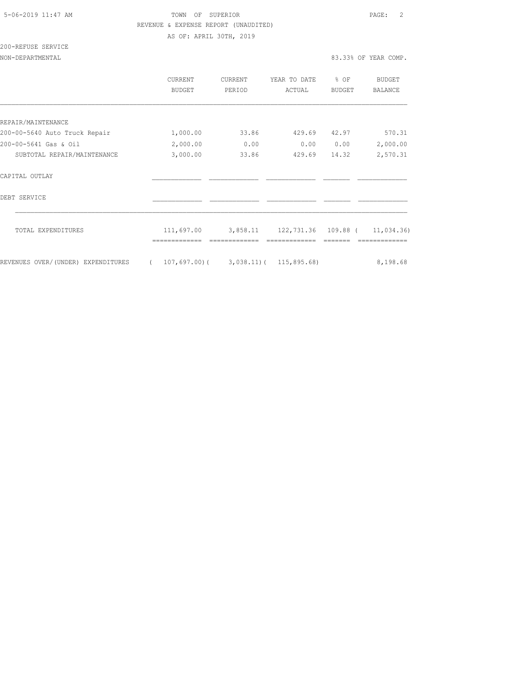### 5-06-2019 11:47 AM TOWN OF SUPERIOR PAGE: 2 REVENUE & EXPENSE REPORT (UNAUDITED) AS OF: APRIL 30TH, 2019

200-REFUSE SERVICE

|                                    |            | CURRENT<br>BUDGET                        | <b>CURRENT</b><br>PERIOD | YEAR TO DATE<br>ACTUAL         | % OF<br><b>BUDGET</b> | BUDGET<br><b>BALANCE</b> |
|------------------------------------|------------|------------------------------------------|--------------------------|--------------------------------|-----------------------|--------------------------|
|                                    |            |                                          |                          |                                |                       |                          |
| REPAIR/MAINTENANCE                 |            |                                          |                          |                                |                       |                          |
| 200-00-5640 Auto Truck Repair      |            | 1,000.00                                 | 33.86                    | 429.69                         | 42.97                 | 570.31                   |
| 200-00-5641 Gas & Oil              |            | 2,000.00                                 | 0.00                     | 0.00                           | 0.00                  | 2,000.00                 |
| SUBTOTAL REPAIR/MAINTENANCE        |            | 3,000.00                                 | 33.86                    | 429.69                         | 14.32                 | 2,570.31                 |
| CAPITAL OUTLAY                     |            |                                          |                          |                                |                       |                          |
| DEBT SERVICE                       |            |                                          |                          |                                |                       |                          |
| TOTAL EXPENDITURES                 |            | 111,697.00                               | 3,858.11                 | 122,731.36 109.88 ( 11,034.36) |                       |                          |
|                                    |            |                                          |                          |                                |                       |                          |
| REVENUES OVER/(UNDER) EXPENDITURES | $\sqrt{2}$ | $107, 697, 00$ ( 3,038.11) ( 115,895.68) |                          |                                |                       | 8,198.68                 |
|                                    |            |                                          |                          |                                |                       |                          |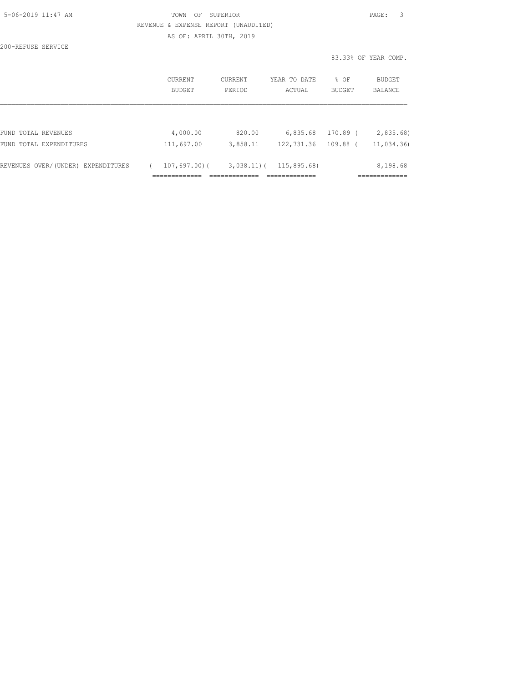| 5-06-2019 11:47 AM |  |
|--------------------|--|
|                    |  |

## TOWN OF SUPERIOR **Example 2019** 2019 11:47 PAGE: 3 REVENUE & EXPENSE REPORT (UNAUDITED) AS OF: APRIL 30TH, 2019

200-REFUSE SERVICE

83.33% OF YEAR COMP.

|                                    | CURRENT<br>BUDGET | CURRENT<br>PERIOD | YEAR TO DATE<br>ACTUAL | % OF<br><b>BUDGET</b> | BUDGET<br>BALANCE |
|------------------------------------|-------------------|-------------------|------------------------|-----------------------|-------------------|
|                                    |                   |                   |                        |                       |                   |
| FUND TOTAL REVENUES                | 4,000.00          | 820.00            | 6,835.68               | 170.89 (              | 2,835.68          |
| FUND TOTAL EXPENDITURES            | 111,697.00        | 3,858.11          | 122,731.36             | $109.88$ (            | 11,034.36)        |
| REVENUES OVER/(UNDER) EXPENDITURES | $107,697,00$ (    | $3,038.11)$ (     | 115,895.68)            |                       | 8,198.68          |
|                                    |                   |                   |                        |                       |                   |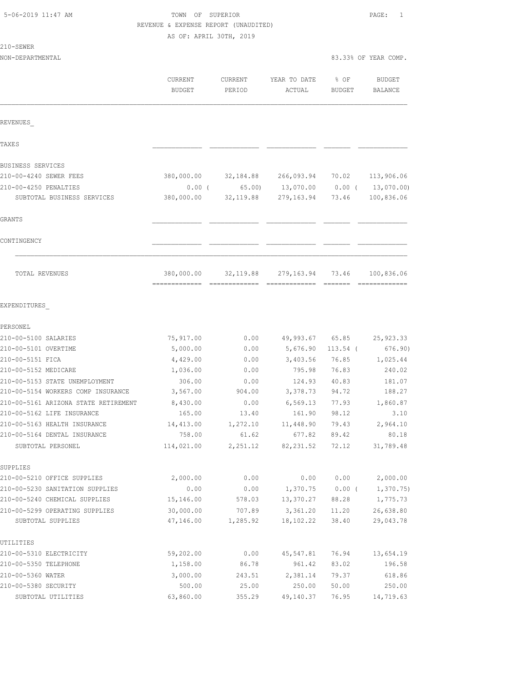# TOWN OF SUPERIOR **11:47 AM TOWN OF SUPERIOR** REVENUE & EXPENSE REPORT (UNAUDITED)

AS OF: APRIL 30TH, 2019

| 210-SEWER                            |            |            |              |               |                      |
|--------------------------------------|------------|------------|--------------|---------------|----------------------|
| NON-DEPARTMENTAL                     |            |            |              |               | 83.33% OF YEAR COMP. |
|                                      | CURRENT    | CURRENT    | YEAR TO DATE | % OF          | BUDGET               |
|                                      | BUDGET     | PERIOD     | ACTUAL       | <b>BUDGET</b> | BALANCE              |
|                                      |            |            |              |               |                      |
| REVENUES                             |            |            |              |               |                      |
| TAXE S                               |            |            |              |               |                      |
| BUSINESS SERVICES                    |            |            |              |               |                      |
| 210-00-4240 SEWER FEES               | 380,000.00 | 32,184.88  | 266,093.94   | 70.02         | 113,906.06           |
| 210-00-4250 PENALTIES                | 0.00(      | 65.00)     | 13,070.00    | $0.00$ (      | 13,070.00)           |
| SUBTOTAL BUSINESS SERVICES           | 380,000.00 | 32, 119.88 | 279,163.94   | 73.46         | 100,836.06           |
| GRANTS                               |            |            |              |               |                      |
| CONTINGENCY                          |            |            |              |               |                      |
| TOTAL REVENUES                       | 380,000.00 | 32, 119.88 | 279,163.94   | 73.46         | 100,836.06           |
| EXPENDITURES                         |            |            |              |               |                      |
| PERSONEL                             |            |            |              |               |                      |
| 210-00-5100 SALARIES                 | 75,917.00  | 0.00       | 49,993.67    | 65.85         | 25, 923.33           |
| 210-00-5101 OVERTIME                 | 5,000.00   | 0.00       | 5,676.90     | $113.54$ (    | 676.90)              |
| 210-00-5151 FICA                     | 4,429.00   | 0.00       | 3,403.56     | 76.85         | 1,025.44             |
| 210-00-5152 MEDICARE                 | 1,036.00   | 0.00       | 795.98       | 76.83         | 240.02               |
| 210-00-5153 STATE UNEMPLOYMENT       | 306.00     | 0.00       | 124.93       | 40.83         | 181.07               |
| 210-00-5154 WORKERS COMP INSURANCE   | 3,567.00   | 904.00     | 3,378.73     | 94.72         | 188.27               |
| 210-00-5161 ARIZONA STATE RETIREMENT | 8,430.00   | 0.00       | 6,569.13     | 77.93         | 1,860.87             |
| 210-00-5162 LIFE INSURANCE           | 165.00     | 13.40      | 161.90       | 98.12         | 3.10                 |
| 210-00-5163 HEALTH INSURANCE         | 14,413.00  | 1,272.10   | 11,448.90    | 79.43         | 2,964.10             |
| 210-00-5164 DENTAL INSURANCE         | 758.00     | 61.62      | 677.82       | 89.42         | 80.18                |
| SUBTOTAL PERSONEL                    | 114,021.00 | 2,251.12   | 82, 231.52   | 72.12         | 31,789.48            |
| SUPPLIES                             |            |            |              |               |                      |
| 210-00-5210 OFFICE SUPPLIES          | 2,000.00   | 0.00       | 0.00         | 0.00          | 2,000.00             |
| 210-00-5230 SANITATION SUPPLIES      | 0.00       | 0.00       | 1,370.75     | $0.00$ (      | 1, 370.75            |
| 210-00-5240 CHEMICAL SUPPLIES        | 15,146.00  | 578.03     | 13,370.27    | 88.28         | 1,775.73             |
| 210-00-5299 OPERATING SUPPLIES       | 30,000.00  | 707.89     | 3,361.20     | 11.20         | 26,638.80            |
| SUBTOTAL SUPPLIES                    | 47,146.00  | 1,285.92   | 18,102.22    | 38.40         | 29,043.78            |
| UTILITIES                            |            |            |              |               |                      |
| 210-00-5310 ELECTRICITY              | 59,202.00  | 0.00       | 45,547.81    | 76.94         | 13,654.19            |
| 210-00-5350 TELEPHONE                | 1,158.00   | 86.78      | 961.42       | 83.02         | 196.58               |
| 210-00-5360 WATER                    | 3,000.00   | 243.51     | 2,381.14     | 79.37         | 618.86               |

210-00-5380 SECURITY 500.00 25.00 250.00 50.00 250.00 SUBTOTAL UTILITIES 63,860.00 355.29 49,140.37 76.95 14,719.63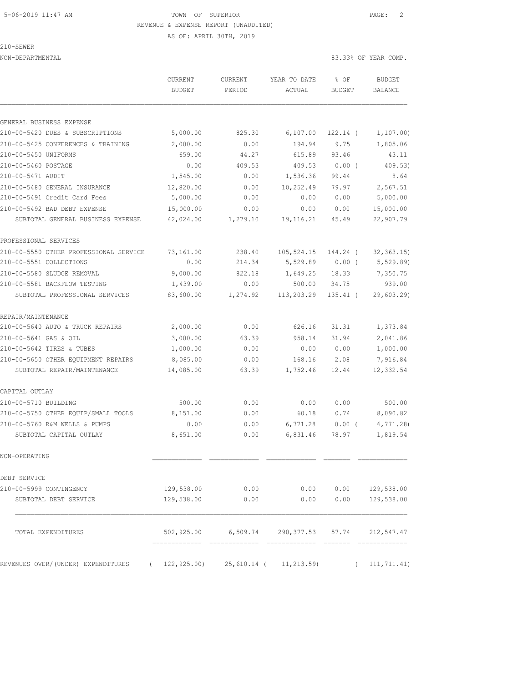## 5-06-2019 11:47 AM TOWN OF SUPERIOR PAGE: 2 REVENUE & EXPENSE REPORT (UNAUDITED)

210-SEWER

AS OF: APRIL 30TH, 2019

NON-DEPARTMENTAL 83.33% OF YEAR COMP.

|                                        | CURRENT<br><b>BUDGET</b> | CURRENT<br>PERIOD | YEAR TO DATE<br>ACTUAL               | % OF<br><b>BUDGET</b> | <b>BUDGET</b><br><b>BALANCE</b> |
|----------------------------------------|--------------------------|-------------------|--------------------------------------|-----------------------|---------------------------------|
| GENERAL BUSINESS EXPENSE               |                          |                   |                                      |                       |                                 |
| 210-00-5420 DUES & SUBSCRIPTIONS       | 5,000.00                 | 825.30            | 6,107.00                             | $122.14$ (            | 1, 107.00                       |
| 210-00-5425 CONFERENCES & TRAINING     | 2,000.00                 | 0.00              | 194.94                               | 9.75                  | 1,805.06                        |
| 210-00-5450 UNIFORMS                   | 659.00                   | 44.27             | 615.89                               | 93.46                 | 43.11                           |
| 210-00-5460 POSTAGE                    | 0.00                     | 409.53            | 409.53                               | 0.00(                 | 409.53)                         |
| 210-00-5471 AUDIT                      | 1,545.00                 | 0.00              | 1,536.36                             | 99.44                 | 8.64                            |
| 210-00-5480 GENERAL INSURANCE          | 12,820.00                | 0.00              | 10,252.49                            | 79.97                 | 2,567.51                        |
| 210-00-5491 Credit Card Fees           | 5,000.00                 | 0.00              | 0.00                                 | 0.00                  | 5,000.00                        |
| 210-00-5492 BAD DEBT EXPENSE           | 15,000.00                | 0.00              | 0.00                                 | 0.00                  | 15,000.00                       |
| SUBTOTAL GENERAL BUSINESS EXPENSE      | 42,024.00                | 1,279.10          | 19, 116. 21                          | 45.49                 | 22,907.79                       |
| PROFESSIONAL SERVICES                  |                          |                   |                                      |                       |                                 |
| 210-00-5550 OTHER PROFESSIONAL SERVICE | 73,161.00                | 238.40            | 105,524.15                           | 144.24 (              | 32, 363.15                      |
| 210-00-5551 COLLECTIONS                | 0.00                     | 214.34            | 5,529.89                             | $0.00$ (              | 5,529.89)                       |
| 210-00-5580 SLUDGE REMOVAL             | 9,000.00                 | 822.18            | 1,649.25                             | 18.33                 | 7,350.75                        |
| 210-00-5581 BACKFLOW TESTING           | 1,439.00                 | 0.00              | 500.00                               | 34.75                 | 939.00                          |
| SUBTOTAL PROFESSIONAL SERVICES         | 83,600.00                | 1,274.92          | 113,203.29                           | $135.41$ (            | 29,603.29                       |
| REPAIR/MAINTENANCE                     |                          |                   |                                      |                       |                                 |
| 210-00-5640 AUTO & TRUCK REPAIRS       | 2,000.00                 | 0.00              | 626.16                               | 31.31                 | 1,373.84                        |
| 210-00-5641 GAS & OIL                  | 3,000.00                 | 63.39             | 958.14                               | 31.94                 | 2,041.86                        |
| 210-00-5642 TIRES & TUBES              | 1,000.00                 | 0.00              | 0.00                                 | 0.00                  | 1,000.00                        |
| 210-00-5650 OTHER EQUIPMENT REPAIRS    | 8,085.00                 | 0.00              | 168.16                               | 2.08                  | 7,916.84                        |
| SUBTOTAL REPAIR/MAINTENANCE            | 14,085.00                | 63.39             | 1,752.46                             | 12.44                 | 12,332.54                       |
| CAPITAL OUTLAY                         |                          |                   |                                      |                       |                                 |
| 210-00-5710 BUILDING                   | 500.00                   | 0.00              | 0.00                                 | 0.00                  | 500.00                          |
| 210-00-5750 OTHER EQUIP/SMALL TOOLS    | 8,151.00                 | 0.00              | 60.18                                | 0.74                  | 8,090.82                        |
| 210-00-5760 R&M WELLS & PUMPS          | 0.00                     | 0.00              | 6,771.28                             | $0.00$ (              | 6,771.28                        |
| SUBTOTAL CAPITAL OUTLAY                | 8,651.00                 | 0.00              | 6,831.46                             | 78.97                 | 1,819.54                        |
| NON-OPERATING                          |                          |                   |                                      |                       |                                 |
| DEBT SERVICE                           |                          |                   |                                      |                       |                                 |
| 210-00-5999 CONTINGENCY                | 129,538.00               | 0.00              | 0.00                                 | 0.00                  | 129,538.00                      |
| SUBTOTAL DEBT SERVICE                  | 129,538.00               | 0.00              | 0.00                                 | 0.00                  | 129,538.00                      |
| TOTAL EXPENDITURES                     |                          |                   | 502,925.00 6,509.74 290,377.53 57.74 |                       | 212,547.47                      |
| REVENUES OVER/(UNDER) EXPENDITURES     | 122, 925.00              | 25,610.14 (       | 11, 213.59                           | $\sqrt{2}$            | 111, 711.41)                    |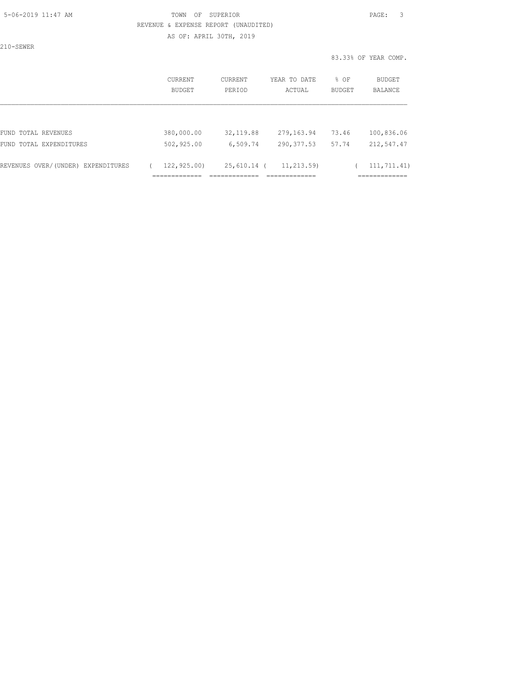### 5-06-2019 11:47 AM TOWN OF SUPERIOR PAGE: 3 REVENUE & EXPENSE REPORT (UNAUDITED) AS OF: APRIL 30TH, 2019

210-SEWER

83.33% OF YEAR COMP.

|                                       | CURRENT<br>BUDGET            | <b>CURRENT</b><br>PERIOD   | YEAR TO DATE<br>ACTUAL        | % OF<br><b>BUDGET</b> | BUDGET<br>BALANCE                             |
|---------------------------------------|------------------------------|----------------------------|-------------------------------|-----------------------|-----------------------------------------------|
|                                       |                              |                            |                               |                       |                                               |
| FUND TOTAL REVENUES                   | 380,000.00                   | 32, 119.88                 | 279, 163.94                   | 73.46                 | 100,836.06                                    |
| FUND TOTAL EXPENDITURES               | 502,925.00                   | 6,509.74                   | 290, 377.53                   | 57.74                 | 212,547.47                                    |
| REVENUES OVER/(UNDER)<br>EXPENDITURES | 122,925.00)<br>_____________ | 25,610.14<br>------------- | 11, 213, 59)<br>_____________ |                       | 111, 711, 41)<br>____________<br>------------ |
|                                       | .                            | .                          | -----------                   |                       |                                               |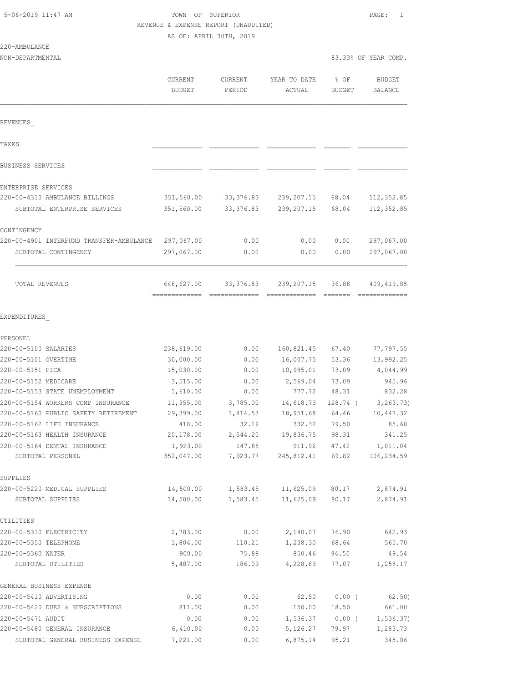|  | 5-06-2019 11:47 AM |  |
|--|--------------------|--|
|  |                    |  |

# TOWN OF SUPERIOR **11:47 AM TOWN OF SUPERIOR** REVENUE & EXPENSE REPORT (UNAUDITED)

AS OF: APRIL 30TH, 2019

|                                          | CURRENT<br><b>BUDGET</b>    | <b>CURRENT</b><br>PERIOD | YEAR TO DATE<br>ACTUAL | % OF<br><b>BUDGET</b>                                                            | <b>BUDGET</b><br>BALANCE     |
|------------------------------------------|-----------------------------|--------------------------|------------------------|----------------------------------------------------------------------------------|------------------------------|
| REVENUES                                 |                             |                          |                        |                                                                                  |                              |
| TAXE S                                   |                             |                          |                        |                                                                                  |                              |
| BUSINESS SERVICES                        |                             |                          |                        |                                                                                  |                              |
| ENTERPRISE SERVICES                      |                             |                          |                        |                                                                                  |                              |
| 220-00-4310 AMBULANCE BILLINGS           | 351,560.00                  | 33, 376.83               | 239, 207. 15           | 68.04                                                                            | 112, 352.85                  |
| SUBTOTAL ENTERPRISE SERVICES             | 351,560.00                  | 33, 376.83               | 239, 207.15            | 68.04                                                                            | 112,352.85                   |
| CONTINGENCY                              |                             |                          |                        |                                                                                  |                              |
| 220-00-4901 INTERFUND TRANSFER-AMBULANCE | 297,067.00                  | 0.00                     | 0.00                   | 0.00                                                                             | 297,067.00                   |
| SUBTOTAL CONTINGENCY                     | 297,067.00                  | 0.00                     | 0.00                   | 0.00                                                                             | 297,067.00                   |
| TOTAL REVENUES                           | 648,627.00<br>------------- | 33, 376.83               | 239, 207. 15           | 36.88<br>$\begin{array}{cccccccccc} = & = & = & = & = & = & = & = & \end{array}$ | 409, 419.85<br>============= |
| EXPENDITURES                             |                             |                          |                        |                                                                                  |                              |
| PERSONEL                                 |                             |                          |                        |                                                                                  |                              |
| 220-00-5100 SALARIES                     | 238,619.00                  | 0.00                     | 160,821.45             | 67.40                                                                            | 77,797.55                    |
| 220-00-5101 OVERTIME                     | 30,000.00                   | 0.00                     | 16,007.75              | 53.36                                                                            | 13,992.25                    |
| 220-00-5151 FICA                         | 15,030.00                   | 0.00                     | 10,985.01              | 73.09                                                                            | 4,044.99                     |
| 220-00-5152 MEDICARE                     | 3,515.00                    | 0.00                     | 2,569.04               | 73.09                                                                            | 945.96                       |
| 220-00-5153 STATE UNEMPLOYMENT           | 1,610.00                    | 0.00                     | 777.72                 | 48.31                                                                            | 832.28                       |
| 220-00-5154 WORKERS COMP INSURANCE       | 11,355.00                   | 3,785.00                 | 14,618.73              | 128.74 (                                                                         | 3, 263.73)                   |
| 220-00-5160 PUBLIC SAFETY RETIREMENT     | 29,399.00                   | 1,414.53                 | 18,951.68              | 64.46                                                                            | 10,447.32                    |
| 220-00-5162 LIFE INSURANCE               | 418.00                      | 32.16                    | 332.32                 | 79.50                                                                            | 85.68                        |
| 220-00-5163 HEALTH INSURANCE             | 20,178.00                   | 2,544.20                 | 19,836.75              | 98.31                                                                            | 341.25                       |
| 220-00-5164 DENTAL INSURANCE             | 1,923.00                    | 147.88                   | 911.96                 | 47.42                                                                            | 1,011.04                     |
| SUBTOTAL PERSONEL                        | 352,047.00                  | 7,923.77                 | 245,812.41             | 69.82                                                                            | 106,234.59                   |
| SUPPLIES                                 |                             |                          |                        |                                                                                  |                              |
| 220-00-5220 MEDICAL SUPPLIES             | 14,500.00                   | 1,583.45                 | 11,625.09              | 80.17                                                                            | 2,874.91                     |
| SUBTOTAL SUPPLIES                        | 14,500.00                   | 1,583.45                 | 11,625.09              | 80.17                                                                            | 2,874.91                     |
| UTILITIES                                |                             |                          |                        |                                                                                  |                              |
| 220-00-5310 ELECTRICITY                  | 2,783.00                    | 0.00                     | 2,140.07               | 76.90                                                                            | 642.93                       |
| 220-00-5350 TELEPHONE                    | 1,804.00                    | 110.21                   | 1,238.30               | 68.64                                                                            | 565.70                       |
| 220-00-5360 WATER                        | 900.00                      | 75.88                    | 850.46                 | 94.50                                                                            | 49.54                        |
| SUBTOTAL UTILITIES                       | 5,487.00                    | 186.09                   | 4,228.83               | 77.07                                                                            | 1,258.17                     |
| GENERAL BUSINESS EXPENSE                 |                             |                          |                        |                                                                                  |                              |
| 220-00-5410 ADVERTISING                  | 0.00                        | 0.00                     | 62.50                  | 0.00(                                                                            | 62,50)                       |
| 220-00-5420 DUES & SUBSCRIPTIONS         | 811.00                      | 0.00                     | 150.00                 | 18.50                                                                            | 661.00                       |
| 220-00-5471 AUDIT                        | 0.00                        | 0.00                     | 1,536.37               | $0.00$ (                                                                         | 1, 536.37)                   |
| 220-00-5480 GENERAL INSURANCE            | 6,410.00                    | 0.00                     | 5,126.27               | 79.97                                                                            | 1,283.73                     |
| SUBTOTAL GENERAL BUSINESS EXPENSE        | 7,221.00                    | 0.00                     | 6,875.14               | 95.21                                                                            | 345.86                       |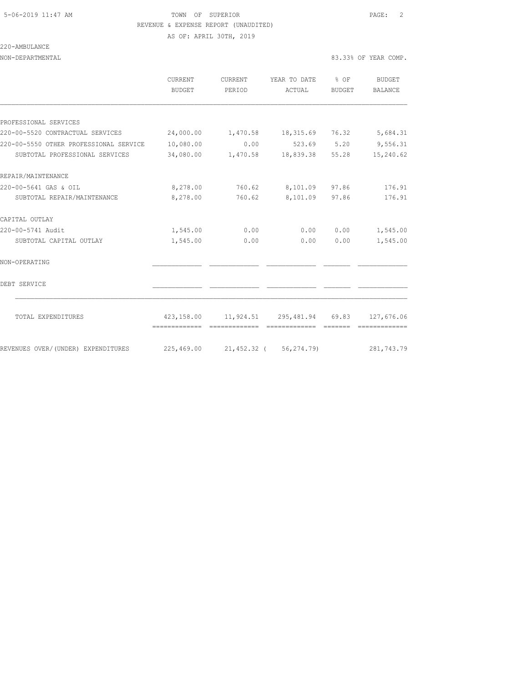# 5-06-2019 11:47 AM TOWN OF SUPERIOR PAGE: 2 REVENUE & EXPENSE REPORT (UNAUDITED)

AS OF: APRIL 30TH, 2019

220-AMBULANCE

| NON-DEPARTMENTAL                                                                  |                   |                   |                                       |        | 83.33% OF YEAR COMP.     |  |
|-----------------------------------------------------------------------------------|-------------------|-------------------|---------------------------------------|--------|--------------------------|--|
|                                                                                   | CURRENT<br>BUDGET | CURRENT<br>PERIOD | YEAR TO DATE % OF<br>ACTUAL           | BUDGET | <b>BUDGET</b><br>BALANCE |  |
|                                                                                   |                   |                   |                                       |        |                          |  |
| PROFESSIONAL SERVICES                                                             |                   |                   |                                       |        |                          |  |
| 220-00-5520 CONTRACTUAL SERVICES       24,000.00    1,470.58    18,315.69   76.32 |                   |                   |                                       |        | 5,684.31                 |  |
| 220-00-5550 OTHER PROFESSIONAL SERVICE                                            | 10,080.00         | 0.00              | 523.69 5.20 9,556.31                  |        |                          |  |
| SUBTOTAL PROFESSIONAL SERVICES                                                    |                   |                   | 34,080.00  1,470.58  18,839.38  55.28 |        | 15,240.62                |  |
| REPAIR/MAINTENANCE                                                                |                   |                   |                                       |        |                          |  |
| 220-00-5641 GAS & OIL                                                             | 8,278.00          |                   | 760.62 8,101.09 97.86                 |        | 176.91                   |  |
| SUBTOTAL REPAIR/MAINTENANCE                                                       | 8,278.00          | 760.62            | 8,101.09 97.86                        |        | 176.91                   |  |
| CAPITAL OUTLAY                                                                    |                   |                   |                                       |        |                          |  |
| 220-00-5741 Audit                                                                 | 1,545.00          | 0.00              | 0.00                                  | 0.00   | 1,545.00                 |  |
| SUBTOTAL CAPITAL OUTLAY                                                           | 1,545.00          | 0.00              | 0.00                                  | 0.00   | 1,545.00                 |  |
| NON-OPERATING                                                                     |                   |                   |                                       |        |                          |  |
| DEBT SERVICE                                                                      |                   |                   |                                       |        |                          |  |
| TOTAL EXPENDITURES                                                                |                   |                   | 423,158.00 11,924.51 295,481.94 69.83 |        | 127,676.06               |  |
|                                                                                   |                   |                   |                                       |        |                          |  |
| REVENUES OVER/(UNDER) EXPENDITURES                                                |                   |                   | 225,469.00 21,452.32 (56,274.79)      |        | 281,743.79               |  |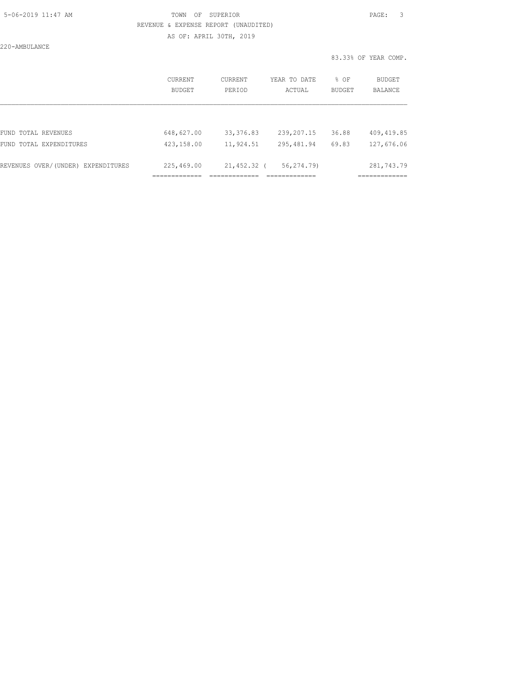### 5-06-2019 11:47 AM TOWN OF SUPERIOR PAGE: 3 REVENUE & EXPENSE REPORT (UNAUDITED) AS OF: APRIL 30TH, 2019

220-AMBULANCE

83.33% OF YEAR COMP.

|                                    | CURRENT<br><b>BUDGET</b> | CURRENT<br>PERIOD | YEAR TO DATE<br>ACTUAL | % OF<br><b>BUDGET</b> | BUDGET<br><b>BALANCE</b> |
|------------------------------------|--------------------------|-------------------|------------------------|-----------------------|--------------------------|
|                                    |                          |                   |                        |                       |                          |
| FUND TOTAL REVENUES                | 648,627.00               | 33, 376.83        | 239,207.15             | 36.88                 | 409, 419.85              |
| FUND TOTAL EXPENDITURES            | 423,158.00               | 11,924.51         | 295,481.94             | 69.83                 | 127,676.06               |
| REVENUES OVER/(UNDER) EXPENDITURES | 225,469.00               | 21,452.32 (       | 56,274.79)             |                       | 281,743.79               |
|                                    |                          |                   |                        |                       |                          |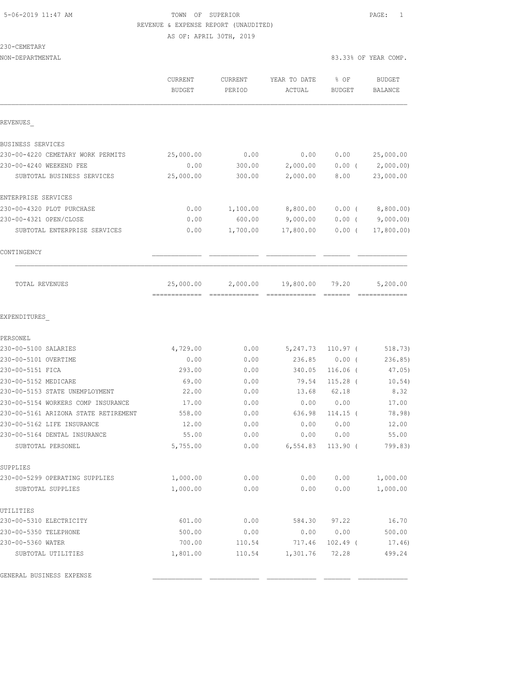### 5-06-2019 11:47 AM TOWN OF SUPERIOR PAGE: 1 REVENUE & EXPENSE REPORT (UNAUDITED) AS OF: APRIL 30TH, 2019

230-CEMETARY

|                                                            | <b>CURRENT</b><br><b>BUDGET</b> | <b>CURRENT</b><br>PERIOD | YEAR TO DATE<br>ACTUAL | % OF<br><b>BUDGET</b> | <b>BUDGET</b><br>BALANCE |
|------------------------------------------------------------|---------------------------------|--------------------------|------------------------|-----------------------|--------------------------|
| REVENUES                                                   |                                 |                          |                        |                       |                          |
| BUSINESS SERVICES                                          |                                 |                          |                        |                       |                          |
| 230-00-4220 CEMETARY WORK PERMITS                          | 25,000.00                       | 0.00                     | 0.00                   | 0.00                  | 25,000.00                |
| 230-00-4240 WEEKEND FEE                                    | 0.00                            | 300.00                   | 2,000.00               | $0.00$ (              | 2,000.00                 |
| SUBTOTAL BUSINESS SERVICES                                 | 25,000.00                       | 300.00                   | 2,000.00               | 8.00                  | 23,000.00                |
| ENTERPRISE SERVICES                                        |                                 |                          |                        |                       |                          |
| 230-00-4320 PLOT PURCHASE                                  | 0.00                            | 1,100.00                 | 8,800.00               | $0.00$ (              | 8,800.00)                |
| 230-00-4321 OPEN/CLOSE                                     | 0.00                            | 600.00                   | 9,000.00               | 0.00(                 | 9,000.00)                |
| SUBTOTAL ENTERPRISE SERVICES                               | 0.00                            | 1,700.00                 | 17,800.00              | $0.00$ (              | 17,800.00)               |
| CONTINGENCY                                                |                                 |                          |                        |                       |                          |
| TOTAL REVENUES                                             | 25,000.00                       | 2,000.00                 | 19,800.00              | 79.20                 | 5,200.00                 |
| EXPENDITURES                                               |                                 |                          |                        |                       |                          |
| PERSONEL                                                   |                                 |                          |                        |                       |                          |
| 230-00-5100 SALARIES                                       | 4,729.00                        | 0.00                     | 5,247.73               | $110.97$ (            | 518.73)                  |
| 230-00-5101 OVERTIME                                       | 0.00                            | 0.00                     | 236.85                 | $0.00$ (              | 236.85                   |
| 230-00-5151 FICA                                           | 293.00                          | 0.00                     | 340.05                 | 116.06 (              | 47.05)                   |
| 230-00-5152 MEDICARE                                       | 69.00                           | 0.00                     | 79.54                  | $115.28$ (            | 10.54)                   |
| 230-00-5153 STATE UNEMPLOYMENT                             | 22.00                           | 0.00                     | 13.68                  | 62.18                 | 8.32                     |
| 230-00-5154 WORKERS COMP INSURANCE                         | 17.00                           | 0.00                     | 0.00                   | 0.00                  | 17.00<br>78.98)          |
| 230-00-5161 ARIZONA STATE RETIREMENT                       | 558.00                          | 0.00                     | 636.98                 | $114.15$ (            |                          |
| 230-00-5162 LIFE INSURANCE<br>230-00-5164 DENTAL INSURANCE | 12.00<br>55.00                  | 0.00<br>0.00             | 0.00<br>0.00           | 0.00<br>0.00          | 12.00<br>55.00           |
| SUBTOTAL PERSONEL                                          | 5,755.00                        | 0.00                     | 6,554.83               | $113.90$ (            | 799.83)                  |
| SUPPLIES                                                   |                                 |                          |                        |                       |                          |
| 230-00-5299 OPERATING SUPPLIES                             | 1,000.00                        | 0.00                     | 0.00                   | 0.00                  | 1,000.00                 |
| SUBTOTAL SUPPLIES                                          | 1,000.00                        | 0.00                     | 0.00                   | 0.00                  | 1,000.00                 |
| UTILITIES                                                  |                                 |                          |                        |                       |                          |
| 230-00-5310 ELECTRICITY                                    | 601.00                          | 0.00                     | 584.30                 | 97.22                 | 16.70                    |
| 230-00-5350 TELEPHONE                                      | 500.00                          | 0.00                     | 0.00                   | 0.00                  | 500.00                   |
| 230-00-5360 WATER                                          | 700.00                          | 110.54                   | 717.46                 | $102.49$ (            | 17.46)                   |
| SUBTOTAL UTILITIES                                         | 1,801.00                        | 110.54                   | 1,301.76               | 72.28                 | 499.24                   |

GENERAL BUSINESS EXPENSE \_\_\_\_\_\_\_\_\_\_\_\_\_ \_\_\_\_\_\_\_\_\_\_\_\_\_ \_\_\_\_\_\_\_\_\_\_\_\_\_ \_\_\_\_\_\_\_ \_\_\_\_\_\_\_\_\_\_\_\_\_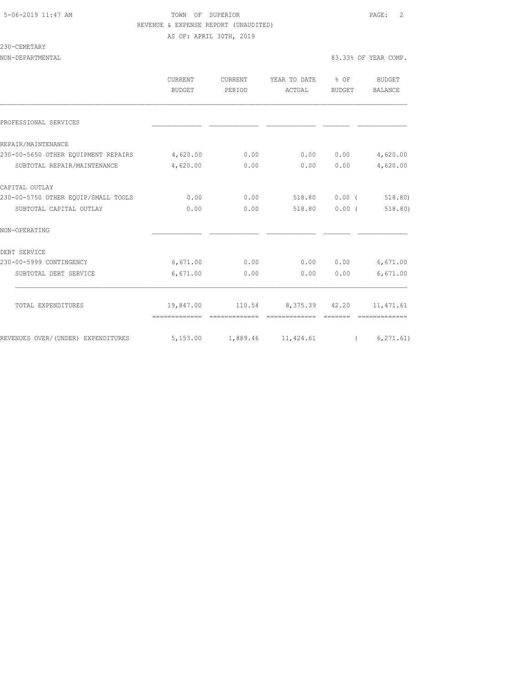#### 5-06-2019 11:47 AM TOWN OF SUPERIOR PAGE: 2 REVENUE & EXPENSE REPORT (UNAUDITED) AS OF: APRIL 30TH, 2019

### 230-CEMETARY

|                                                                           | <b>CURRENT</b><br>BUDGET | CURRENT<br>PERIOD | YEAR TO DATE % OF<br>ACTUAL     | BUDGET        | BUDGET<br>BALANCE |
|---------------------------------------------------------------------------|--------------------------|-------------------|---------------------------------|---------------|-------------------|
| PROFESSIONAL SERVICES                                                     |                          |                   |                                 |               |                   |
| REPAIR/MAINTENANCE                                                        |                          |                   |                                 |               |                   |
| 230-00-5650 OTHER EOUIPMENT REPAIRS 4,620.00                              |                          | 0.00              | 0.00                            | 0.00          | 4,620.00          |
| SUBTOTAL REPAIR/MAINTENANCE                                               | 4,620.00                 | 0.00              |                                 | 0.0000000     | 4,620.00          |
| CAPITAL OUTLAY                                                            |                          |                   |                                 |               |                   |
| 230-00-5750 OTHER EOUIP/SMALL TOOLS                                       | 0.00                     | 0.00              | 518.80 0.00 (                   |               | 518.80)           |
| SUBTOTAL CAPITAL OUTLAY                                                   | 0.00                     | 0.00              |                                 | 518.80 0.00 ( | 518.80)           |
| NON-OPERATING                                                             |                          |                   |                                 |               |                   |
| DEBT SERVICE                                                              |                          |                   |                                 |               |                   |
| 230-00-5999 CONTINGENCY                                                   | 6,671.00                 | 0.00              |                                 | 0.000000      | 6,671.00          |
| SUBTOTAL DEBT SERVICE                                                     | 6,671.00                 | 0.00              | 0.00                            | 0.00          | 6,671.00          |
| TOTAL EXPENDITURES                                                        |                          |                   | 19,847.00 110.54 8,375.39 42.20 |               | 11, 471.61        |
|                                                                           |                          |                   |                                 |               |                   |
| REVENUES OVER/(UNDER) EXPENDITURES 5,153.00 1,889.46 11,424.61 (6,271.61) |                          |                   |                                 |               |                   |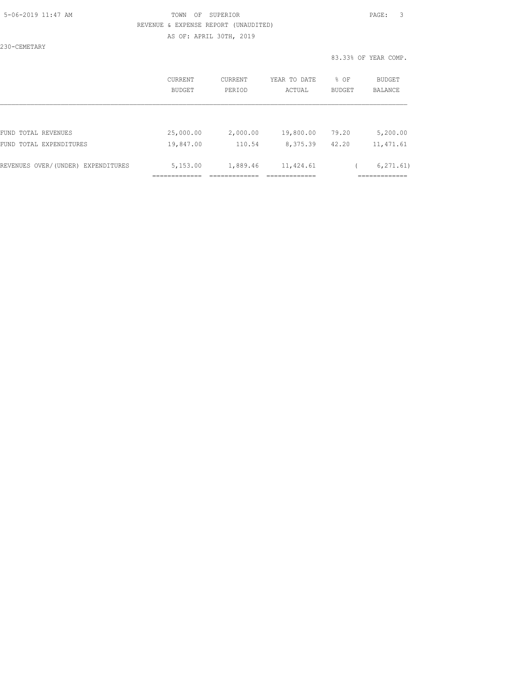### 5-06-2019 11:47 AM TOWN OF SUPERIOR PAGE: 3 REVENUE & EXPENSE REPORT (UNAUDITED) AS OF: APRIL 30TH, 2019

230-CEMETARY

#### 83.33% OF YEAR COMP.

|                                    | CURRENT<br>BUDGET | CURRENT<br>PERIOD | YEAR TO DATE<br>ACTUAL | % OF<br>BUDGET | <b>BUDGET</b><br><b>BALANCE</b> |
|------------------------------------|-------------------|-------------------|------------------------|----------------|---------------------------------|
|                                    |                   |                   |                        |                |                                 |
| FUND TOTAL REVENUES                | 25,000.00         | 2,000.00          | 19,800.00              | 79.20          | 5,200.00                        |
| FUND TOTAL EXPENDITURES            | 19,847.00         | 110.54            | 8,375.39               | 42.20          | 11, 471.61                      |
|                                    |                   |                   |                        |                |                                 |
| REVENUES OVER/(UNDER) EXPENDITURES | 5,153.00          | 1,889.46          | 11,424.61              |                | 6, 271, 61)                     |
|                                    |                   |                   |                        |                |                                 |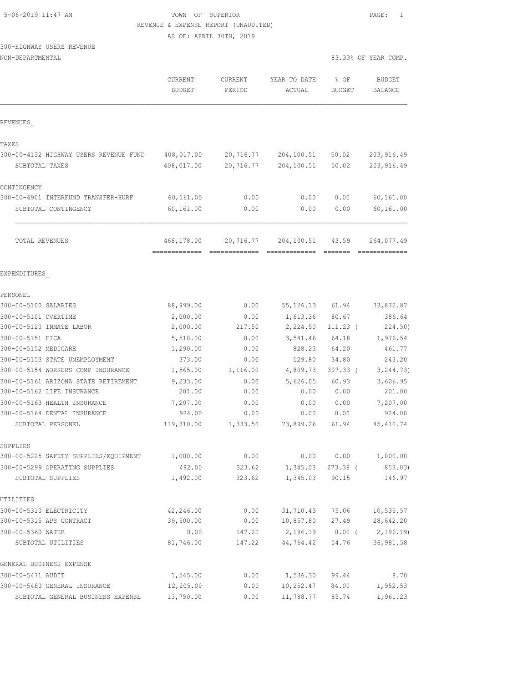| 5-06-2019 11:47 AM |  |
|--------------------|--|
|                    |  |

## TOWN OF SUPERIOR **11:47 AM TOWN OF SUPERIOR** REVENUE & EXPENSE REPORT (UNAUDITED)

AS OF: APRIL 30TH, 2019

# 300-HIGHWAY USERS REVENUE

| NON-DEPARTMENTAL |  |
|------------------|--|
|------------------|--|

| NON-DEPARTMENTAL                       |                          |                          |                        |                       | 83.33% OF YEAR COMP.     |
|----------------------------------------|--------------------------|--------------------------|------------------------|-----------------------|--------------------------|
|                                        | CURRENT<br><b>BUDGET</b> | <b>CURRENT</b><br>PERIOD | YEAR TO DATE<br>ACTUAL | % OF<br><b>BUDGET</b> | <b>BUDGET</b><br>BALANCE |
| REVENUES                               |                          |                          |                        |                       |                          |
| TAXES                                  |                          |                          |                        |                       |                          |
| 300-00-4132 HIGHWAY USERS REVENUE FUND | 408,017.00               | 20,716.77                | 204,100.51             | 50.02                 | 203, 916.49              |
| SUBTOTAL TAXES                         | 408,017.00               | 20,716.77                | 204,100.51             | 50.02                 | 203, 916.49              |
| CONTINGENCY                            |                          |                          |                        |                       |                          |
| 300-00-4901 INTERFUND TRANSFER-HURF    | 60,161.00                | 0.00                     | 0.00                   | 0.00                  | 60,161.00                |
| SUBTOTAL CONTINGENCY                   | 60,161.00                | 0.00                     | 0.00                   | 0.00                  | 60,161.00                |
| <b>TOTAL REVENUES</b>                  | 468,178.00               | 20,716.77                | 204,100.51             | 43.59                 | 264,077.49               |
| EXPENDITURES                           |                          |                          |                        |                       |                          |
| PERSONEL                               |                          |                          |                        |                       |                          |
| 300-00-5100 SALARIES                   | 88,999.00                | 0.00                     | 55, 126. 13            | 61.94                 | 33,872.87                |
| 300-00-5101 OVERTIME                   | 2,000.00                 | 0.00                     | 1,613.36               | 80.67                 | 386.64                   |
| 300-00-5120 INMATE LABOR               | 2,000.00                 | 217.50                   | 2,224.50               | $111.23$ (            | 224.50)                  |
| 300-00-5151 FICA                       | 5,518.00                 | 0.00                     | 3,541.46               | 64.18                 | 1,976.54                 |
| 300-00-5152 MEDICARE                   | 1,290.00                 | 0.00                     | 828.23                 | 64.20                 | 461.77                   |
| 300-00-5153 STATE UNEMPLOYMENT         | 373.00                   | 0.00                     | 129.80                 | 34.80                 | 243.20                   |
| 300-00-5154 WORKERS COMP INSURANCE     | 1,565.00                 | 1,116.00                 | 4,809.73               | $307.33$ (            | 3, 244.73)               |
| 300-00-5161 ARIZONA STATE RETIREMENT   | 9,233.00                 | 0.00                     | 5,626.05               | 60.93                 | 3,606.95                 |
| 300-00-5162 LIFE INSURANCE             | 201.00                   | 0.00                     | 0.00                   | 0.00                  | 201.00                   |
| 300-00-5163 HEALTH INSURANCE           | 7,207.00                 | 0.00                     | 0.00                   | 0.00                  | 7,207.00                 |
| 300-00-5164 DENTAL INSURANCE           | 924.00                   | 0.00                     | 0.00                   | 0.00                  | 924.00                   |
| SUBTOTAL PERSONEL                      | 119,310.00               | 1,333.50                 | 73,899.26              | 61.94                 | 45, 410.74               |
| SUPPLIES                               |                          |                          |                        |                       |                          |
| 300-00-5225 SAFETY SUPPLIES/EQUIPMENT  | 1,000.00                 | 0.00                     | 0.00                   | 0.00                  | 1,000.00                 |
| 300-00-5299 OPERATING SUPPLIES         | 492.00                   | 323.62                   | 1,345.03               | $273.38$ (            | 853.03)                  |
| SUBTOTAL SUPPLIES                      | 1,492.00                 | 323.62                   | 1,345.03               | 90.15                 | 146.97                   |
| UTILITIES                              |                          |                          |                        |                       |                          |
| 300-00-5310 ELECTRICITY                | 42,246.00                | 0.00                     | 31,710.43              | 75.06                 | 10, 535.57               |
| 300-00-5315 APS CONTRACT               | 39,500.00                | 0.00                     | 10,857.80              | 27.49                 | 28,642.20                |
| 300-00-5360 WATER                      | 0.00                     | 147.22                   | 2,196.19               | $0.00$ (              | 2,196.19)                |
| SUBTOTAL UTILITIES                     | 81,746.00                | 147.22                   | 44,764.42              | 54.76                 | 36, 981.58               |
| GENERAL BUSINESS EXPENSE               |                          |                          |                        |                       |                          |
| 300-00-5471 AUDIT                      | 1,545.00                 | 0.00                     | 1,536.30               | 99.44                 | 8.70                     |
| 300-00-5480 GENERAL INSURANCE          | 12,205.00                | 0.00                     | 10,252.47              | 84.00                 | 1,952.53                 |
| SUBTOTAL GENERAL BUSINESS EXPENSE      | 13,750.00                | 0.00                     | 11,788.77              | 85.74                 | 1,961.23                 |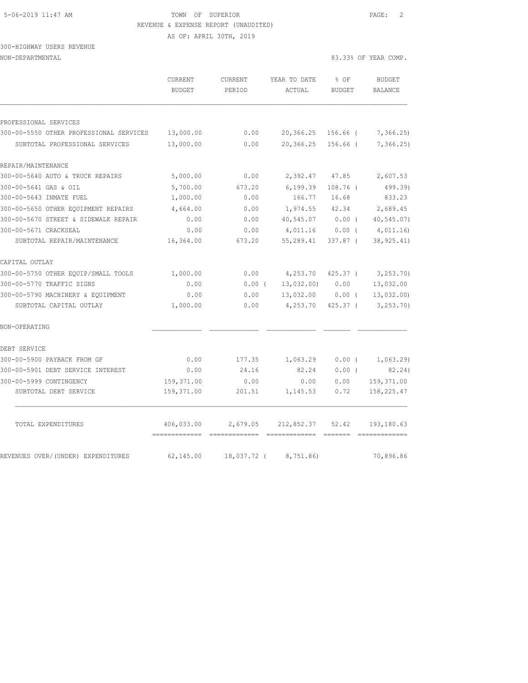#### 5-06-2019 11:47 AM TOWN OF SUPERIOR PAGE: 2 REVENUE & EXPENSE REPORT (UNAUDITED)

AS OF: APRIL 30TH, 2019

### 300-HIGHWAY USERS REVENUE NON-DEPARTMENTAL 83.33% OF YEAR COMP.

|                                         | CURRENT<br><b>BUDGET</b> | CURRENT<br>PERIOD | YEAR TO DATE<br>ACTUAL | % OF<br><b>BUDGET</b> | <b>BUDGET</b><br><b>BALANCE</b> |
|-----------------------------------------|--------------------------|-------------------|------------------------|-----------------------|---------------------------------|
| PROFESSIONAL SERVICES                   |                          |                   |                        |                       |                                 |
| 300-00-5550 OTHER PROFESSIONAL SERVICES | 13,000.00                | 0.00              | 20,366.25 156.66 (     |                       | 7, 366.25                       |
| SUBTOTAL PROFESSIONAL SERVICES          | 13,000.00                | 0.00              | 20,366.25              | 156.66 (              | 7,366.25)                       |
| REPAIR/MAINTENANCE                      |                          |                   |                        |                       |                                 |
| 300-00-5640 AUTO & TRUCK REPAIRS        | 5,000.00                 | 0.00              | 2,392.47               | 47.85                 | 2,607.53                        |
| 300-00-5641 GAS & OIL                   | 5,700.00                 | 673.20            | 6, 199.39              | $108.76$ (            | 499.39)                         |
| 300-00-5643 INMATE FUEL                 | 1,000.00                 | 0.00              | 166.77                 | 16.68                 | 833.23                          |
| 300-00-5650 OTHER EQUIPMENT REPAIRS     | 4,664.00                 | 0.00              | 1,974.55               | 42.34                 | 2,689.45                        |
| 300-00-5670 STREET & SIDEWALK REPAIR    | 0.00                     | 0.00              | 40,545.07              | $0.00$ (              | 40, 545.07                      |
| 300-00-5671 CRACKSEAL                   | 0.00                     | 0.00              | 4,011.16               | 0.00(                 | 4,011.16                        |
| SUBTOTAL REPAIR/MAINTENANCE             | 16,364.00                | 673.20            | 55,289.41              | 337.87 (              | 38, 925.41)                     |
| CAPITAL OUTLAY                          |                          |                   |                        |                       |                                 |
| 300-00-5750 OTHER EQUIP/SMALL TOOLS     | 1,000.00                 | 0.00              | 4,253.70               | $425.37$ (            | 3, 253.70                       |
| 300-00-5770 TRAFFIC SIGNS               | 0.00                     | $0.00$ (          | 13,032.00)             | 0.00                  | 13,032.00                       |
| 300-00-5790 MACHINERY & EQUIPMENT       | 0.00                     | 0.00              | 13,032.00              | 0.00(                 | 13,032.00                       |
| SUBTOTAL CAPITAL OUTLAY                 | 1,000.00                 | 0.00              | 4,253.70               | $425.37$ (            | 3, 253.70                       |
| NON-OPERATING                           |                          |                   |                        |                       |                                 |
| DEBT SERVICE                            |                          |                   |                        |                       |                                 |
| 300-00-5900 PAYBACK FROM GF             | 0.00                     | 177.35            | 1,063.29               | 0.00(                 | 1,063.29                        |
| 300-00-5901 DEBT SERVICE INTEREST       | 0.00                     | 24.16             | 82.24                  | $0.00$ (              | 82.24)                          |
| 300-00-5999 CONTINGENCY                 | 159, 371.00              | 0.00              | 0.00                   | 0.00                  | 159, 371.00                     |
| SUBTOTAL DEBT SERVICE                   | 159,371.00               | 201.51            | 1,145.53               | 0.72                  | 158,225.47                      |
| TOTAL EXPENDITURES                      | 406,033.00               | 2,679.05          | 212,852.37             | 52.42                 | 193, 180.63                     |
| REVENUES OVER/(UNDER) EXPENDITURES      | 62,145.00                | 18,037.72 (       | 8,751.86)              |                       | 70,896.86                       |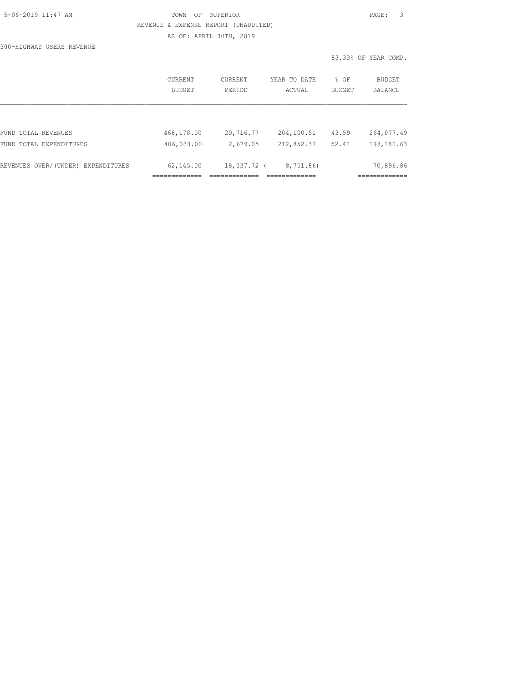## 5-06-2019 11:47 AM TOWN OF SUPERIOR PAGE: 3 REVENUE & EXPENSE REPORT (UNAUDITED) AS OF: APRIL 30TH, 2019

300-HIGHWAY USERS REVENUE

|                                    |                          |                   |                        |                       | 83.33% OF YEAR COMP.     |
|------------------------------------|--------------------------|-------------------|------------------------|-----------------------|--------------------------|
|                                    | CURRENT<br><b>BUDGET</b> | CURRENT<br>PERIOD | YEAR TO DATE<br>ACTUAL | % OF<br><b>BUDGET</b> | <b>BUDGET</b><br>BALANCE |
|                                    |                          |                   |                        |                       |                          |
| FUND TOTAL REVENUES                | 468,178.00               | 20,716.77         | 204,100.51             | 43.59                 | 264,077.49               |
| FUND TOTAL EXPENDITURES            | 406,033.00               | 2,679.05          | 212,852.37             | 52.42                 | 193,180.63               |
| REVENUES OVER/(UNDER) EXPENDITURES | 62,145.00                | 18,037.72 (       | 8,751.86)              |                       | 70,896.86                |
|                                    |                          |                   |                        |                       |                          |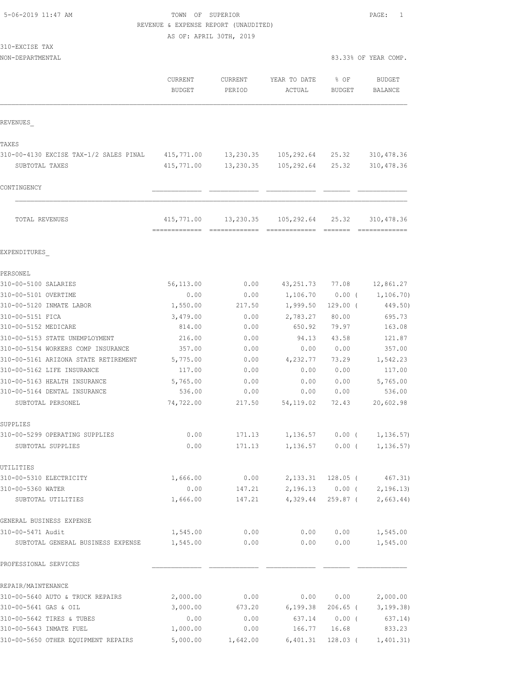| 5-06-2019 11:47 AM |  |
|--------------------|--|
|                    |  |

# TOWN OF SUPERIOR **11:47 AM TOWN OF SUPERIOR** REVENUE & EXPENSE REPORT (UNAUDITED)

AS OF: APRIL 30TH, 2019

| 310-EXCISE<br>TAX |  |
|-------------------|--|
|-------------------|--|

NON-DEPARTMENTAL 83.33% OF YEAR COMP.

|                                         | CURRENT<br><b>BUDGET</b> | <b>CURRENT</b><br>PERIOD | YEAR TO DATE<br>ACTUAL | % OF<br>BUDGET    | <b>BUDGET</b><br>BALANCE                          |
|-----------------------------------------|--------------------------|--------------------------|------------------------|-------------------|---------------------------------------------------|
| REVENUES                                |                          |                          |                        |                   |                                                   |
| TAXES                                   |                          |                          |                        |                   |                                                   |
| 310-00-4130 EXCISE TAX-1/2 SALES PINAL  | 415,771.00               |                          | 13,230.35 105,292.64   | 25.32             | 310,478.36                                        |
| SUBTOTAL TAXES                          | 415,771.00               | 13,230.35                | 105,292.64             | 25.32             | 310, 478.36                                       |
| CONTINGENCY                             |                          |                          |                        |                   |                                                   |
|                                         |                          |                          |                        |                   |                                                   |
| TOTAL REVENUES                          | 415,771.00               | 13,230.35                | 105,292.64             | 25.32             | 310,478.36                                        |
| EXPENDITURES                            |                          |                          |                        |                   |                                                   |
| PERSONEL                                |                          |                          |                        |                   |                                                   |
| 310-00-5100 SALARIES                    | 56,113.00                | 0.00                     | 43, 251.73             | 77.08             | 12,861.27                                         |
| 310-00-5101 OVERTIME                    | 0.00                     | 0.00                     | 1,106.70               | $0.00$ (          | 1,106.70)                                         |
| 310-00-5120 INMATE LABOR                | 1,550.00                 | 217.50                   | 1,999.50               | $129.00$ (        | 449.50)                                           |
| 310-00-5151 FICA                        | 3,479.00                 | 0.00                     | 2,783.27               | 80.00             | 695.73                                            |
| 310-00-5152 MEDICARE                    | 814.00                   | 0.00                     | 650.92                 | 79.97             | 163.08                                            |
| 310-00-5153 STATE UNEMPLOYMENT          | 216.00                   | 0.00                     | 94.13                  | 43.58             | 121.87                                            |
| 310-00-5154 WORKERS COMP INSURANCE      | 357.00                   | 0.00                     | 0.00                   | 0.00              | 357.00                                            |
| 310-00-5161 ARIZONA STATE RETIREMENT    | 5,775.00                 | 0.00                     | 4,232.77               | 73.29             | 1,542.23                                          |
| 310-00-5162 LIFE INSURANCE              | 117.00                   | 0.00                     | 0.00                   | 0.00              | 117.00                                            |
| 310-00-5163 HEALTH INSURANCE            | 5,765.00                 | 0.00                     | 0.00                   | 0.00              | 5,765.00                                          |
| 310-00-5164 DENTAL INSURANCE            | 536.00                   | 0.00                     | 0.00                   | 0.00              | 536.00                                            |
| SUBTOTAL PERSONEL                       | 74,722.00                | 217.50                   | 54, 119.02             | 72.43             | 20,602.98                                         |
| SUPPLIES                                |                          |                          |                        |                   |                                                   |
| 310-00-5299 OPERATING SUPPLIES          | 0.00                     | 171.13                   |                        | $1,136.57$ 0.00 ( | 1,136.57)                                         |
| SUBTOTAL SUPPLIES                       | 0.00                     | 171.13                   | 1,136.57               | $0.00$ (          | 1, 136.57)                                        |
| UTILITIES                               |                          |                          |                        |                   |                                                   |
| 310-00-5310 ELECTRICITY                 | 1,666.00                 | 0.00                     |                        | 2,133.31 128.05 ( | 467.31)                                           |
| 310-00-5360 WATER<br>SUBTOTAL UTILITIES | 0.00<br>1,666.00         | 147.21<br>147.21         | 4,329.44               |                   | $2,196.13$ 0.00 ( 2,196.13)<br>259.87 ( 2,663.44) |
| GENERAL BUSINESS EXPENSE                |                          |                          |                        |                   |                                                   |
| 310-00-5471 Audit                       | 1,545.00                 | 0.00                     | 0.00                   | 0.00              | 1,545.00                                          |
| SUBTOTAL GENERAL BUSINESS EXPENSE       | 1,545.00                 | 0.00                     | 0.00                   | 0.00              | 1,545.00                                          |
| PROFESSIONAL SERVICES                   |                          |                          |                        |                   |                                                   |
| REPAIR/MAINTENANCE                      |                          |                          |                        |                   |                                                   |
| 310-00-5640 AUTO & TRUCK REPAIRS        | 2,000.00                 | 0.00                     |                        | 0.00 0.00         | 2,000.00                                          |
| 310-00-5641 GAS & OIL                   | 3,000.00                 | 673.20                   | 6,199.38               |                   | 206.65 ( 3,199.38)                                |
| 310-00-5642 TIRES & TUBES               | 0.00                     | 0.00                     | 637.14                 | $0.00$ (          | 637.14)                                           |
| 310-00-5643 INMATE FUEL                 | 1,000.00                 | 0.00                     | 166.77                 | 16.68             | 833.23                                            |

310-00-5650 OTHER EQUIPMENT REPAIRS 5,000.00 1,642.00 6,401.31 128.03 ( 1,401.31)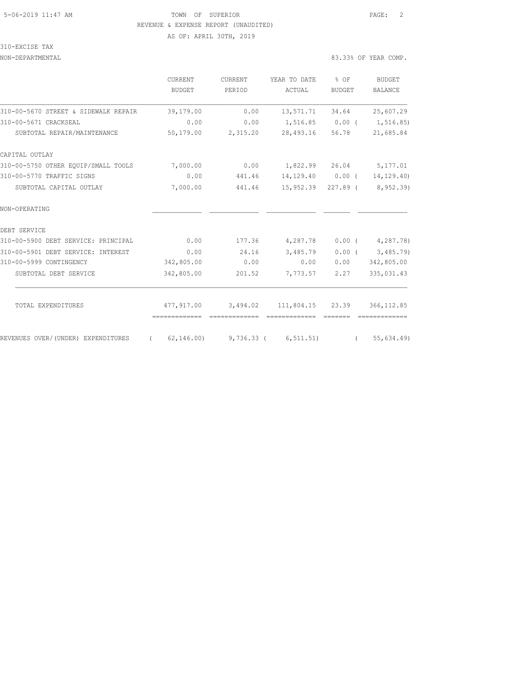### 5-06-2019 11:47 AM TOWN OF SUPERIOR PAGE: 2 REVENUE & EXPENSE REPORT (UNAUDITED) AS OF: APRIL 30TH, 2019

### 310-EXCISE TAX

#### NON-DEPARTMENTAL 83.33% OF YEAR COMP.

|                                      | <b>CURRENT</b>           | <b>CURRENT</b> | YEAR TO DATE           | $%$ OF                                                                                                                                                                                                                                                                                                                                                                                                                                                                               | <b>BUDGET</b><br><b>BALANCE</b> |  |
|--------------------------------------|--------------------------|----------------|------------------------|--------------------------------------------------------------------------------------------------------------------------------------------------------------------------------------------------------------------------------------------------------------------------------------------------------------------------------------------------------------------------------------------------------------------------------------------------------------------------------------|---------------------------------|--|
|                                      | <b>BUDGET</b>            | PERIOD         | ACTUAL                 | <b>BUDGET</b>                                                                                                                                                                                                                                                                                                                                                                                                                                                                        |                                 |  |
| 310-00-5670 STREET & SIDEWALK REPAIR | 39,179.00                | 0.00           | 13,571.71              | 34.64                                                                                                                                                                                                                                                                                                                                                                                                                                                                                | 25,607.29                       |  |
| 310-00-5671 CRACKSEAL                | 0.00                     | 0.00           | 1,516.85               | 0.00(                                                                                                                                                                                                                                                                                                                                                                                                                                                                                | 1,516.85)                       |  |
| SUBTOTAL REPAIR/MAINTENANCE          | 50,179.00                | 2,315.20       | 28,493.16              | 56.78                                                                                                                                                                                                                                                                                                                                                                                                                                                                                | 21,685.84                       |  |
| CAPITAL OUTLAY                       |                          |                |                        |                                                                                                                                                                                                                                                                                                                                                                                                                                                                                      |                                 |  |
| 310-00-5750 OTHER EOUIP/SMALL TOOLS  | 7,000.00                 | 0.00           | 1,822.99               | 26.04                                                                                                                                                                                                                                                                                                                                                                                                                                                                                | 5,177.01                        |  |
| 310-00-5770 TRAFFIC SIGNS            | 0.00                     | 441.46         | 14,129.40              | $0.00$ (                                                                                                                                                                                                                                                                                                                                                                                                                                                                             | 14, 129.40)                     |  |
| SUBTOTAL CAPITAL OUTLAY              | 7,000.00                 | 441.46         | 15,952.39              | 227.89 (                                                                                                                                                                                                                                                                                                                                                                                                                                                                             | 8,952.39)                       |  |
| NON-OPERATING                        |                          |                |                        |                                                                                                                                                                                                                                                                                                                                                                                                                                                                                      |                                 |  |
| DEBT SERVICE                         |                          |                |                        |                                                                                                                                                                                                                                                                                                                                                                                                                                                                                      |                                 |  |
| 310-00-5900 DEBT SERVICE: PRINCIPAL  | 0.00                     | 177.36         | 4,287.78               | $0.00$ (                                                                                                                                                                                                                                                                                                                                                                                                                                                                             | 4,287.78)                       |  |
| 310-00-5901 DEBT SERVICE: INTEREST   | 0.00                     | 24.16          | 3,485.79               | $0.00$ (                                                                                                                                                                                                                                                                                                                                                                                                                                                                             | 3,485.79)                       |  |
| 310-00-5999 CONTINGENCY              | 342,805.00               | 0.00           | 0.00                   | 0.00                                                                                                                                                                                                                                                                                                                                                                                                                                                                                 | 342,805.00                      |  |
| SUBTOTAL DEBT SERVICE                | 342,805.00               | 201.52         | 7,773.57               | 2.27                                                                                                                                                                                                                                                                                                                                                                                                                                                                                 | 335,031.43                      |  |
| TOTAL EXPENDITURES                   | 477,917.00               | 3,494.02       | 111,804.15 23.39       |                                                                                                                                                                                                                                                                                                                                                                                                                                                                                      | 366, 112.85                     |  |
|                                      | -------------            | -------------- | -------------          | $\begin{array}{cccccc} \multicolumn{2}{c}{} & \multicolumn{2}{c}{} & \multicolumn{2}{c}{} & \multicolumn{2}{c}{} & \multicolumn{2}{c}{} & \multicolumn{2}{c}{} & \multicolumn{2}{c}{} & \multicolumn{2}{c}{} & \multicolumn{2}{c}{} & \multicolumn{2}{c}{} & \multicolumn{2}{c}{} & \multicolumn{2}{c}{} & \multicolumn{2}{c}{} & \multicolumn{2}{c}{} & \multicolumn{2}{c}{} & \multicolumn{2}{c}{} & \multicolumn{2}{c}{} & \multicolumn{2}{c}{} & \multicolumn{2}{c}{} & \multic$ |                                 |  |
| REVENUES OVER/(UNDER) EXPENDITURES   | 62, 146, 00)<br>$\left($ |                | $9,736.33$ ( 6,511.51) | $\sqrt{2}$                                                                                                                                                                                                                                                                                                                                                                                                                                                                           | 55,634.49)                      |  |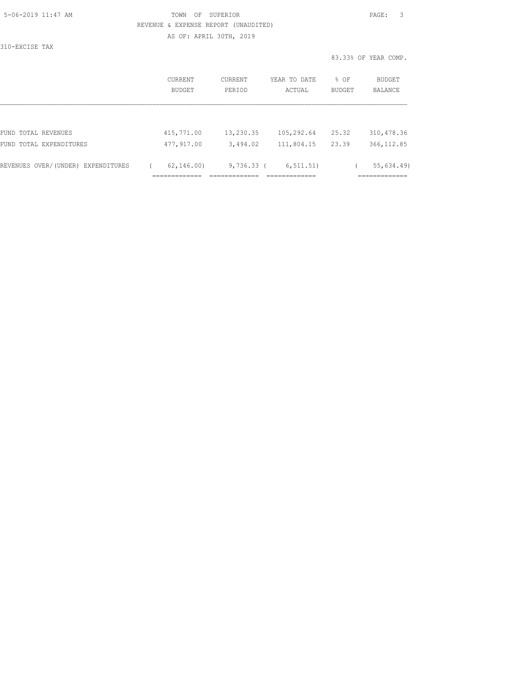| 5-06-2019 11:47 AM |  |
|--------------------|--|
|                    |  |

## TOWN OF SUPERIOR **Example 2019** 2021 2022 REVENUE & EXPENSE REPORT (UNAUDITED) AS OF: APRIL 30TH, 2019

310-EXCISE TAX

83.33% OF YEAR COMP.

|                                    | CURRENT<br>BUDGET              | <b>CURRENT</b><br>PERIOD | YEAR TO DATE<br>ACTUAL     | % OF<br><b>BUDGET</b> | BUDGET<br><b>BALANCE</b>   |
|------------------------------------|--------------------------------|--------------------------|----------------------------|-----------------------|----------------------------|
|                                    |                                |                          |                            |                       |                            |
| FUND TOTAL REVENUES                | 415,771.00                     | 13,230.35                | 105,292.64                 | 25.32                 | 310, 478.36                |
| FUND TOTAL EXPENDITURES            | 477,917.00                     | 3,494.02                 | 111,804.15                 | 23.39                 | 366, 112.85                |
| REVENUES OVER/(UNDER) EXPENDITURES | 62, 146, 00)<br>-------------- | $9,736.33$ (             | 6, 511.51)<br>____________ |                       | 55,634.49)<br>____________ |
|                                    | __________                     |                          |                            |                       | .                          |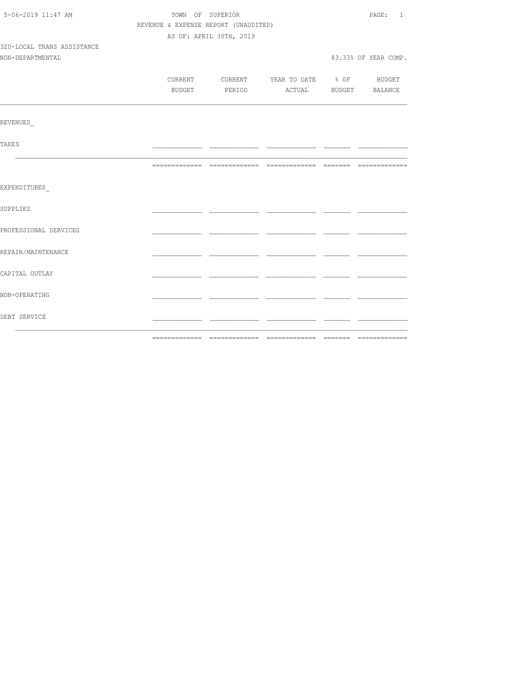| 5-06-2019 11:47 AM         | TOWN OF SUPERIOR                     | PAGE: 1                 |                                          |  |                      |
|----------------------------|--------------------------------------|-------------------------|------------------------------------------|--|----------------------|
|                            | REVENUE & EXPENSE REPORT (UNAUDITED) |                         |                                          |  |                      |
|                            |                                      | AS OF: APRIL 30TH, 2019 |                                          |  |                      |
| 320-LOCAL TRANS ASSISTANCE |                                      |                         |                                          |  |                      |
| NON-DEPARTMENTAL           |                                      |                         |                                          |  | 83.33% OF YEAR COMP. |
|                            |                                      |                         |                                          |  |                      |
|                            |                                      |                         | CURRENT CURRENT YEAR TO DATE % OF BUDGET |  |                      |
|                            |                                      |                         | BUDGET PERIOD ACTUAL BUDGET BALANCE      |  |                      |
| REVENUES                   |                                      |                         |                                          |  |                      |
|                            |                                      |                         |                                          |  |                      |
| <b>TAXES</b>               |                                      |                         |                                          |  |                      |
|                            |                                      |                         |                                          |  |                      |
| EXPENDITURES               |                                      |                         |                                          |  |                      |
| SUPPLIES                   |                                      |                         |                                          |  |                      |
| PROFESSIONAL SERVICES      |                                      |                         |                                          |  |                      |
| REPAIR/MAINTENANCE         |                                      |                         |                                          |  |                      |
| CAPITAL OUTLAY             |                                      |                         |                                          |  |                      |
| NON-OPERATING              |                                      |                         |                                          |  |                      |
| DEBT SERVICE               |                                      |                         |                                          |  |                      |
|                            |                                      |                         |                                          |  |                      |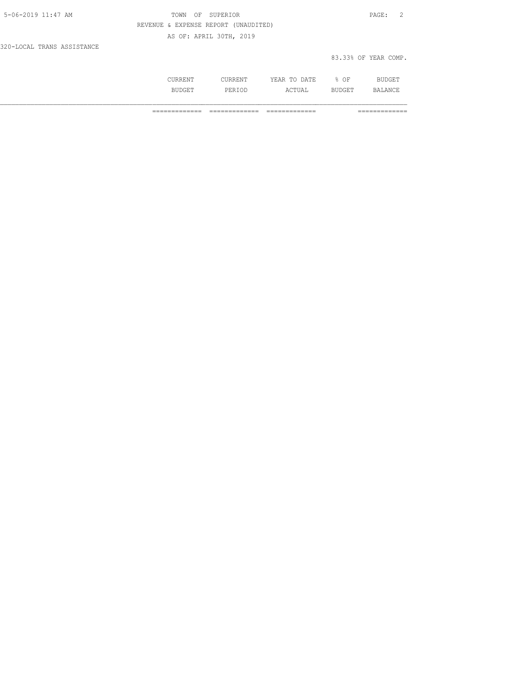| 5-06-2019 11:47 AM         | TOWN OF SUPERIOR                     | PAGE:                |  |
|----------------------------|--------------------------------------|----------------------|--|
|                            | REVENUE & EXPENSE REPORT (UNAUDITED) |                      |  |
|                            | AS OF: APRIL 30TH, 2019              |                      |  |
| 320-LOCAL TRANS ASSISTANCE |                                      |                      |  |
|                            |                                      | 83.33% OF YEAR COMP. |  |

|   | .<br>$n - n$<br>-44<br>-----<br>----- | ΩF<br>◡ | nт   |
|---|---------------------------------------|---------|------|
| . | <br>$C$ mrt $7$<br>.                  |         | 12 A |

============= ============= ============= =============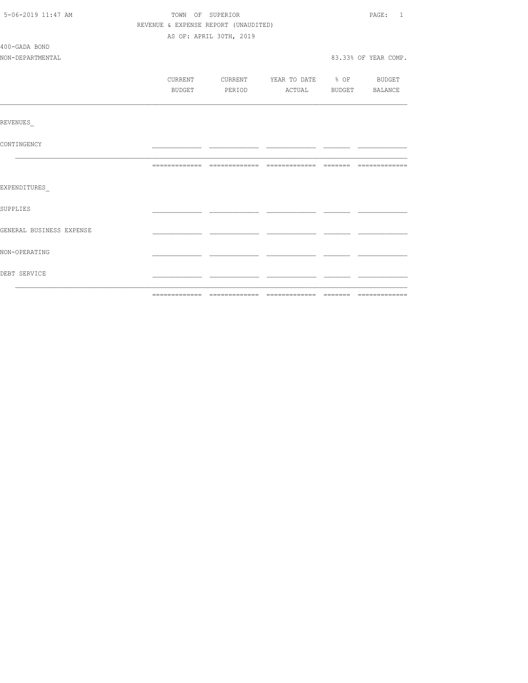| 5-06-2019 11:47 AM       | TOWN OF SUPERIOR | PAGE: 1                              |                          |                      |
|--------------------------|------------------|--------------------------------------|--------------------------|----------------------|
|                          |                  | REVENUE & EXPENSE REPORT (UNAUDITED) |                          |                      |
|                          |                  | AS OF: APRIL 30TH, 2019              |                          |                      |
| 400-GADA BOND            |                  |                                      |                          |                      |
| NON-DEPARTMENTAL         |                  |                                      |                          | 83.33% OF YEAR COMP. |
|                          |                  |                                      |                          |                      |
|                          | CURRENT          | CURRENT                              | YEAR TO DATE % OF BUDGET |                      |
|                          | BUDGET           | PERIOD                               | ACTUAL BUDGET BALANCE    |                      |
|                          |                  |                                      |                          |                      |
| REVENUES                 |                  |                                      |                          |                      |
| CONTINGENCY              |                  |                                      |                          |                      |
|                          |                  |                                      |                          |                      |
| EXPENDITURES             |                  |                                      |                          |                      |
| <b>SUPPLIES</b>          |                  |                                      |                          |                      |
| GENERAL BUSINESS EXPENSE |                  |                                      |                          |                      |
| NON-OPERATING            |                  |                                      |                          |                      |
| DEBT SERVICE             |                  |                                      |                          |                      |
|                          |                  |                                      |                          |                      |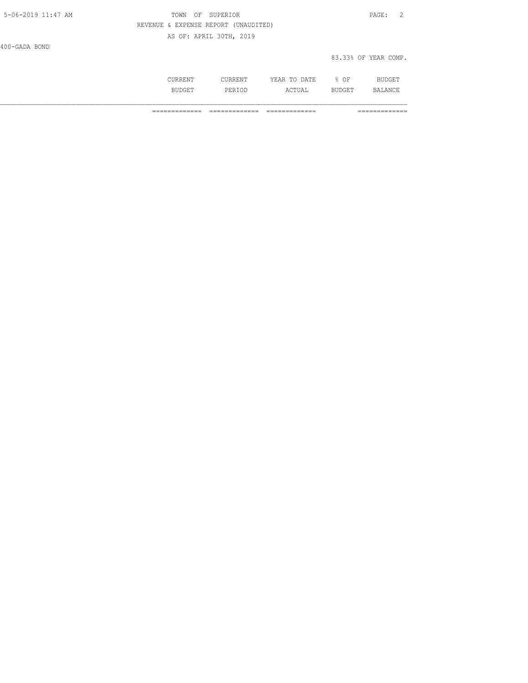| 5-06-2019 11:47 AM | TOWN OF SUPERIOR                     | PAGE:                |  |
|--------------------|--------------------------------------|----------------------|--|
|                    | REVENUE & EXPENSE REPORT (UNAUDITED) |                      |  |
|                    | AS OF: APRIL 30TH, 2019              |                      |  |
| 400-GADA BOND      |                                      |                      |  |
|                    |                                      | 83.33% OF YEAR COMP. |  |

|           | n n<br>----<br>-----<br>__ | ΩF<br>--<br>__ |  |
|-----------|----------------------------|----------------|--|
| با (<br>. |                            |                |  |

============= ============= ============= =============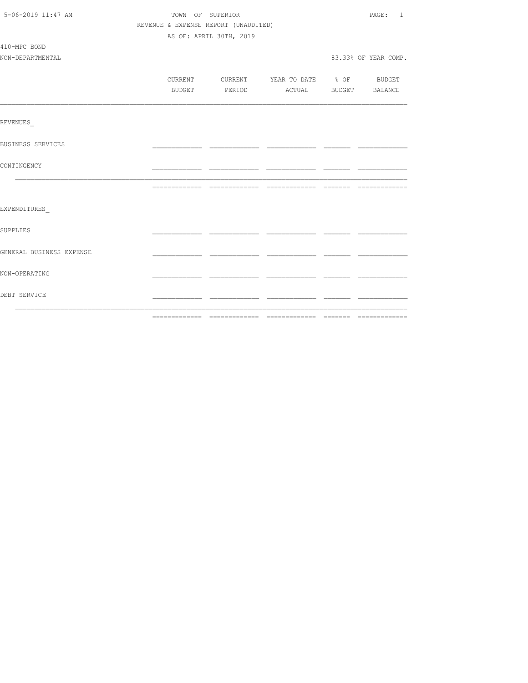| 5-06-2019 11:47 AM       | TOWN OF SUPERIOR                     |                                          |  |  | PAGE: 1              |
|--------------------------|--------------------------------------|------------------------------------------|--|--|----------------------|
|                          | REVENUE & EXPENSE REPORT (UNAUDITED) |                                          |  |  |                      |
|                          |                                      | AS OF: APRIL 30TH, 2019                  |  |  |                      |
| 410-MPC BOND             |                                      |                                          |  |  |                      |
| NON-DEPARTMENTAL         |                                      |                                          |  |  | 83.33% OF YEAR COMP. |
|                          |                                      |                                          |  |  |                      |
|                          |                                      | CURRENT CURRENT YEAR TO DATE % OF BUDGET |  |  |                      |
|                          |                                      | BUDGET PERIOD ACTUAL BUDGET BALANCE      |  |  |                      |
|                          |                                      |                                          |  |  |                      |
| REVENUES                 |                                      |                                          |  |  |                      |
| <b>BUSINESS SERVICES</b> |                                      |                                          |  |  |                      |
| CONTINGENCY              |                                      |                                          |  |  |                      |
|                          |                                      |                                          |  |  |                      |
| EXPENDITURES             |                                      |                                          |  |  |                      |
| SUPPLIES                 |                                      |                                          |  |  |                      |
| GENERAL BUSINESS EXPENSE |                                      |                                          |  |  |                      |
| NON-OPERATING            |                                      |                                          |  |  |                      |
| DEBT SERVICE             |                                      |                                          |  |  |                      |
|                          |                                      |                                          |  |  |                      |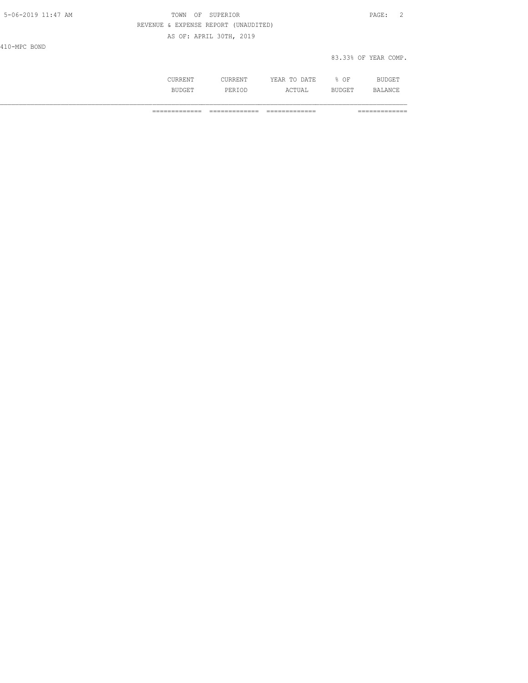| 5-06-2019 11:47 AM | OF SUPERIOR<br>TOWN                  | $\texttt{PAGE}$ :<br>- 2 |
|--------------------|--------------------------------------|--------------------------|
|                    | REVENUE & EXPENSE REPORT (UNAUDITED) |                          |
|                    | AS OF: APRIL 30TH, 2019              |                          |
| 410-MPC BOND       |                                      |                          |
|                    |                                      | 83.33% OF YEAR COMP.     |
|                    |                                      |                          |

 CURRENT CURRENT YEAR TO DATE % OF BUDGET BUDGET PERIOD ACTUAL BUDGET BALANCE

============= ============= ============= =============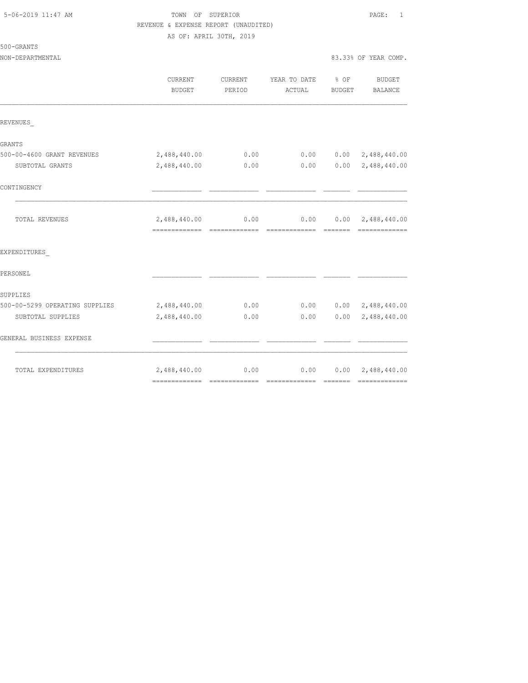500-GRANTS

### 5-06-2019 11:47 AM TOWN OF SUPERIOR PAGE: 1 REVENUE & EXPENSE REPORT (UNAUDITED) AS OF: APRIL 30TH, 2019

NON-DEPARTMENTAL 83.33% OF YEAR COMP.

|                                | <b>CURRENT</b><br><b>BUDGET</b> | <b>CURRENT</b><br>PERIOD | YEAR TO DATE<br>ACTUAL | $8$ OF<br>BUDGET | <b>BUDGET</b><br>BALANCE                   |
|--------------------------------|---------------------------------|--------------------------|------------------------|------------------|--------------------------------------------|
| REVENUES                       |                                 |                          |                        |                  |                                            |
| GRANTS                         |                                 |                          |                        |                  |                                            |
| 500-00-4600 GRANT REVENUES     | 2,488,440.00                    | 0.00                     | 0.00                   | 0.00             | 2,488,440.00                               |
| SUBTOTAL GRANTS                | 2,488,440.00                    | 0.00                     | 0.00                   |                  | $0.00 \quad 2,488,440.00$                  |
| CONTINGENCY                    |                                 |                          |                        |                  |                                            |
| TOTAL REVENUES                 | 2,488,440.00                    | 0.00                     | 0.00                   |                  | $0.00 \quad 2,488,440.00$<br>------------- |
| EXPENDITURES                   |                                 |                          |                        |                  |                                            |
| PERSONEL                       |                                 |                          |                        |                  |                                            |
| SUPPLIES                       |                                 |                          |                        |                  |                                            |
| 500-00-5299 OPERATING SUPPLIES | 2,488,440.00                    | 0.00                     | 0.00                   |                  | $0.00 \quad 2,488,440.00$                  |
| SUBTOTAL SUPPLIES              | 2,488,440.00                    | 0.00                     | 0.00                   | 0.00             | 2,488,440.00                               |
| GENERAL BUSINESS EXPENSE       |                                 |                          |                        |                  |                                            |
| TOTAL EXPENDITURES             | 2,488,440.00                    | 0.00                     | 0.00                   |                  | $0.00 \quad 2,488,440.00$                  |
|                                |                                 |                          |                        |                  |                                            |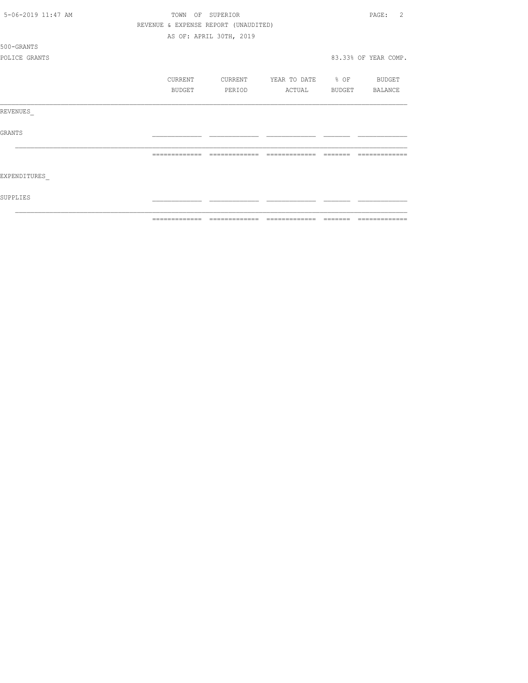| 5-06-2019 11:47 AM | REVENUE & EXPENSE REPORT (UNAUDITED) | TOWN OF SUPERIOR        |                          |        | 2<br>PAGE:           |
|--------------------|--------------------------------------|-------------------------|--------------------------|--------|----------------------|
|                    |                                      |                         |                          |        |                      |
|                    |                                      | AS OF: APRIL 30TH, 2019 |                          |        |                      |
| 500-GRANTS         |                                      |                         |                          |        |                      |
| POLICE GRANTS      |                                      |                         |                          |        | 83.33% OF YEAR COMP. |
|                    |                                      |                         |                          |        |                      |
|                    | CURRENT                              | CURRENT                 | YEAR TO DATE % OF BUDGET |        |                      |
|                    | BUDGET                               | PERIOD                  | ACTUAL                   | BUDGET | BALANCE              |
|                    |                                      |                         |                          |        |                      |
| REVENUES           |                                      |                         |                          |        |                      |
|                    |                                      |                         |                          |        |                      |
| <b>GRANTS</b>      |                                      |                         |                          |        |                      |
|                    |                                      |                         |                          |        |                      |
|                    |                                      | =============           | -------------            |        |                      |
|                    |                                      |                         |                          |        |                      |
| EXPENDITURES       |                                      |                         |                          |        |                      |
|                    |                                      |                         |                          |        |                      |
| SUPPLIES           |                                      |                         |                          |        |                      |
|                    |                                      |                         |                          |        |                      |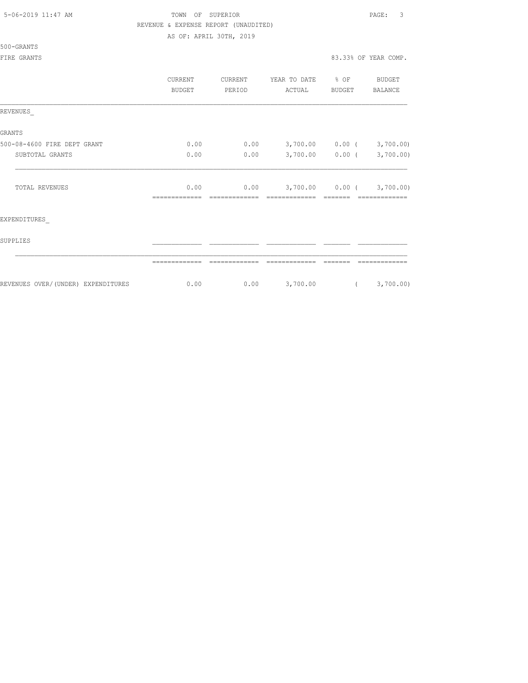|  | 5-06-2019 11:47 AM |  |
|--|--------------------|--|
|  |                    |  |

# TOWN OF SUPERIOR **11:47 AM TOWN OF SUPERIOR** REVENUE & EXPENSE REPORT (UNAUDITED)

AS OF: APRIL 30TH, 2019

|  | 500-GRANTS |  |
|--|------------|--|
|  |            |  |

|                                    | CURRENT<br><b>BUDGET</b> | CURRENT<br>PERIOD | YEAR TO DATE<br>ACTUAL | % OF<br><b>BUDGET</b> | <b>BUDGET</b><br>BALANCE |
|------------------------------------|--------------------------|-------------------|------------------------|-----------------------|--------------------------|
| REVENUES                           |                          |                   |                        |                       |                          |
| GRANTS                             |                          |                   |                        |                       |                          |
| 500-08-4600 FIRE DEPT GRANT        | 0.00                     | 0.00              |                        | 3,700.00 0.00 (       | 3,700.00)                |
| SUBTOTAL GRANTS                    | 0.00                     | 0.00              | 3,700.00               | $0.00$ (              | 3,700.00)                |
| TOTAL REVENUES                     | 0.00                     | 0.00              | -------------          | $3,700.00$ 0.00 (     | 3,700.00)<br>---------   |
| EXPENDITURES                       |                          |                   |                        |                       |                          |
| SUPPLIES                           |                          |                   |                        |                       |                          |
|                                    |                          |                   |                        |                       |                          |
| REVENUES OVER/(UNDER) EXPENDITURES | 0.00                     | 0.00              | 3,700.00               | $\left($              | 3,700.00)                |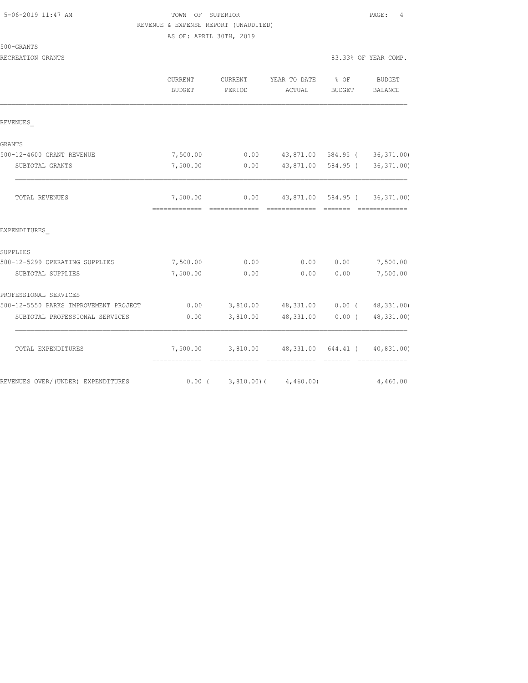# TOWN OF SUPERIOR **11:47 AM TOWN OF SUPERIOR** 2002. REVENUE & EXPENSE REPORT (UNAUDITED)

AS OF: APRIL 30TH, 2019

RECREATION GRANTS 83.33% OF YEAR COMP.

|                                       | <b>CURRENT</b><br><b>BUDGET</b> | CURRENT<br>PERIOD | YEAR TO DATE<br>ACTUAL                                             | $8$ OF<br><b>BUDGET</b> | BUDGET<br><b>BALANCE</b>     |
|---------------------------------------|---------------------------------|-------------------|--------------------------------------------------------------------|-------------------------|------------------------------|
| REVENUES                              |                                 |                   |                                                                    |                         |                              |
| GRANTS                                |                                 |                   |                                                                    |                         |                              |
| 500-12-4600 GRANT REVENUE             | 7,500.00                        | 0.00              |                                                                    |                         | 43,871.00 584.95 (36,371.00) |
| SUBTOTAL GRANTS                       | 7,500.00                        | 0.00              | 43,871.00                                                          | 584.95 (                | 36, 371.00                   |
| TOTAL REVENUES                        | 7,500.00<br>=============       | --------------    | $0.00$ 43,871.00 584.95 ( 36,371.00)<br>--------------             |                         | -----------                  |
| EXPENDITURES                          |                                 |                   |                                                                    |                         |                              |
| SUPPLIES                              |                                 |                   |                                                                    |                         |                              |
| 500-12-5299 OPERATING SUPPLIES        | 7,500.00                        | 0.00              | 0.00                                                               | 0.00                    | 7,500.00                     |
| SUBTOTAL SUPPLIES                     | 7,500.00                        | 0.00              | 0.00                                                               | 0.00                    | 7,500.00                     |
| PROFESSIONAL SERVICES                 |                                 |                   |                                                                    |                         |                              |
| 500-12-5550 PARKS IMPROVEMENT PROJECT | 0.00                            |                   | 3,810.00 48,331.00 0.00 (48,331.00)                                |                         |                              |
| SUBTOTAL PROFESSIONAL SERVICES        | 0.00                            | 3,810.00          | 48,331.00                                                          | $0.00$ (                | 48, 331.00)                  |
| TOTAL EXPENDITURES                    | -------------- --------------   |                   | 7,500.00 3,810.00 48,331.00 644.41 ( 40,831.00)<br>- ============= |                         | - 2222222 - 22222222222222   |
| REVENUES OVER/(UNDER) EXPENDITURES    | $0.00$ (                        |                   | $3,810.00$ ( $4,460.00$ )                                          |                         | 4,460.00                     |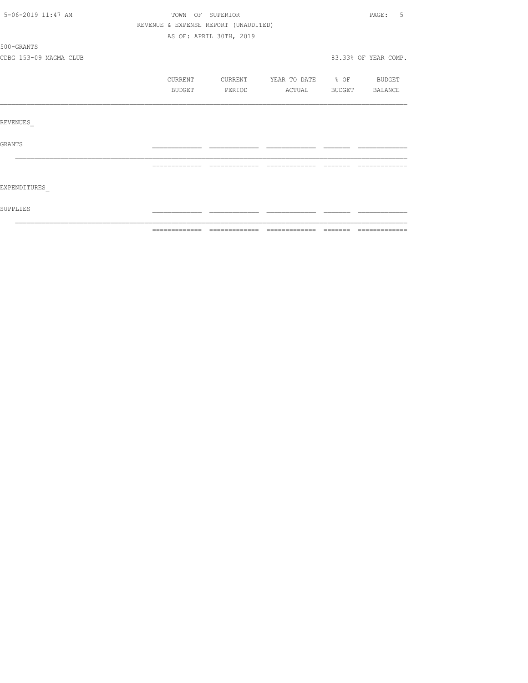| 5-06-2019 11:47 AM     |                                      | TOWN OF SUPERIOR        |                          |        | - 5<br>PAGE:         |
|------------------------|--------------------------------------|-------------------------|--------------------------|--------|----------------------|
|                        | REVENUE & EXPENSE REPORT (UNAUDITED) |                         |                          |        |                      |
|                        |                                      | AS OF: APRIL 30TH, 2019 |                          |        |                      |
| 500-GRANTS             |                                      |                         |                          |        |                      |
| CDBG 153-09 MAGMA CLUB |                                      |                         |                          |        | 83.33% OF YEAR COMP. |
|                        | CURRENT                              | CURRENT                 | YEAR TO DATE % OF BUDGET |        |                      |
|                        | BUDGET                               | PERIOD                  | ACTUAL                   | BUDGET | BALANCE              |
| REVENUES               |                                      |                         |                          |        |                      |
|                        |                                      |                         |                          |        |                      |
| <b>GRANTS</b>          |                                      |                         |                          |        |                      |
|                        |                                      |                         |                          |        |                      |
| EXPENDITURES           |                                      |                         |                          |        |                      |
| <b>SUPPLIES</b>        |                                      |                         |                          |        |                      |
|                        |                                      |                         |                          |        |                      |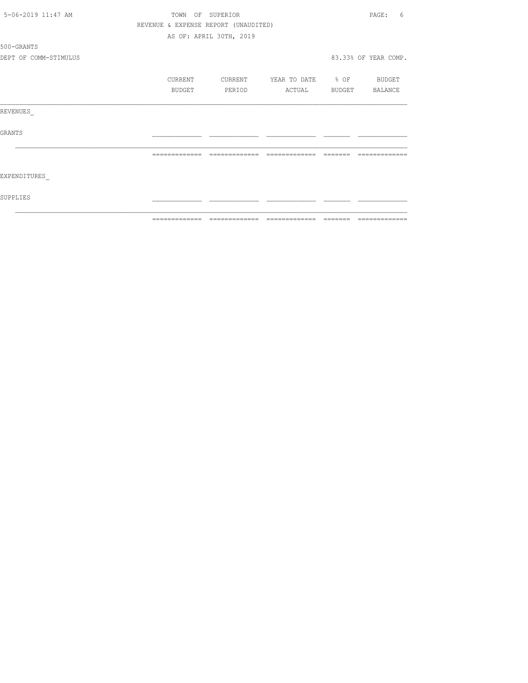|                       | ============= | --------------                       | =============            | ------- | =============        |
|-----------------------|---------------|--------------------------------------|--------------------------|---------|----------------------|
| SUPPLIES              |               |                                      |                          |         |                      |
| EXPENDITURES          |               |                                      |                          |         |                      |
|                       | ------------- | =============                        | =============            |         |                      |
| <b>GRANTS</b>         |               |                                      |                          |         |                      |
| REVENUES              |               |                                      |                          |         |                      |
|                       | BUDGET        | PERIOD                               | ACTUAL                   |         | BUDGET BALANCE       |
|                       | CURRENT       | CURRENT                              | YEAR TO DATE % OF BUDGET |         |                      |
| DEPT OF COMM-STIMULUS |               |                                      |                          |         | 83.33% OF YEAR COMP. |
| 500-GRANTS            |               |                                      |                          |         |                      |
|                       |               | AS OF: APRIL 30TH, 2019              |                          |         |                      |
|                       |               | REVENUE & EXPENSE REPORT (UNAUDITED) |                          |         |                      |
| 5-06-2019 11:47 AM    |               | TOWN OF SUPERIOR                     |                          |         | PAGE:<br>6           |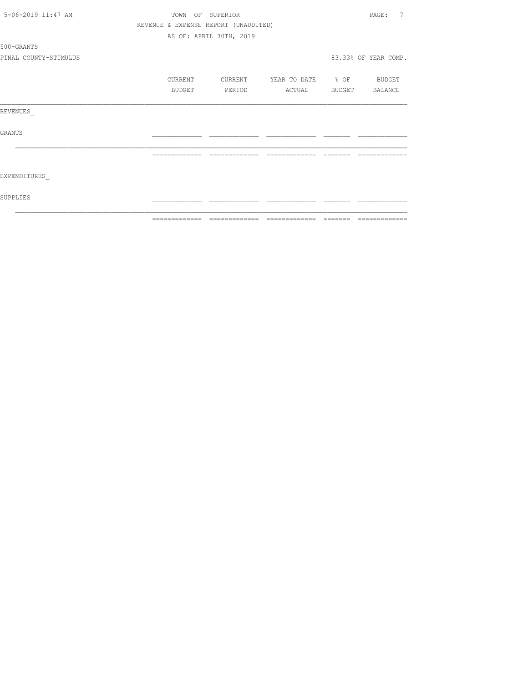|                       | ============= | =====                                |                   | $\qquad \qquad = \qquad \qquad = \qquad \qquad = \qquad \qquad = \qquad \qquad = \qquad \qquad = \qquad \qquad = \qquad \qquad = \qquad \qquad = \qquad \qquad = \qquad \qquad = \qquad \qquad = \qquad \qquad = \qquad \qquad = \qquad \qquad = \qquad \qquad = \qquad \qquad = \qquad \qquad = \qquad \qquad = \qquad \qquad = \qquad \qquad = \qquad \qquad = \qquad \qquad = \qquad \qquad = \qquad \qquad = \qquad \qquad = \qquad \qquad = \qquad \qquad = \qquad \qquad = \qquad \qquad = \qquad \qquad = \qquad$ | =============        |
|-----------------------|---------------|--------------------------------------|-------------------|--------------------------------------------------------------------------------------------------------------------------------------------------------------------------------------------------------------------------------------------------------------------------------------------------------------------------------------------------------------------------------------------------------------------------------------------------------------------------------------------------------------------------|----------------------|
| <b>SUPPLIES</b>       |               |                                      |                   |                                                                                                                                                                                                                                                                                                                                                                                                                                                                                                                          |                      |
| EXPENDITURES          |               |                                      |                   |                                                                                                                                                                                                                                                                                                                                                                                                                                                                                                                          |                      |
|                       | ------------- | --------------                       | --------------    |                                                                                                                                                                                                                                                                                                                                                                                                                                                                                                                          |                      |
| <b>GRANTS</b>         |               |                                      |                   |                                                                                                                                                                                                                                                                                                                                                                                                                                                                                                                          |                      |
| REVENUES              |               |                                      |                   |                                                                                                                                                                                                                                                                                                                                                                                                                                                                                                                          |                      |
|                       | BUDGET        | PERIOD                               | ACTUAL            | <b>BUDGET</b>                                                                                                                                                                                                                                                                                                                                                                                                                                                                                                            | BALANCE              |
|                       | CURRENT       | CURRENT                              | YEAR TO DATE % OF |                                                                                                                                                                                                                                                                                                                                                                                                                                                                                                                          | <b>BUDGET</b>        |
| PINAL COUNTY-STIMULUS |               |                                      |                   |                                                                                                                                                                                                                                                                                                                                                                                                                                                                                                                          | 83.33% OF YEAR COMP. |
| 500-GRANTS            |               |                                      |                   |                                                                                                                                                                                                                                                                                                                                                                                                                                                                                                                          |                      |
|                       |               | AS OF: APRIL 30TH, 2019              |                   |                                                                                                                                                                                                                                                                                                                                                                                                                                                                                                                          |                      |
|                       |               | REVENUE & EXPENSE REPORT (UNAUDITED) |                   |                                                                                                                                                                                                                                                                                                                                                                                                                                                                                                                          |                      |
| 5-06-2019 11:47 AM    | TOWN          | OF SUPERIOR                          |                   |                                                                                                                                                                                                                                                                                                                                                                                                                                                                                                                          | 7<br>PAGE:           |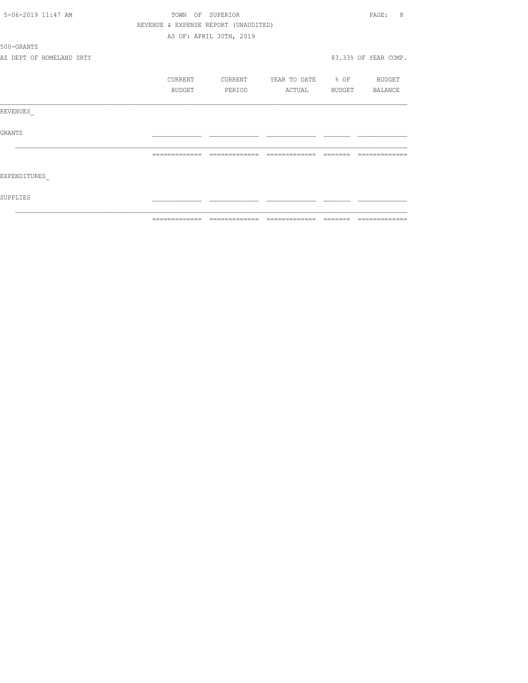| 5-06-2019 11:47 AM       |               |         | TOWN OF SUPERIOR                     |                          |          | 8<br>PAGE:           |
|--------------------------|---------------|---------|--------------------------------------|--------------------------|----------|----------------------|
|                          |               |         | REVENUE & EXPENSE REPORT (UNAUDITED) |                          |          |                      |
|                          |               |         | AS OF: APRIL 30TH, 2019              |                          |          |                      |
| 500-GRANTS               |               |         |                                      |                          |          |                      |
| AZ DEPT OF HOMELAND SRTY |               |         |                                      |                          |          | 83.33% OF YEAR COMP. |
|                          |               | CURRENT | CURRENT                              | YEAR TO DATE % OF BUDGET |          |                      |
|                          |               | BUDGET  | PERIOD                               | ACTUAL                   |          | BUDGET BALANCE       |
| REVENUES                 |               |         |                                      |                          |          |                      |
| <b>GRANTS</b>            |               |         |                                      |                          |          |                      |
|                          | ============= |         | =============                        |                          | -------- |                      |
| EXPENDITURES             |               |         |                                      |                          |          |                      |
| SUPPLIES                 |               |         |                                      |                          |          |                      |
|                          | ============= |         |                                      |                          |          | --------------       |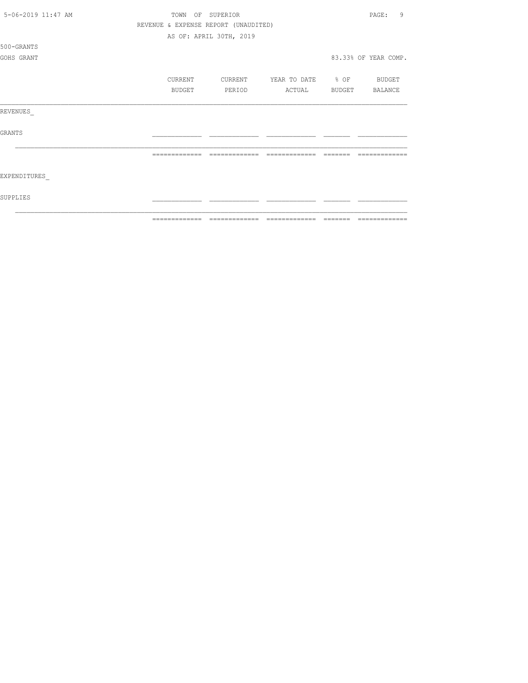| 5-06-2019 11:47 AM | TOWN          |         | OF SUPERIOR                          |                   |        | 9<br>PAGE:           |
|--------------------|---------------|---------|--------------------------------------|-------------------|--------|----------------------|
|                    |               |         | REVENUE & EXPENSE REPORT (UNAUDITED) |                   |        |                      |
|                    |               |         | AS OF: APRIL 30TH, 2019              |                   |        |                      |
| 500-GRANTS         |               |         |                                      |                   |        |                      |
| GOHS GRANT         |               |         |                                      |                   |        | 83.33% OF YEAR COMP. |
|                    |               |         |                                      |                   |        |                      |
|                    |               | CURRENT | CURRENT                              | YEAR TO DATE % OF |        | BUDGET               |
|                    |               | BUDGET  | PERIOD                               | ACTUAL            | BUDGET | BALANCE              |
| REVENUES           |               |         |                                      |                   |        |                      |
| <b>GRANTS</b>      |               |         |                                      |                   |        |                      |
|                    |               |         |                                      |                   |        |                      |
| EXPENDITURES       |               |         |                                      |                   |        |                      |
| SUPPLIES           |               |         |                                      |                   |        |                      |
|                    | ============= |         |                                      |                   |        |                      |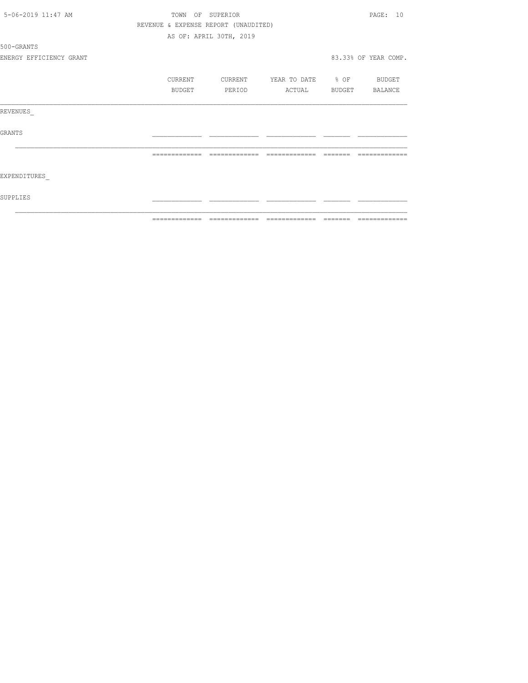|                         | ============= | --------------                       | $\begin{array}{cccccccccc} \multicolumn{2}{c}{} & \multicolumn{2}{c}{} & \multicolumn{2}{c}{} & \multicolumn{2}{c}{} & \multicolumn{2}{c}{} & \multicolumn{2}{c}{} & \multicolumn{2}{c}{} & \multicolumn{2}{c}{} & \multicolumn{2}{c}{} & \multicolumn{2}{c}{} & \multicolumn{2}{c}{} & \multicolumn{2}{c}{} & \multicolumn{2}{c}{} & \multicolumn{2}{c}{} & \multicolumn{2}{c}{} & \multicolumn{2}{c}{} & \multicolumn{2}{c}{} & \multicolumn{2}{c}{} & \multicolumn{2}{c}{} & \mult$ | $\qquad \qquad = \qquad \qquad = \qquad \qquad = \qquad \qquad = \qquad \qquad = \qquad \qquad = \qquad \qquad = \qquad \qquad = \qquad \qquad = \qquad \qquad = \qquad \qquad = \qquad \qquad = \qquad \qquad = \qquad \qquad = \qquad \qquad = \qquad \qquad = \qquad \qquad = \qquad \qquad = \qquad \qquad = \qquad \qquad = \qquad \qquad = \qquad \qquad = \qquad \qquad = \qquad \qquad = \qquad \qquad = \qquad \qquad = \qquad \qquad = \qquad \qquad = \qquad \qquad = \qquad \qquad = \qquad \qquad = \qquad$ | =============        |
|-------------------------|---------------|--------------------------------------|----------------------------------------------------------------------------------------------------------------------------------------------------------------------------------------------------------------------------------------------------------------------------------------------------------------------------------------------------------------------------------------------------------------------------------------------------------------------------------------|--------------------------------------------------------------------------------------------------------------------------------------------------------------------------------------------------------------------------------------------------------------------------------------------------------------------------------------------------------------------------------------------------------------------------------------------------------------------------------------------------------------------------|----------------------|
| <b>SUPPLIES</b>         |               |                                      |                                                                                                                                                                                                                                                                                                                                                                                                                                                                                        |                                                                                                                                                                                                                                                                                                                                                                                                                                                                                                                          |                      |
| EXPENDITURES            |               |                                      |                                                                                                                                                                                                                                                                                                                                                                                                                                                                                        |                                                                                                                                                                                                                                                                                                                                                                                                                                                                                                                          |                      |
|                         | ------------- | -------------                        | --------------                                                                                                                                                                                                                                                                                                                                                                                                                                                                         |                                                                                                                                                                                                                                                                                                                                                                                                                                                                                                                          |                      |
| <b>GRANTS</b>           |               |                                      |                                                                                                                                                                                                                                                                                                                                                                                                                                                                                        |                                                                                                                                                                                                                                                                                                                                                                                                                                                                                                                          |                      |
| REVENUES                |               |                                      |                                                                                                                                                                                                                                                                                                                                                                                                                                                                                        |                                                                                                                                                                                                                                                                                                                                                                                                                                                                                                                          |                      |
|                         | BUDGET        | PERIOD                               | ACTUAL BUDGET BALANCE                                                                                                                                                                                                                                                                                                                                                                                                                                                                  |                                                                                                                                                                                                                                                                                                                                                                                                                                                                                                                          |                      |
|                         | CURRENT       | CURRENT                              | YEAR TO DATE % OF BUDGET                                                                                                                                                                                                                                                                                                                                                                                                                                                               |                                                                                                                                                                                                                                                                                                                                                                                                                                                                                                                          |                      |
| ENERGY EFFICIENCY GRANT |               |                                      |                                                                                                                                                                                                                                                                                                                                                                                                                                                                                        |                                                                                                                                                                                                                                                                                                                                                                                                                                                                                                                          | 83.33% OF YEAR COMP. |
| 500-GRANTS              |               |                                      |                                                                                                                                                                                                                                                                                                                                                                                                                                                                                        |                                                                                                                                                                                                                                                                                                                                                                                                                                                                                                                          |                      |
|                         |               | AS OF: APRIL 30TH, 2019              |                                                                                                                                                                                                                                                                                                                                                                                                                                                                                        |                                                                                                                                                                                                                                                                                                                                                                                                                                                                                                                          |                      |
|                         |               | REVENUE & EXPENSE REPORT (UNAUDITED) |                                                                                                                                                                                                                                                                                                                                                                                                                                                                                        |                                                                                                                                                                                                                                                                                                                                                                                                                                                                                                                          |                      |
| 5-06-2019 11:47 AM      | TOWN          | OF SUPERIOR                          |                                                                                                                                                                                                                                                                                                                                                                                                                                                                                        |                                                                                                                                                                                                                                                                                                                                                                                                                                                                                                                          | PAGE: 10             |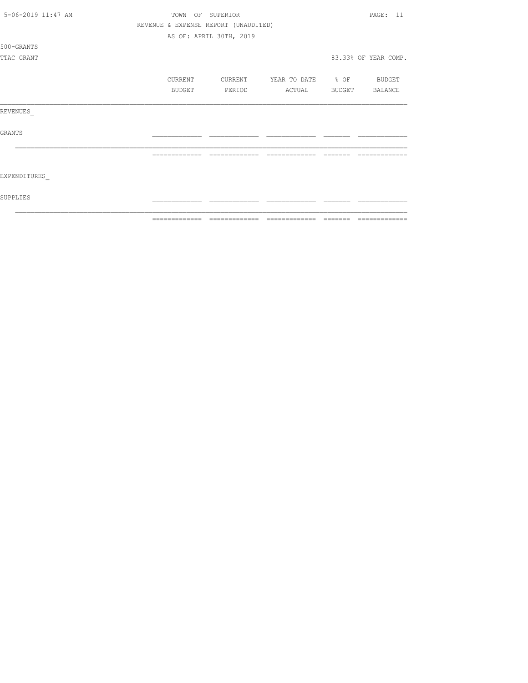| 5-06-2019 11:47 AM | TOWN          | OF SUPERIOR                          |                   |        |                      |  |
|--------------------|---------------|--------------------------------------|-------------------|--------|----------------------|--|
|                    |               | REVENUE & EXPENSE REPORT (UNAUDITED) |                   |        |                      |  |
|                    |               | AS OF: APRIL 30TH, 2019              |                   |        |                      |  |
| 500-GRANTS         |               |                                      |                   |        |                      |  |
| TTAC GRANT         |               |                                      |                   |        | 83.33% OF YEAR COMP. |  |
|                    | CURRENT       | CURRENT                              | YEAR TO DATE % OF |        | BUDGET               |  |
|                    | <b>BUDGET</b> | PERIOD                               | ACTUAL            | BUDGET | BALANCE              |  |
| REVENUES           |               |                                      |                   |        |                      |  |
| <b>GRANTS</b>      |               |                                      |                   |        |                      |  |
|                    |               |                                      |                   |        |                      |  |
| EXPENDITURES       |               |                                      |                   |        |                      |  |
| SUPPLIES           |               |                                      |                   |        |                      |  |
|                    | ============= |                                      |                   |        |                      |  |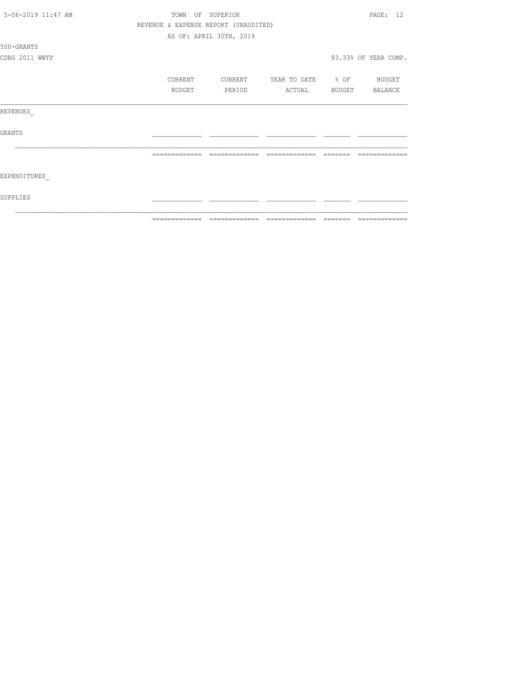| 5-06-2019 11:47 AM | TOWN OF SUPERIOR |                                      |                          | PAGE: 12             |
|--------------------|------------------|--------------------------------------|--------------------------|----------------------|
|                    |                  | REVENUE & EXPENSE REPORT (UNAUDITED) |                          |                      |
|                    |                  | AS OF: APRIL 30TH, 2019              |                          |                      |
| 500-GRANTS         |                  |                                      |                          |                      |
| CDBG 2011 WWTP     |                  |                                      |                          | 83.33% OF YEAR COMP. |
|                    |                  |                                      |                          |                      |
|                    | CURRENT          | CURRENT                              | YEAR TO DATE % OF BUDGET |                      |
|                    | BUDGET           | PERIOD                               | ACTUAL BUDGET BALANCE    |                      |
|                    |                  |                                      |                          |                      |
| REVENUES           |                  |                                      |                          |                      |
|                    |                  |                                      |                          |                      |
| GRANTS             |                  |                                      |                          |                      |
|                    |                  |                                      |                          |                      |
|                    |                  | -------------- --------------        | =============            | =============        |
|                    |                  |                                      |                          |                      |
| EXPENDITURES       |                  |                                      |                          |                      |
|                    |                  |                                      |                          |                      |
| SUPPLIES           |                  |                                      |                          |                      |
|                    |                  |                                      |                          |                      |
|                    |                  |                                      |                          | --------------       |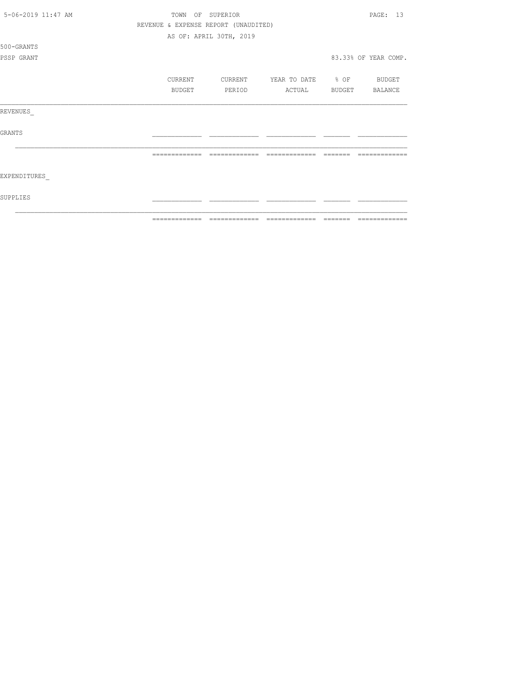| 5-06-2019 11:47 AM | TOWN OF SUPERIOR |                                      |                               |         | PAGE: 13                                                                                                                                                                                                                                                                                                                                                                                                                                                                                     |
|--------------------|------------------|--------------------------------------|-------------------------------|---------|----------------------------------------------------------------------------------------------------------------------------------------------------------------------------------------------------------------------------------------------------------------------------------------------------------------------------------------------------------------------------------------------------------------------------------------------------------------------------------------------|
|                    |                  | REVENUE & EXPENSE REPORT (UNAUDITED) |                               |         |                                                                                                                                                                                                                                                                                                                                                                                                                                                                                              |
|                    |                  | AS OF: APRIL 30TH, 2019              |                               |         |                                                                                                                                                                                                                                                                                                                                                                                                                                                                                              |
| 500-GRANTS         |                  |                                      |                               |         |                                                                                                                                                                                                                                                                                                                                                                                                                                                                                              |
| PSSP GRANT         |                  |                                      |                               |         | 83.33% OF YEAR COMP.                                                                                                                                                                                                                                                                                                                                                                                                                                                                         |
|                    |                  |                                      |                               |         |                                                                                                                                                                                                                                                                                                                                                                                                                                                                                              |
|                    | CURRENT          | CURRENT                              | YEAR TO DATE % OF             |         | BUDGET                                                                                                                                                                                                                                                                                                                                                                                                                                                                                       |
|                    | BUDGET           | PERIOD                               | ACTUAL                        | BUDGET  | BALANCE                                                                                                                                                                                                                                                                                                                                                                                                                                                                                      |
| REVENUES           |                  |                                      |                               |         |                                                                                                                                                                                                                                                                                                                                                                                                                                                                                              |
| <b>GRANTS</b>      |                  |                                      |                               |         |                                                                                                                                                                                                                                                                                                                                                                                                                                                                                              |
|                    |                  |                                      |                               |         |                                                                                                                                                                                                                                                                                                                                                                                                                                                                                              |
| EXPENDITURES       |                  |                                      |                               |         |                                                                                                                                                                                                                                                                                                                                                                                                                                                                                              |
| SUPPLIES           |                  |                                      |                               |         |                                                                                                                                                                                                                                                                                                                                                                                                                                                                                              |
|                    | =============    |                                      | ============================= | ======= | $\begin{array}{c} \multicolumn{2}{c} {\textbf{1}} & \multicolumn{2}{c} {\textbf{2}} & \multicolumn{2}{c} {\textbf{3}} & \multicolumn{2}{c} {\textbf{4}} \\ \multicolumn{2}{c} {\textbf{5}} & \multicolumn{2}{c} {\textbf{6}} & \multicolumn{2}{c} {\textbf{7}} & \multicolumn{2}{c} {\textbf{8}} & \multicolumn{2}{c} {\textbf{9}} \\ \multicolumn{2}{c} {\textbf{1}} & \multicolumn{2}{c} {\textbf{1}} & \multicolumn{2}{c} {\textbf{1}} & \multicolumn{2}{c} {\textbf{1}} & \multicolumn{$ |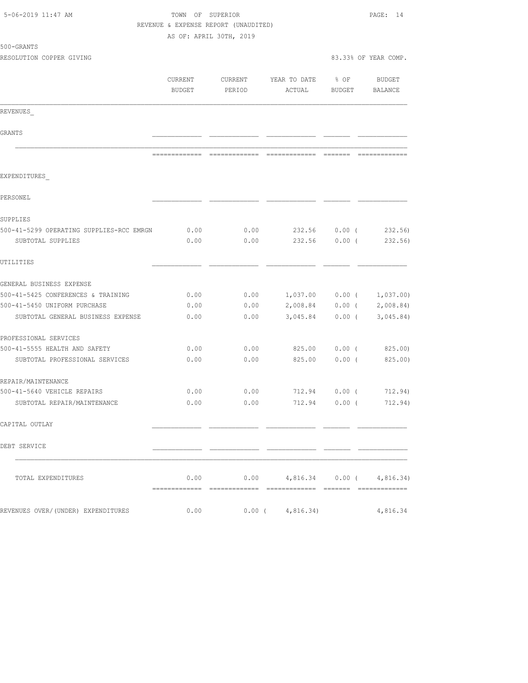| 5-06-2019 11:47 AM                       | TOWN OF SUPERIOR<br>REVENUE & EXPENSE REPORT (UNAUDITED) | PAGE: 14                      |                                  |                          |                      |
|------------------------------------------|----------------------------------------------------------|-------------------------------|----------------------------------|--------------------------|----------------------|
|                                          |                                                          | AS OF: APRIL 30TH, 2019       |                                  |                          |                      |
| 500-GRANTS                               |                                                          |                               |                                  |                          |                      |
| RESOLUTION COPPER GIVING                 |                                                          |                               |                                  |                          | 83.33% OF YEAR COMP. |
|                                          | CURRENT<br>BUDGET                                        | CURRENT<br>PERIOD             | YEAR TO DATE<br>ACTUAL           | $8$ OF<br>BUDGET BALANCE | <b>BUDGET</b>        |
| REVENUES                                 |                                                          |                               |                                  |                          |                      |
| GRANTS                                   |                                                          |                               |                                  |                          |                      |
|                                          |                                                          |                               |                                  |                          |                      |
|                                          |                                                          | ============================= | -------------- -----             |                          |                      |
| EXPENDITURES                             |                                                          |                               |                                  |                          |                      |
| PERSONEL                                 |                                                          |                               |                                  |                          |                      |
| SUPPLIES                                 |                                                          |                               |                                  |                          |                      |
| 500-41-5299 OPERATING SUPPLIES-RCC EMRGN | 0.00                                                     | 0.00                          | 232.56 0.00 (                    |                          | 232.56)              |
| SUBTOTAL SUPPLIES                        | 0.00                                                     | 0.00                          |                                  | 232.56 0.00 (            | 232.56)              |
| UTILITIES                                |                                                          |                               |                                  |                          |                      |
| GENERAL BUSINESS EXPENSE                 |                                                          |                               |                                  |                          |                      |
| 500-41-5425 CONFERENCES & TRAINING       | 0.00                                                     |                               | $0.00$ 1,037.00 0.00 ( 1,037.00) |                          |                      |
| 500-41-5450 UNIFORM PURCHASE             | 0.00                                                     | 0.00                          |                                  |                          |                      |
| SUBTOTAL GENERAL BUSINESS EXPENSE        | 0.00                                                     | 0.00                          | 3,045.84                         |                          | $0.00$ ( 3,045.84)   |
| PROFESSIONAL SERVICES                    |                                                          |                               |                                  |                          |                      |
| 500-41-5555 HEALTH AND SAFETY            | 0.00                                                     | 0.00                          |                                  |                          | 825.00 0.00 (825.00) |
| SUBTOTAL PROFESSIONAL SERVICES           | 0.00                                                     | 0.00                          | 825.00                           |                          | $0.00$ ( 825.00)     |
| REPAIR/MAINTENANCE                       |                                                          |                               |                                  |                          |                      |
| 500-41-5640 VEHICLE REPAIRS              | 0.00                                                     | 0.00                          | 712.94                           | $0.00$ (                 | 712.94)              |
| SUBTOTAL REPAIR/MAINTENANCE              | 0.00                                                     |                               | $0.00$ 712.94 0.00 ( 712.94)     |                          |                      |
| CAPITAL OUTLAY                           |                                                          |                               |                                  |                          |                      |
| DEBT SERVICE                             |                                                          |                               |                                  |                          |                      |
| TOTAL EXPENDITURES                       |                                                          | 0.00                          | $0.00$ 4,816.34 0.00 ( 4,816.34) |                          |                      |
| REVENUES OVER/(UNDER) EXPENDITURES       | 0.00                                                     |                               | $0.00$ ( $4,816.34$ )            |                          | 4,816.34             |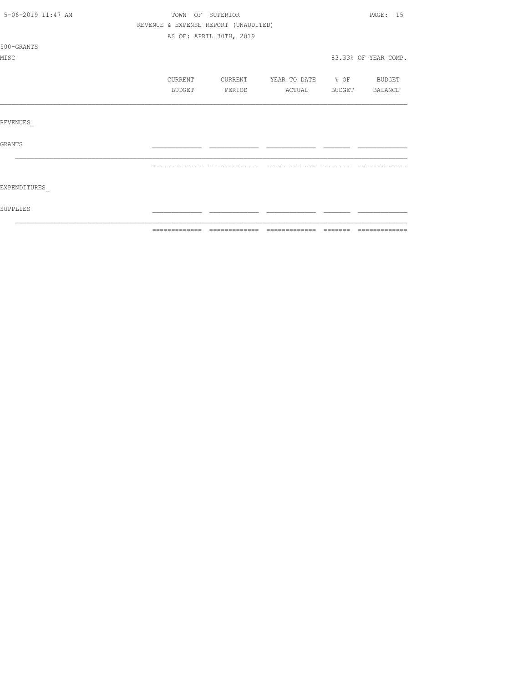| 5-06-2019 11:47 AM | TOWN OF SUPERIOR |                                      |                          |               | PAGE: 15             |
|--------------------|------------------|--------------------------------------|--------------------------|---------------|----------------------|
|                    |                  | REVENUE & EXPENSE REPORT (UNAUDITED) |                          |               |                      |
|                    |                  | AS OF: APRIL 30TH, 2019              |                          |               |                      |
| 500-GRANTS         |                  |                                      |                          |               |                      |
| MISC               |                  |                                      |                          |               | 83.33% OF YEAR COMP. |
|                    |                  |                                      |                          |               |                      |
|                    | CURRENT          | CURRENT                              | YEAR TO DATE 8 OF BUDGET |               |                      |
|                    | BUDGET           | PERIOD                               | ACTUAL                   | <b>BUDGET</b> | BALANCE              |
|                    |                  |                                      |                          |               |                      |
|                    |                  |                                      |                          |               |                      |
| REVENUES           |                  |                                      |                          |               |                      |
|                    |                  |                                      |                          |               |                      |
| GRANTS             |                  |                                      |                          |               |                      |
|                    |                  |                                      |                          |               |                      |
|                    | =============    | - =============                      | --------------           | - =======     | =============        |
|                    |                  |                                      |                          |               |                      |
| EXPENDITURES       |                  |                                      |                          |               |                      |
|                    |                  |                                      |                          |               |                      |
| SUPPLIES           |                  |                                      |                          |               |                      |
|                    |                  |                                      |                          |               |                      |
|                    |                  |                                      |                          |               |                      |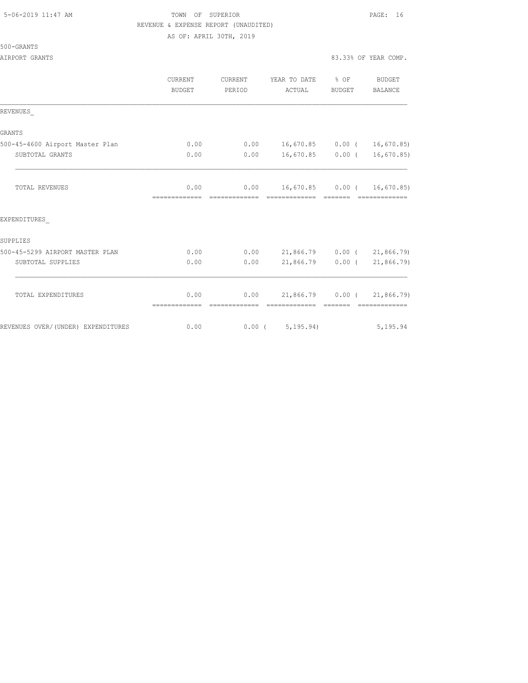#### 5-06-2019 11:47 AM TOWN OF SUPERIOR PAGE: 16 REVENUE & EXPENSE REPORT (UNAUDITED) AS OF: APRIL 30TH, 2019

|  | 500-GRANTS |  |
|--|------------|--|
|  |            |  |

|                                    | <b>CURRENT</b><br><b>BUDGET</b> | CURRENT<br>PERIOD | YEAR TO DATE % OF<br>ACTUAL                 | BUDGET                                                                                                                                                                                                                                                                                                                                                                                                                                                                               | BUDGET<br><b>BALANCE</b> |
|------------------------------------|---------------------------------|-------------------|---------------------------------------------|--------------------------------------------------------------------------------------------------------------------------------------------------------------------------------------------------------------------------------------------------------------------------------------------------------------------------------------------------------------------------------------------------------------------------------------------------------------------------------------|--------------------------|
| REVENUES                           |                                 |                   |                                             |                                                                                                                                                                                                                                                                                                                                                                                                                                                                                      |                          |
| <b>GRANTS</b>                      |                                 |                   |                                             |                                                                                                                                                                                                                                                                                                                                                                                                                                                                                      |                          |
| 500-45-4600 Airport Master Plan    | 0.00                            |                   | $0.00$ 16,670.85 0.00 ( 16,670.85)          |                                                                                                                                                                                                                                                                                                                                                                                                                                                                                      |                          |
| SUBTOTAL GRANTS                    | 0.00                            | 0.00              | 16,670.85 0.00 ( 16,670.85)                 |                                                                                                                                                                                                                                                                                                                                                                                                                                                                                      |                          |
| <b>TOTAL REVENUES</b>              | 0.00                            | 0.00              | 16,670.85 0.00 ( 16,670.85)                 |                                                                                                                                                                                                                                                                                                                                                                                                                                                                                      |                          |
| EXPENDITURES                       |                                 |                   |                                             |                                                                                                                                                                                                                                                                                                                                                                                                                                                                                      |                          |
| SUPPLIES                           |                                 |                   |                                             |                                                                                                                                                                                                                                                                                                                                                                                                                                                                                      |                          |
| 500-45-5299 AIRPORT MASTER PLAN    | 0.00                            |                   | $0.00$ 21,866.79 0.00 ( 21,866.79)          |                                                                                                                                                                                                                                                                                                                                                                                                                                                                                      |                          |
| SUBTOTAL SUPPLIES                  | 0.00                            | 0.00              | 21,866.79 0.00 (21,866.79)                  |                                                                                                                                                                                                                                                                                                                                                                                                                                                                                      |                          |
| TOTAL EXPENDITURES                 | 0.00                            | 0.00              | 21,866.79 0.00 (21,866.79)<br>============= | $\begin{array}{cccccc} \multicolumn{2}{c}{} & \multicolumn{2}{c}{} & \multicolumn{2}{c}{} & \multicolumn{2}{c}{} & \multicolumn{2}{c}{} & \multicolumn{2}{c}{} & \multicolumn{2}{c}{} & \multicolumn{2}{c}{} & \multicolumn{2}{c}{} & \multicolumn{2}{c}{} & \multicolumn{2}{c}{} & \multicolumn{2}{c}{} & \multicolumn{2}{c}{} & \multicolumn{2}{c}{} & \multicolumn{2}{c}{} & \multicolumn{2}{c}{} & \multicolumn{2}{c}{} & \multicolumn{2}{c}{} & \multicolumn{2}{c}{} & \multic$ |                          |
| REVENUES OVER/(UNDER) EXPENDITURES | 0.00                            |                   | 0.00(5, 195.94)                             |                                                                                                                                                                                                                                                                                                                                                                                                                                                                                      | 5,195.94                 |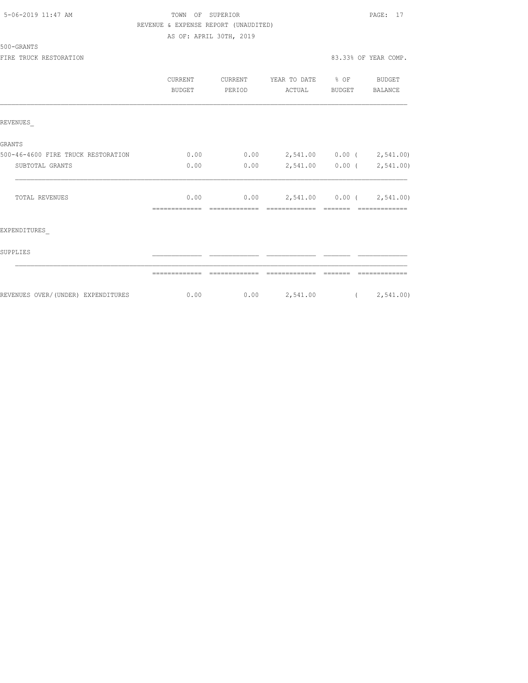| 5-06-2019 11:47 AM |  |  |
|--------------------|--|--|
|                    |  |  |

## TOWN OF SUPERIOR **11:47 AM TOWN OF SUPERIOR**  REVENUE & EXPENSE REPORT (UNAUDITED) AS OF: APRIL 30TH, 2019

#### 500-GRANTS

FIRE TRUCK RESTORATION **83.33%** OF YEAR COMP.

|                                    | <b>CURRENT</b><br><b>BUDGET</b> | <b>CURRENT</b><br>PERIOD | YEAR TO DATE % OF<br>ACTUAL           | BUDGET | <b>BUDGET</b><br><b>BALANCE</b> |
|------------------------------------|---------------------------------|--------------------------|---------------------------------------|--------|---------------------------------|
| REVENUES                           |                                 |                          |                                       |        |                                 |
| GRANTS                             |                                 |                          |                                       |        |                                 |
| 500-46-4600 FIRE TRUCK RESTORATION | 0.00                            | 0.00                     | 2,541.00 0.00 ( 2,541.00)             |        |                                 |
| SUBTOTAL GRANTS                    | 0.00                            | 0.00                     | 2,541.00  0.00  (2,541.00)            |        |                                 |
| TOTAL REVENUES                     | 0.00                            |                          | $0.00$ $2,541.00$ $0.00$ $(2,541.00)$ |        |                                 |
| EXPENDITURES                       |                                 |                          |                                       |        |                                 |
| SUPPLIES                           |                                 |                          |                                       |        |                                 |
|                                    |                                 |                          |                                       |        |                                 |
| REVENUES OVER/(UNDER) EXPENDITURES | 0.00                            |                          | $0.00$ 2,541.00 (2,541.00)            |        |                                 |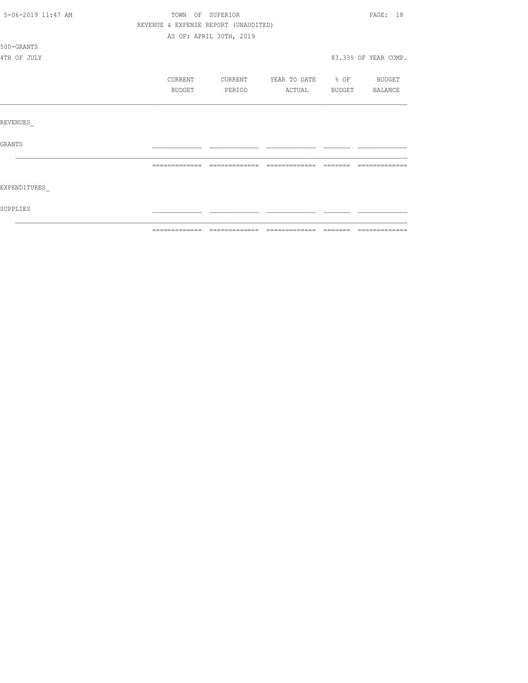|                    | =============                        | =============           | --------------    | $\begin{array}{cccccccccc} \multicolumn{2}{c}{} & \multicolumn{2}{c}{} & \multicolumn{2}{c}{} & \multicolumn{2}{c}{} & \multicolumn{2}{c}{} & \multicolumn{2}{c}{} & \multicolumn{2}{c}{} & \multicolumn{2}{c}{} & \multicolumn{2}{c}{} & \multicolumn{2}{c}{} & \multicolumn{2}{c}{} & \multicolumn{2}{c}{} & \multicolumn{2}{c}{} & \multicolumn{2}{c}{} & \multicolumn{2}{c}{} & \multicolumn{2}{c}{} & \multicolumn{2}{c}{} & \multicolumn{2}{c}{} & \multicolumn{2}{c}{} & \mult$ | - ============= |  |  |
|--------------------|--------------------------------------|-------------------------|-------------------|----------------------------------------------------------------------------------------------------------------------------------------------------------------------------------------------------------------------------------------------------------------------------------------------------------------------------------------------------------------------------------------------------------------------------------------------------------------------------------------|-----------------|--|--|
| SUPPLIES           |                                      |                         |                   |                                                                                                                                                                                                                                                                                                                                                                                                                                                                                        |                 |  |  |
| EXPENDITURES       |                                      |                         |                   |                                                                                                                                                                                                                                                                                                                                                                                                                                                                                        |                 |  |  |
|                    |                                      |                         |                   |                                                                                                                                                                                                                                                                                                                                                                                                                                                                                        |                 |  |  |
| <b>GRANTS</b>      |                                      |                         |                   |                                                                                                                                                                                                                                                                                                                                                                                                                                                                                        |                 |  |  |
| REVENUES           |                                      |                         |                   |                                                                                                                                                                                                                                                                                                                                                                                                                                                                                        |                 |  |  |
|                    |                                      |                         |                   |                                                                                                                                                                                                                                                                                                                                                                                                                                                                                        |                 |  |  |
|                    | BUDGET                               | PERIOD                  | ACTUAL            | BUDGET                                                                                                                                                                                                                                                                                                                                                                                                                                                                                 | BALANCE         |  |  |
|                    | CURRENT                              | CURRENT                 | YEAR TO DATE % OF |                                                                                                                                                                                                                                                                                                                                                                                                                                                                                        | <b>BUDGET</b>   |  |  |
| 4TH OF JULY        |                                      |                         |                   | 83.33% OF YEAR COMP.                                                                                                                                                                                                                                                                                                                                                                                                                                                                   |                 |  |  |
| 500-GRANTS         |                                      |                         |                   |                                                                                                                                                                                                                                                                                                                                                                                                                                                                                        |                 |  |  |
|                    |                                      | AS OF: APRIL 30TH, 2019 |                   |                                                                                                                                                                                                                                                                                                                                                                                                                                                                                        |                 |  |  |
|                    | REVENUE & EXPENSE REPORT (UNAUDITED) |                         |                   |                                                                                                                                                                                                                                                                                                                                                                                                                                                                                        |                 |  |  |
| 5-06-2019 11:47 AM | TOWN OF SUPERIOR                     |                         |                   | PAGE: 18                                                                                                                                                                                                                                                                                                                                                                                                                                                                               |                 |  |  |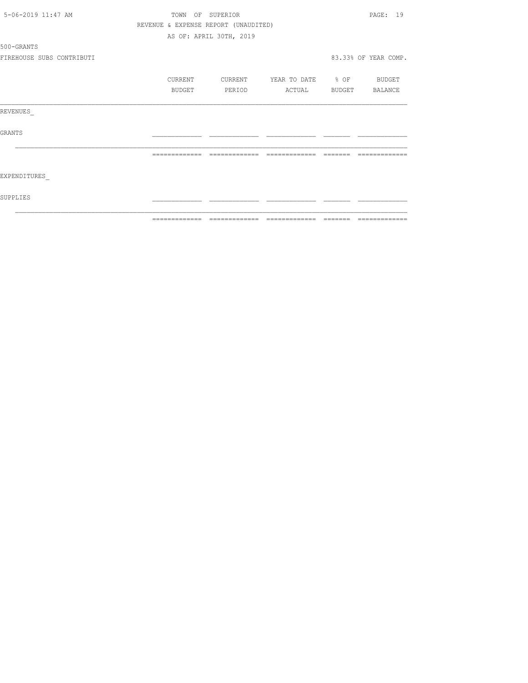| 5-06-2019 11:47 AM        |               | TOWN OF SUPERIOR                     |                          |          | PAGE: 19             |
|---------------------------|---------------|--------------------------------------|--------------------------|----------|----------------------|
|                           |               | REVENUE & EXPENSE REPORT (UNAUDITED) |                          |          |                      |
|                           |               | AS OF: APRIL 30TH, 2019              |                          |          |                      |
| 500-GRANTS                |               |                                      |                          |          |                      |
| FIREHOUSE SUBS CONTRIBUTI |               |                                      |                          |          | 83.33% OF YEAR COMP. |
|                           | CURRENT       | CURRENT                              | YEAR TO DATE % OF BUDGET |          |                      |
|                           | <b>BUDGET</b> | PERIOD                               | ACTUAL                   |          | BUDGET BALANCE       |
| REVENUES                  |               |                                      |                          |          |                      |
| <b>GRANTS</b>             |               |                                      |                          |          |                      |
|                           | ============= | =============                        |                          | -------- |                      |
| EXPENDITURES              |               |                                      |                          |          |                      |
| SUPPLIES                  |               |                                      |                          |          |                      |
|                           | ============= | --------------                       |                          |          | --------------       |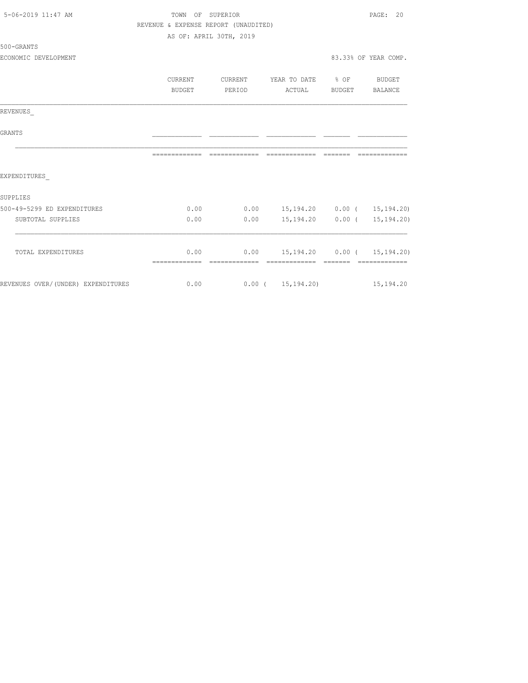| 5-06-2019 11:47 AM                 | TOWN OF SUPERIOR                     |                         |                                  |              | PAGE:<br>20            |
|------------------------------------|--------------------------------------|-------------------------|----------------------------------|--------------|------------------------|
|                                    | REVENUE & EXPENSE REPORT (UNAUDITED) |                         |                                  |              |                        |
|                                    |                                      | AS OF: APRIL 30TH, 2019 |                                  |              |                        |
| 500-GRANTS                         |                                      |                         |                                  |              |                        |
| ECONOMIC DEVELOPMENT               |                                      |                         |                                  |              | 83.33% OF YEAR COMP.   |
|                                    |                                      |                         |                                  |              |                        |
|                                    | CURRENT                              | CURRENT                 | YEAR TO DATE                     | $\otimes$ OF | BUDGET                 |
|                                    | BUDGET                               | PERIOD                  | ACTUAL                           | BUDGET       | BALANCE                |
| REVENUES                           |                                      |                         |                                  |              |                        |
| <b>GRANTS</b>                      |                                      |                         |                                  |              |                        |
|                                    | --------------                       |                         |                                  |              | -------------          |
| EXPENDITURES                       |                                      |                         |                                  |              |                        |
| SUPPLIES                           |                                      |                         |                                  |              |                        |
| 500-49-5299 ED EXPENDITURES        | 0.00                                 | 0.00                    | 15, 194. 20  0.00 ( 15, 194. 20) |              |                        |
| SUBTOTAL SUPPLIES                  | 0.00                                 | 0.00                    | 15,194.20                        |              | $0.00$ ( $15,194.20$ ) |
| TOTAL EXPENDITURES                 | 0.00                                 | 0.00                    |                                  |              |                        |
|                                    |                                      |                         | 15,194.20 0.00 ( 15,194.20)      |              | - cooccooccooc         |
| REVENUES OVER/(UNDER) EXPENDITURES | 0.00                                 |                         | $0.00$ ( $15,194,20$ ) 15,194.20 |              |                        |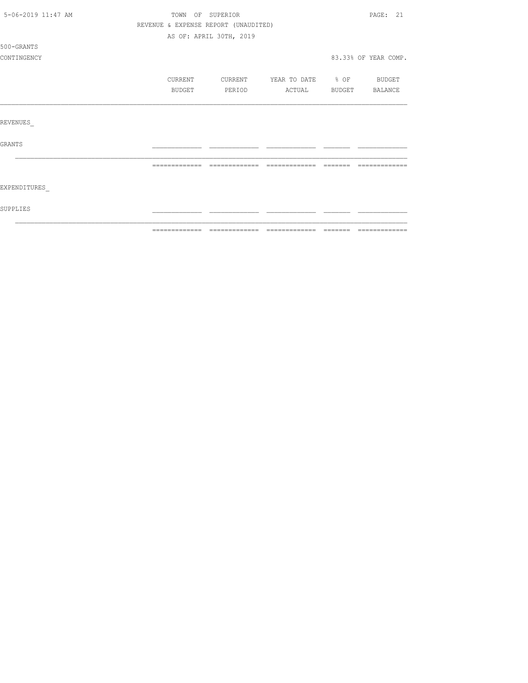| 5-06-2019 11:47 AM | TOWN OF SUPERIOR | PAGE: 21                             |                          |               |         |
|--------------------|------------------|--------------------------------------|--------------------------|---------------|---------|
|                    |                  | REVENUE & EXPENSE REPORT (UNAUDITED) |                          |               |         |
|                    |                  | AS OF: APRIL 30TH, 2019              |                          |               |         |
| 500-GRANTS         |                  |                                      |                          |               |         |
| CONTINGENCY        |                  |                                      |                          |               |         |
|                    | CURRENT          | CURRENT                              | YEAR TO DATE % OF BUDGET |               |         |
|                    | BUDGET           | PERIOD                               | ACTUAL                   | <b>BUDGET</b> | BALANCE |
|                    |                  |                                      |                          |               |         |
| REVENUES           |                  |                                      |                          |               |         |
| <b>GRANTS</b>      |                  |                                      |                          |               |         |
|                    |                  |                                      |                          |               |         |
| EXPENDITURES       |                  |                                      |                          |               |         |
| SUPPLIES           |                  |                                      |                          |               |         |
|                    |                  |                                      |                          |               |         |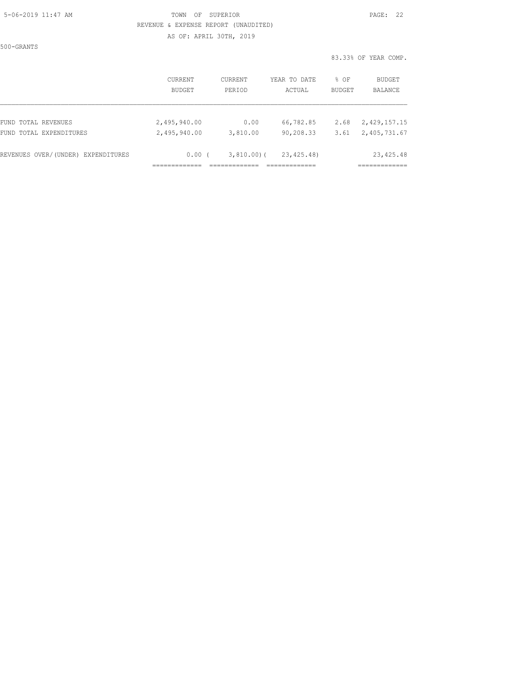### 5-06-2019 11:47 AM TOWN OF SUPERIOR PAGE: 22 REVENUE & EXPENSE REPORT (UNAUDITED) AS OF: APRIL 30TH, 2019

500-GRANTS

83.33% OF YEAR COMP.

|                                    | CURRENT      | CURRENT   | YEAR TO DATE | % OF          | <b>BUDGET</b> |
|------------------------------------|--------------|-----------|--------------|---------------|---------------|
|                                    | BUDGET       | PERIOD    | ACTUAL       | <b>BUDGET</b> | BALANCE       |
| FUND TOTAL REVENUES                | 2,495,940.00 | 0.00      | 66,782.85    | 2.68          | 2,429,157.15  |
| FUND TOTAL EXPENDITURES            | 2,495,940.00 | 3,810.00  | 90,208.33    | 3.61          | 2,405,731.67  |
| REVENUES OVER/(UNDER) EXPENDITURES | $0.00$ (     | 3,810.00( | 23, 425.48)  |               | 23, 425.48    |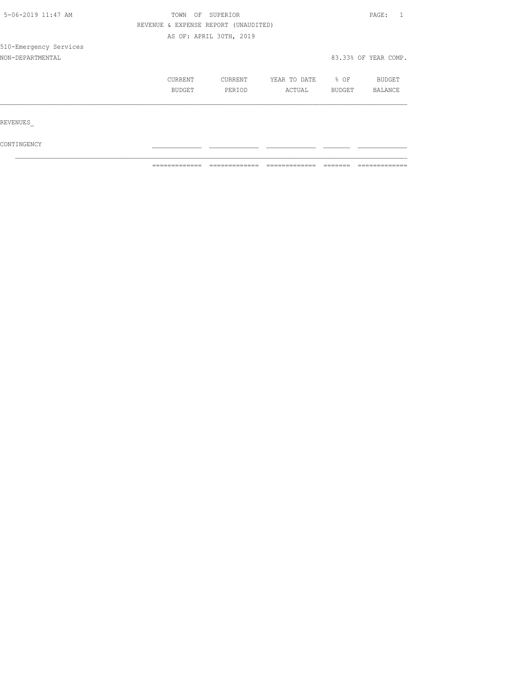| 5-06-2019 11:47 AM     | OF<br>TOWN                           | SUPERIOR                |              |        | PAGE:                |  |
|------------------------|--------------------------------------|-------------------------|--------------|--------|----------------------|--|
|                        | REVENUE & EXPENSE REPORT (UNAUDITED) |                         |              |        |                      |  |
|                        |                                      | AS OF: APRIL 30TH, 2019 |              |        |                      |  |
| 510-Emergency Services |                                      |                         |              |        |                      |  |
| NON-DEPARTMENTAL       |                                      |                         |              |        | 83.33% OF YEAR COMP. |  |
|                        | CURRENT                              | CURRENT                 | YEAR TO DATE | % OF   | BUDGET               |  |
|                        | BUDGET                               | PERIOD                  | ACTUAL       | BUDGET | BALANCE              |  |
|                        |                                      |                         |              |        |                      |  |
| REVENUES               |                                      |                         |              |        |                      |  |
|                        |                                      |                         |              |        |                      |  |

 $\mathcal{L}_\text{max}$ 

 $\texttt{CONTINGENCY}$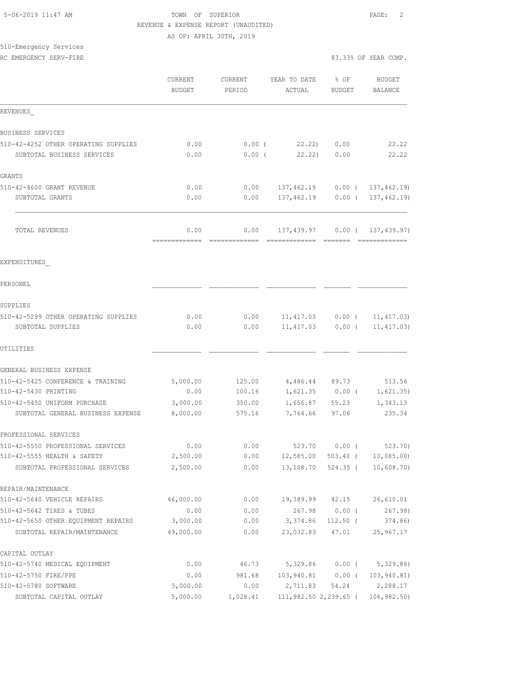### 5-06-2019 11:47 AM TOWN OF SUPERIOR PAGE: 2 REVENUE & EXPENSE REPORT (UNAUDITED) AS OF: APRIL 30TH, 2019

510-Emergency Services

|                                                                    | CURRENT<br><b>BUDGET</b> | CURRENT<br>PERIOD                                                                                                                                                                                                                                                                                                                                                                                                                                                                                    | YEAR TO DATE<br>ACTUAL         | $8$ OF<br><b>BUDGET</b> | <b>BUDGET</b><br>BALANCE         |
|--------------------------------------------------------------------|--------------------------|------------------------------------------------------------------------------------------------------------------------------------------------------------------------------------------------------------------------------------------------------------------------------------------------------------------------------------------------------------------------------------------------------------------------------------------------------------------------------------------------------|--------------------------------|-------------------------|----------------------------------|
| REVENUES                                                           |                          |                                                                                                                                                                                                                                                                                                                                                                                                                                                                                                      |                                |                         |                                  |
| BUSINESS SERVICES                                                  |                          |                                                                                                                                                                                                                                                                                                                                                                                                                                                                                                      |                                |                         |                                  |
| 510-42-4252 OTHER OPERATING SUPPLIES                               | 0.00                     | $0.00$ (                                                                                                                                                                                                                                                                                                                                                                                                                                                                                             | 22.22)                         | 0.00                    | 22.22                            |
| SUBTOTAL BUSINESS SERVICES                                         | 0.00                     | $0.00$ (                                                                                                                                                                                                                                                                                                                                                                                                                                                                                             |                                | 22.22) 0.00             | 22.22                            |
| GRANTS                                                             |                          |                                                                                                                                                                                                                                                                                                                                                                                                                                                                                                      |                                |                         |                                  |
| 510-42-4600 GRANT REVENUE                                          | 0.00                     | 0.00                                                                                                                                                                                                                                                                                                                                                                                                                                                                                                 |                                |                         | 137,462.19   0.00 $(137,462.19)$ |
| SUBTOTAL GRANTS                                                    | 0.00                     | 0.00                                                                                                                                                                                                                                                                                                                                                                                                                                                                                                 |                                |                         | 137,462.19 0.00 ( 137,462.19)    |
| TOTAL REVENUES                                                     | 0.00<br>-------------    | 0.00<br>$\begin{array}{c} \multicolumn{2}{c} {\textbf{1}} & \multicolumn{2}{c} {\textbf{2}} & \multicolumn{2}{c} {\textbf{3}} & \multicolumn{2}{c} {\textbf{4}} \\ \multicolumn{2}{c} {\textbf{5}} & \multicolumn{2}{c} {\textbf{6}} & \multicolumn{2}{c} {\textbf{7}} & \multicolumn{2}{c} {\textbf{8}} & \multicolumn{2}{c} {\textbf{9}} \\ \multicolumn{2}{c} {\textbf{1}} & \multicolumn{2}{c} {\textbf{1}} & \multicolumn{2}{c} {\textbf{1}} & \multicolumn{2}{c} {\textbf{1}} & \multicolumn{$ | 137,439.97 0.00 ( 137,439.97)  |                         | <b>ERRESTERED</b>                |
| EXPENDITURES                                                       |                          |                                                                                                                                                                                                                                                                                                                                                                                                                                                                                                      |                                |                         |                                  |
| PERSONEL                                                           |                          |                                                                                                                                                                                                                                                                                                                                                                                                                                                                                                      |                                |                         |                                  |
| SUPPLIES                                                           |                          |                                                                                                                                                                                                                                                                                                                                                                                                                                                                                                      |                                |                         |                                  |
| 510-42-5299 OTHER OPERATING SUPPLIES                               | 0.00                     | 0.00                                                                                                                                                                                                                                                                                                                                                                                                                                                                                                 |                                |                         | $11,417.03$ 0.00 ( 11,417.03)    |
| SUBTOTAL SUPPLIES                                                  | 0.00                     | 0.00                                                                                                                                                                                                                                                                                                                                                                                                                                                                                                 | $11,417.03$ 0.00 (             |                         | 11, 417.03)                      |
| UTILITIES                                                          |                          |                                                                                                                                                                                                                                                                                                                                                                                                                                                                                                      |                                |                         |                                  |
| GENERAL BUSINESS EXPENSE                                           |                          |                                                                                                                                                                                                                                                                                                                                                                                                                                                                                                      |                                |                         |                                  |
| 510-42-5425 CONFERENCE & TRAINING                                  | 5,000.00                 | 125.00                                                                                                                                                                                                                                                                                                                                                                                                                                                                                               |                                | 4,486.44 89.73          | 513.56                           |
| 510-42-5430 PRINTING                                               | 0.00                     | 100.16                                                                                                                                                                                                                                                                                                                                                                                                                                                                                               |                                | $1,621.35$ 0.00 (       | 1,621.35)                        |
| 510-42-5450 UNIFORM PURCHASE                                       | 3,000.00                 | 350.00                                                                                                                                                                                                                                                                                                                                                                                                                                                                                               | 1,656.87                       | 55.23                   | 1,343.13                         |
| SUBTOTAL GENERAL BUSINESS EXPENSE                                  | 8,000.00                 | 575.16                                                                                                                                                                                                                                                                                                                                                                                                                                                                                               | 7,764.66                       | 97.06                   | 235.34                           |
| PROFESSIONAL SERVICES                                              |                          |                                                                                                                                                                                                                                                                                                                                                                                                                                                                                                      |                                |                         |                                  |
| 510-42-5550 PROFESSIONAL SERVICES                                  | 0.00                     | 0.00                                                                                                                                                                                                                                                                                                                                                                                                                                                                                                 |                                |                         | 523.70 0.00 (523.70)             |
| 510-42-5555 HEALTH & SAFETY                                        | 2,500.00                 | 0.00                                                                                                                                                                                                                                                                                                                                                                                                                                                                                                 |                                |                         | 12,585.00 503.40 ( 10,085.00)    |
| SUBTOTAL PROFESSIONAL SERVICES                                     | 2,500.00                 | 0.00                                                                                                                                                                                                                                                                                                                                                                                                                                                                                                 | 13,108.70                      | 524.35 (                | 10,608.70                        |
| REPAIR/MAINTENANCE                                                 |                          |                                                                                                                                                                                                                                                                                                                                                                                                                                                                                                      |                                |                         |                                  |
| 510-42-5640 VEHICLE REPAIRS                                        | 46,000.00                | 0.00                                                                                                                                                                                                                                                                                                                                                                                                                                                                                                 | 19,389.99 42.15                |                         | 26,610.01                        |
| 510-42-5642 TIRES & TUBES                                          | 0.00                     | 0.00                                                                                                                                                                                                                                                                                                                                                                                                                                                                                                 |                                | 267.98 0.00 (           | 267.98)                          |
| 510-42-5650 OTHER EQUIPMENT REPAIRS<br>SUBTOTAL REPAIR/MAINTENANCE | 3,000.00<br>49,000.00    | 0.00                                                                                                                                                                                                                                                                                                                                                                                                                                                                                                 | $0.00$ $3,374.86$<br>23,032.83 | $112.50$ (<br>47.01     | 374.86)<br>25,967.17             |
|                                                                    |                          |                                                                                                                                                                                                                                                                                                                                                                                                                                                                                                      |                                |                         |                                  |
| CAPITAL OUTLAY<br>510-42-5740 MEDICAL EQUIPMENT                    | 0.00                     | 46.73                                                                                                                                                                                                                                                                                                                                                                                                                                                                                                | 5,329.86                       | $0.00$ (                | 5,329.86)                        |
| 510-42-5750 FIRE/PPE                                               | 0.00                     | 981.68                                                                                                                                                                                                                                                                                                                                                                                                                                                                                               | 103,940.81 0.00 (              |                         | 103, 940.81)                     |
| 510-42-5780 SOFTWARE                                               | 5,000.00                 | 0.00                                                                                                                                                                                                                                                                                                                                                                                                                                                                                                 | 2,711.83                       | 54.24                   | 2,288.17                         |
| SUBTOTAL CAPITAL OUTLAY                                            | 5,000.00                 | 1,028.41                                                                                                                                                                                                                                                                                                                                                                                                                                                                                             | 111,982.50 2,239.65 (          |                         | 106, 982.50                      |
|                                                                    |                          |                                                                                                                                                                                                                                                                                                                                                                                                                                                                                                      |                                |                         |                                  |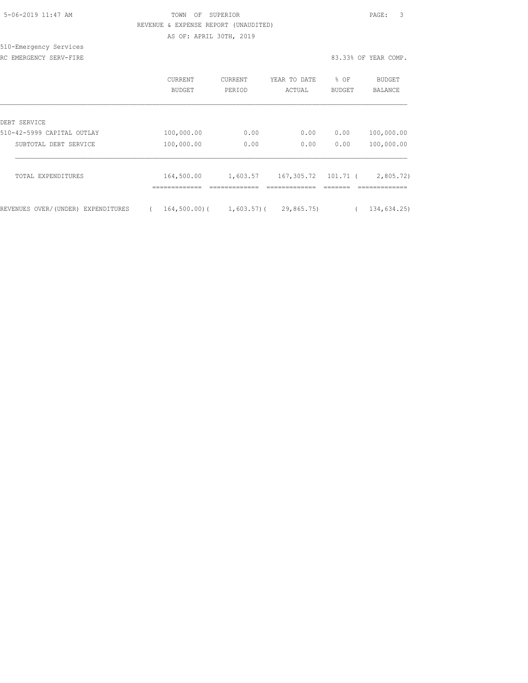| 5-06-2019 11:47 AM |  |
|--------------------|--|

## TOWN OF SUPERIOR **Example 2019** 2019 11:47 PAGE: 3 REVENUE & EXPENSE REPORT (UNAUDITED) AS OF: APRIL 30TH, 2019

510-Emergency Services RC EMERGENCY SERV-FIRE **83.33%** OF YEAR COMP.

|  | 83.33% OF YEAR COMP. |  |
|--|----------------------|--|
|  |                      |  |

|                                    | <b>CURRENT</b><br>BUDGET           | CURRENT<br>PERIOD               | YEAR TO DATE<br>ACTUAL | % OF<br><b>BUDGET</b> | <b>BUDGET</b><br><b>BALANCE</b> |
|------------------------------------|------------------------------------|---------------------------------|------------------------|-----------------------|---------------------------------|
| DEBT SERVICE                       |                                    |                                 |                        |                       |                                 |
| 510-42-5999 CAPITAL OUTLAY         | 100,000.00                         | 0.00                            | 0.00                   | 0.00                  | 100,000.00                      |
| SUBTOTAL DEBT SERVICE              | 100,000.00                         | 0.00                            | 0.00                   | 0.00                  | 100,000.00                      |
| TOTAL EXPENDITURES                 | 164,500.00                         | 1,603.57                        | 167,305.72             | $101.71$ (            | 2,805.72)                       |
| REVENUES OVER/(UNDER) EXPENDITURES | -------------<br>$164, 500, 00)$ ( | _____________<br>$1,603.57$ ) ( | 29,865.75)             |                       | --------------<br>134,634.25)   |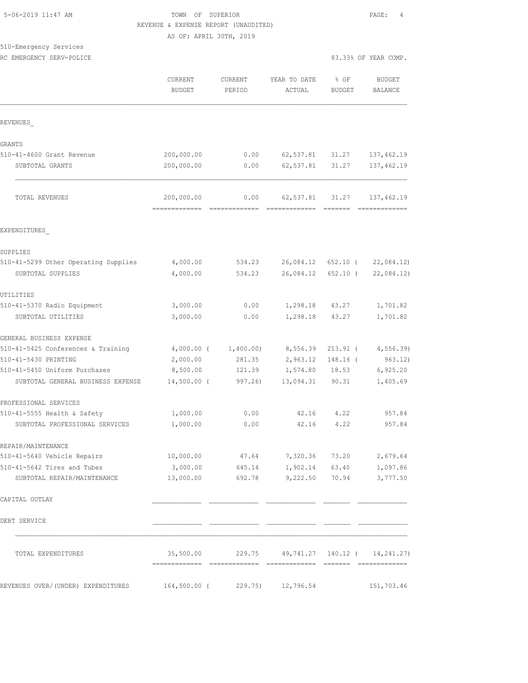# TOWN OF SUPERIOR **11:47 AM TOWN OF SUPERIOR** REVENUE & EXPENSE REPORT (UNAUDITED)

AS OF: APRIL 30TH, 2019

| 510-Emergency Services       |  |  |
|------------------------------|--|--|
| 50 51550511011 05511 501 705 |  |  |

| RC EMERGENCY SERV-POLICE | 83.33% OF YEAR COMP. |  |  |
|--------------------------|----------------------|--|--|

|                                                            | <b>CURRENT</b><br><b>BUDGET</b> | CURRENT<br>PERIOD    | YEAR TO DATE<br>ACTUAL    | % OF<br><b>BUDGET</b> | <b>BUDGET</b><br>BALANCE        |
|------------------------------------------------------------|---------------------------------|----------------------|---------------------------|-----------------------|---------------------------------|
| REVENUES                                                   |                                 |                      |                           |                       |                                 |
| <b>GRANTS</b>                                              |                                 |                      |                           |                       |                                 |
| 510-41-4600 Grant Revenue                                  | 200,000.00                      | 0.00                 | 62,537.81 31.27           |                       | 137,462.19                      |
| SUBTOTAL GRANTS                                            | 200,000.00                      | 0.00                 | 62,537.81                 | 31.27                 | 137, 462.19                     |
| TOTAL REVENUES                                             | 200,000.00                      | 0.00                 | 62,537.81                 | 31.27                 | 137,462.19                      |
| EXPENDITURES                                               |                                 |                      |                           |                       |                                 |
| SUPPLIES                                                   |                                 |                      |                           |                       |                                 |
| 510-41-5299 Other Operating Supplies                       | 4,000.00                        | 534.23               |                           | 26,084.12 652.10 (    | 22,084.12                       |
| SUBTOTAL SUPPLIES                                          | 4,000.00                        | 534.23               | 26,084.12                 | 652.10 (              | 22,084.12)                      |
| UTILITIES                                                  |                                 |                      |                           |                       |                                 |
| 510-41-5370 Radio Equipment                                | 3,000.00                        | 0.00                 |                           | 1,298.18 43.27        | 1,701.82                        |
| SUBTOTAL UTILITIES                                         | 3,000.00                        | 0.00                 | 1,298.18                  | 43.27                 | 1,701.82                        |
| GENERAL BUSINESS EXPENSE                                   |                                 |                      |                           |                       |                                 |
| 510-41-5425 Conferences & Training                         |                                 | 4,000.00 ( 1,400.00) | 8,556.39                  |                       | 213.91 ( 4,556.39)              |
| 510-41-5430 PRINTING                                       | 2,000.00                        | 281.35               | 2,963.12                  | $148.16$ (            | 963.12)                         |
| 510-41-5450 Uniform Purchases                              | 8,500.00                        | 121.39               | 1,574.80                  | 18.53                 | 6,925.20                        |
| SUBTOTAL GENERAL BUSINESS EXPENSE                          | $14,500.00$ (                   | 997.26)              | 13,094.31                 | 90.31                 | 1,405.69                        |
| PROFESSIONAL SERVICES                                      |                                 |                      |                           |                       |                                 |
| 510-41-5555 Health & Safety                                | 1,000.00                        | 0.00                 |                           | 42.16 4.22            | 957.84                          |
| SUBTOTAL PROFESSIONAL SERVICES                             | 1,000.00                        | 0.00                 | 42.16                     | 4.22                  | 957.84                          |
| REPAIR/MAINTENANCE                                         |                                 |                      |                           |                       |                                 |
| 510-41-5640 Vehicle Repairs                                | 10,000.00                       | 47.64                | 7,320.36                  | 73.20                 | 2,679.64                        |
| 510-41-5642 Tires and Tubes<br>SUBTOTAL REPAIR/MAINTENANCE | 3,000.00<br>13,000.00           | 645.14<br>692.78     | 1,902.14<br>9,222.50      | 63.40<br>70.94        | 1,097.86<br>3,777.50            |
| CAPITAL OUTLAY                                             |                                 |                      |                           |                       |                                 |
| DEBT SERVICE                                               |                                 |                      |                           |                       |                                 |
| TOTAL EXPENDITURES                                         | 35,500.00                       |                      | 229.75 49,741.27 140.12 ( |                       | 14, 241, 27)<br>- ============= |
| REVENUES OVER/(UNDER) EXPENDITURES                         | $164,500.00$ (                  | 229.75)              | 12,796.54                 |                       | 151,703.46                      |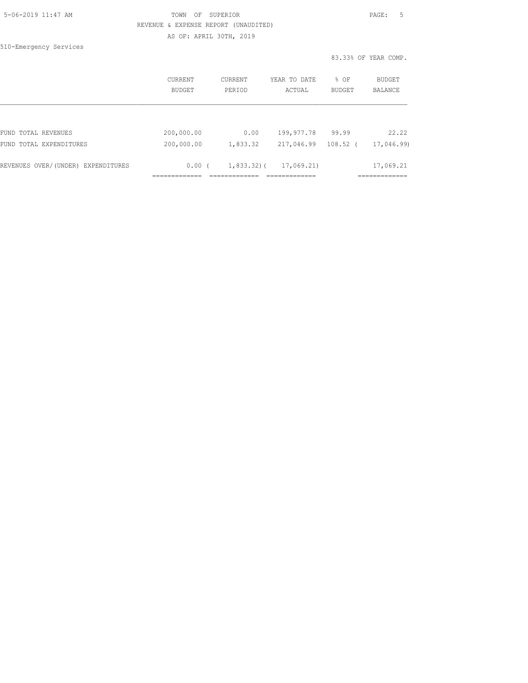| 5-06-2019 11:47 AM |  |
|--------------------|--|
|                    |  |

### TOWN OF SUPERIOR **11:47 AM TOWN OF SUPERIOR**  REVENUE & EXPENSE REPORT (UNAUDITED) AS OF: APRIL 30TH, 2019

510-Emergency Services

83.33% OF YEAR COMP.

|                                    | CURRENT<br>BUDGET | CURRENT<br>PERIOD | YEAR TO DATE<br>ACTUAL | % OF<br><b>BUDGET</b> | BUDGET<br>BALANCE |
|------------------------------------|-------------------|-------------------|------------------------|-----------------------|-------------------|
|                                    |                   |                   |                        |                       |                   |
| FUND TOTAL REVENUES                | 200,000.00        | 0.00              | 199,977.78             | 99.99                 | 22.22             |
| FUND TOTAL EXPENDITURES            | 200,000.00        | 1,833.32          | 217,046.99             | $108.52$ (            | 17,046.99)        |
| REVENUES OVER/(UNDER) EXPENDITURES | 0.00(             | $1,833.32$ ) (    | 17,069.21)             |                       | 17,069.21         |
|                                    |                   |                   |                        |                       |                   |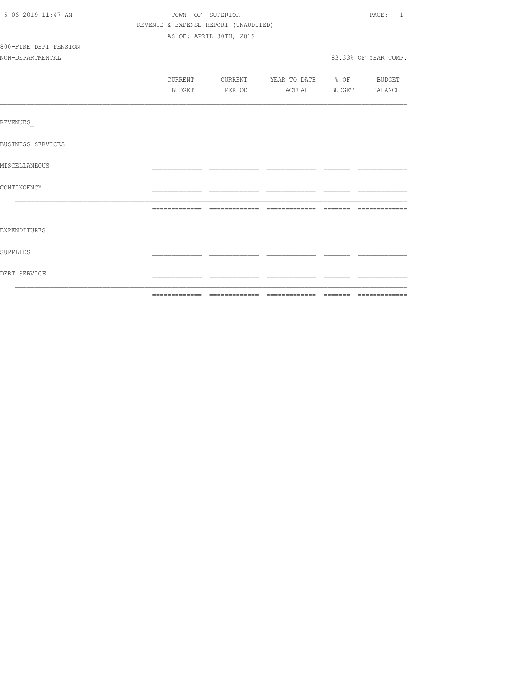| 5-06-2019 11:47 AM    | TOWN OF SUPERIOR |                                      |                                  |  |                      |
|-----------------------|------------------|--------------------------------------|----------------------------------|--|----------------------|
|                       |                  | REVENUE & EXPENSE REPORT (UNAUDITED) |                                  |  |                      |
|                       |                  | AS OF: APRIL 30TH, 2019              |                                  |  |                      |
| 800-FIRE DEPT PENSION |                  |                                      |                                  |  |                      |
| NON-DEPARTMENTAL      |                  |                                      |                                  |  | 83.33% OF YEAR COMP. |
|                       |                  |                                      |                                  |  |                      |
|                       | CURRENT          |                                      | CURRENT YEAR TO DATE % OF BUDGET |  |                      |
|                       | BUDGET           |                                      | PERIOD ACTUAL BUDGET BALANCE     |  |                      |
|                       |                  |                                      |                                  |  |                      |
| REVENUES              |                  |                                      |                                  |  |                      |
| BUSINESS SERVICES     |                  |                                      |                                  |  |                      |
| MISCELLANEOUS         |                  |                                      |                                  |  |                      |
| CONTINGENCY           |                  |                                      |                                  |  |                      |
|                       |                  |                                      |                                  |  |                      |
| EXPENDITURES          |                  |                                      |                                  |  |                      |
| SUPPLIES              |                  |                                      |                                  |  |                      |
| DEBT SERVICE          |                  |                                      |                                  |  |                      |
|                       |                  |                                      |                                  |  |                      |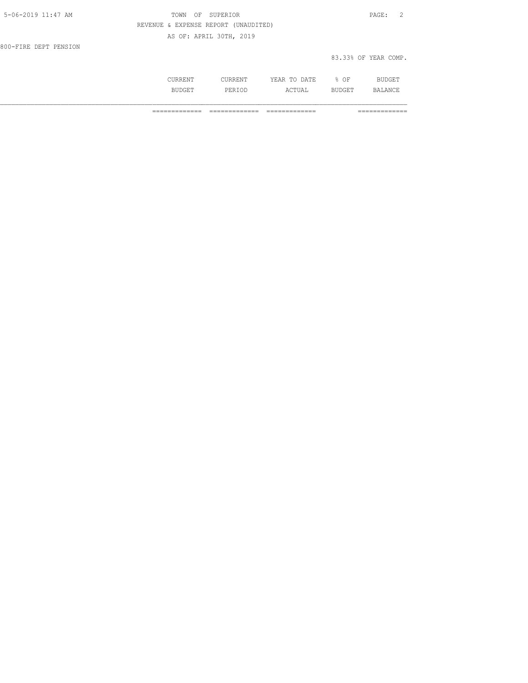| 5-06-2019 11:47 AM    | TOWN OF SUPERIOR                     | PAGE: 2              |
|-----------------------|--------------------------------------|----------------------|
|                       | REVENUE & EXPENSE REPORT (UNAUDITED) |                      |
|                       | AS OF: APRIL 30TH, 2019              |                      |
| 800-FIRE DEPT PENSION |                                      |                      |
|                       |                                      | 83.33% OF YEAR COMP. |

| .NT<br>ىر | 1 D D H        | DATE<br>. A $\vdash$<br>------<br>----- | ΟF<br>u.           | $\lambda$<br>---      |
|-----------|----------------|-----------------------------------------|--------------------|-----------------------|
| .3TT      | ם חם<br>PERIOD | 110110111                               | .<br>. H<br>ചഗ്വാപ | ΔNΙ<br>$\mathbb{R}^N$ |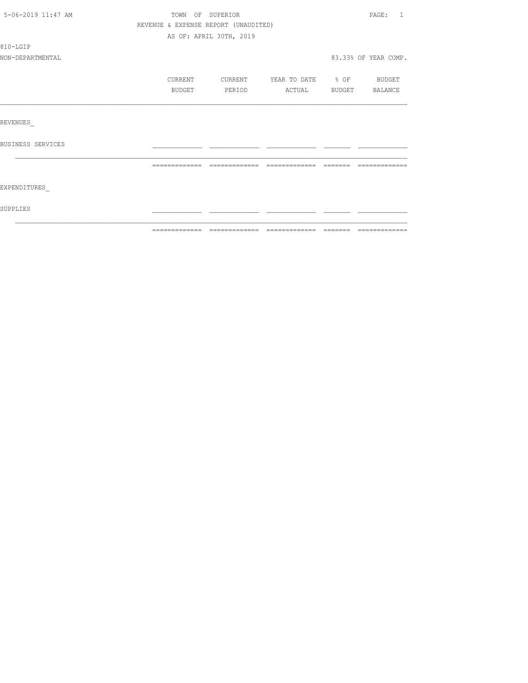| 5-06-2019 11:47 AM |                                      | TOWN OF SUPERIOR        |                          |        | PAGE: 1              |
|--------------------|--------------------------------------|-------------------------|--------------------------|--------|----------------------|
|                    | REVENUE & EXPENSE REPORT (UNAUDITED) |                         |                          |        |                      |
|                    |                                      | AS OF: APRIL 30TH, 2019 |                          |        |                      |
| 810-LGIP           |                                      |                         |                          |        |                      |
| NON-DEPARTMENTAL   |                                      |                         |                          |        | 83.33% OF YEAR COMP. |
|                    | CURRENT                              | CURRENT                 | YEAR TO DATE % OF BUDGET |        |                      |
|                    | BUDGET                               | PERIOD                  | ACTUAL BUDGET BALANCE    |        |                      |
|                    |                                      |                         |                          |        |                      |
| REVENUES           |                                      |                         |                          |        |                      |
| BUSINESS SERVICES  |                                      |                         |                          |        |                      |
|                    | =============                        | =============           |                          | ------ |                      |
| EXPENDITURES       |                                      |                         |                          |        |                      |
| SUPPLIES           |                                      |                         |                          |        |                      |
|                    |                                      |                         |                          |        |                      |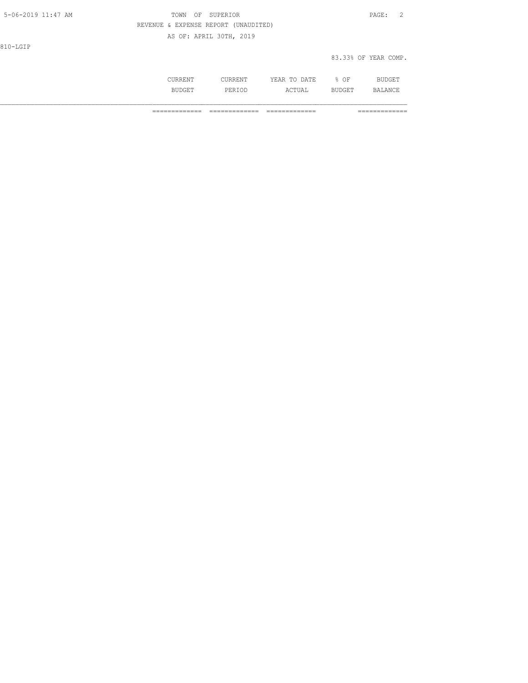| 5-06-2019 11:47 AM | TOWN<br>OF SUPERIOR                  | PAGE:<br>2           |
|--------------------|--------------------------------------|----------------------|
|                    | REVENUE & EXPENSE REPORT (UNAUDITED) |                      |
|                    | AS OF: APRIL 30TH, 2019              |                      |
| 810-LGIP           |                                      |                      |
|                    |                                      | 83.33% OF YEAR COMP. |
|                    |                                      |                      |

 CURRENT CURRENT YEAR TO DATE % OF BUDGET BUDGET PERIOD ACTUAL BUDGET BALANCE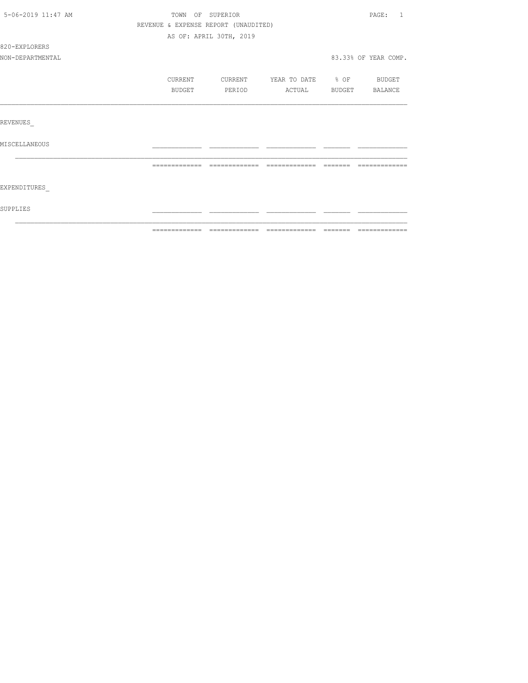| 5-06-2019 11:47 AM | TOWN OF SUPERIOR                     |                         |                          |                 | PAGE: 1              |
|--------------------|--------------------------------------|-------------------------|--------------------------|-----------------|----------------------|
|                    | REVENUE & EXPENSE REPORT (UNAUDITED) |                         |                          |                 |                      |
|                    |                                      | AS OF: APRIL 30TH, 2019 |                          |                 |                      |
| 820-EXPLORERS      |                                      |                         |                          |                 |                      |
| NON-DEPARTMENTAL   |                                      |                         |                          |                 | 83.33% OF YEAR COMP. |
|                    | CURRENT                              | CURRENT                 | YEAR TO DATE % OF BUDGET |                 |                      |
|                    | BUDGET                               | PERIOD                  | ACTUAL BUDGET BALANCE    |                 |                      |
|                    |                                      |                         |                          |                 |                      |
| REVENUES           |                                      |                         |                          |                 |                      |
| MISCELLANEOUS      |                                      |                         |                          |                 |                      |
|                    | =============                        | -------------           | =============            | $=$ $=$ $=$ $=$ |                      |
| EXPENDITURES       |                                      |                         |                          |                 |                      |
| SUPPLIES           |                                      |                         |                          |                 |                      |
|                    |                                      |                         |                          |                 |                      |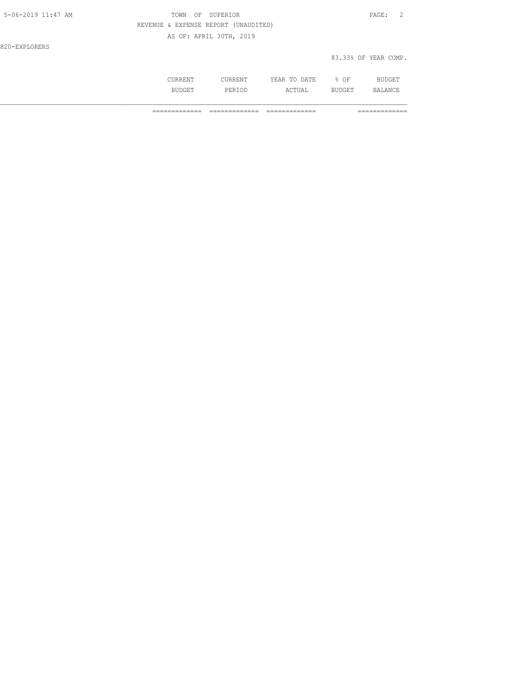| 5-06-2019 11:47 AM | TOWN OF SUPERIOR                     | PAGE:                |
|--------------------|--------------------------------------|----------------------|
|                    | REVENUE & EXPENSE REPORT (UNAUDITED) |                      |
|                    | AS OF: APRIL 30TH, 2019              |                      |
| 820-EXPLORERS      |                                      |                      |
|                    |                                      | 83.33% OF YEAR COMP. |

| . | . | <b>A FTIT</b><br>$\cdots$<br>----<br>.<br>-- | OF<br>◡ |                |
|---|---|----------------------------------------------|---------|----------------|
|   |   | ¬ ⊓ ∟<br><u>.</u>                            |         | $\mathbb{R}^n$ |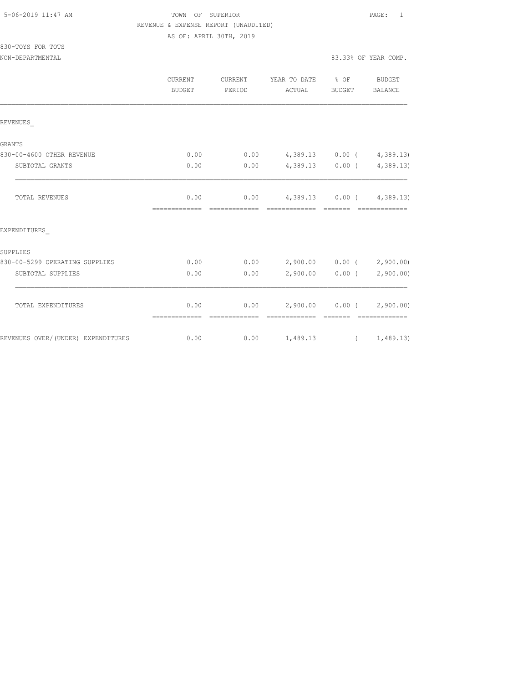### TOWN OF SUPERIOR **11:47 AM TOWN OF SUPERIOR**  REVENUE & EXPENSE REPORT (UNAUDITED) AS OF: APRIL 30TH, 2019

| 830-TOYS FOR TOTS |                      |
|-------------------|----------------------|
| NON-DEPARTMENTAL  | 83.33% OF YEAR COMP. |

|                                    | CURRENT<br>BUDGET     | CURRENT<br>PERIOD | YEAR TO DATE % OF<br>ACTUAL      | BUDGET          | BUDGET<br>BALANCE           |
|------------------------------------|-----------------------|-------------------|----------------------------------|-----------------|-----------------------------|
| REVENUES                           |                       |                   |                                  |                 |                             |
| GRANTS                             |                       |                   |                                  |                 |                             |
| 830-00-4600 OTHER REVENUE          | 0.00                  | 0.00              | $4,389.13$ 0.00 ( $4,389.13$ )   |                 |                             |
| SUBTOTAL GRANTS                    | 0.00                  | 0.00              |                                  | 4,389.13 0.00 ( | 4,389.13                    |
| <b>TOTAL REVENUES</b>              | 0.00<br>============= |                   | $0.00$ 4,389.13 0.00 ( 4,389.13) | <b>BEECEE</b>   |                             |
| EXPENDITURES                       |                       |                   |                                  |                 |                             |
| SUPPLIES                           |                       |                   |                                  |                 |                             |
| 830-00-5299 OPERATING SUPPLIES     | 0.00                  | 0.00              | 2,900.00 0.00 (2,900.00)         |                 |                             |
| SUBTOTAL SUPPLIES                  | 0.00                  | 0.00              |                                  |                 | 2,900.00 0.00 (2,900.00)    |
| TOTAL EXPENDITURES                 | 0.00                  | 0.00              |                                  |                 | $2,900.00$ 0.00 ( 2,900.00) |
|                                    | =============         | =============     | -------------                    | --------        | --------------              |
| REVENUES OVER/(UNDER) EXPENDITURES | 0.00                  |                   | $0.00$ 1,489.13 ( 1,489.13)      |                 |                             |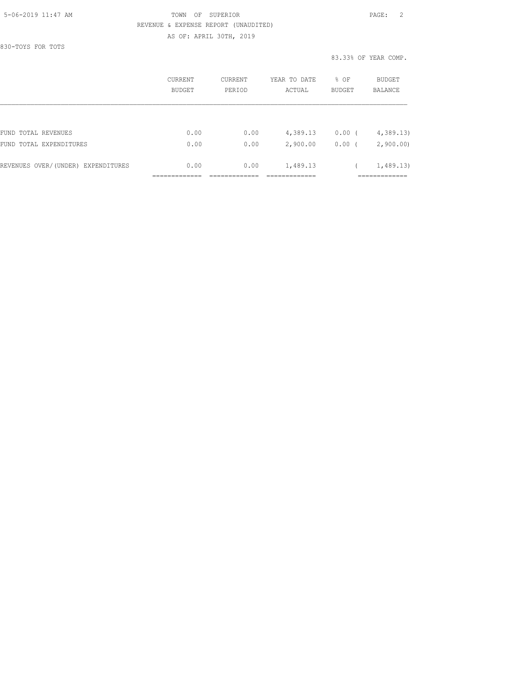#### 5-06-2019 11:47 AM TOWN OF SUPERIOR PAGE: 2 REVENUE & EXPENSE REPORT (UNAUDITED) AS OF: APRIL 30TH, 2019

830-TOYS FOR TOTS

83.33% OF YEAR COMP.

|                                    | CURRENT<br>BUDGET | CURRENT<br>PERIOD | YEAR TO DATE<br>ACTUAL | % OF<br><b>BUDGET</b> | <b>BUDGET</b><br>BALANCE |
|------------------------------------|-------------------|-------------------|------------------------|-----------------------|--------------------------|
|                                    |                   |                   |                        |                       |                          |
| FUND TOTAL REVENUES                | 0.00              | 0.00              | 4,389.13               | $0.00$ (              | 4,389.13                 |
| FUND TOTAL EXPENDITURES            | 0.00              | 0.00              | 2,900.00               | $0.00$ (              | 2,900.00                 |
| REVENUES OVER/(UNDER) EXPENDITURES | 0.00              | 0.00              | 1,489.13               |                       | 1,489.13)                |
|                                    |                   |                   |                        |                       |                          |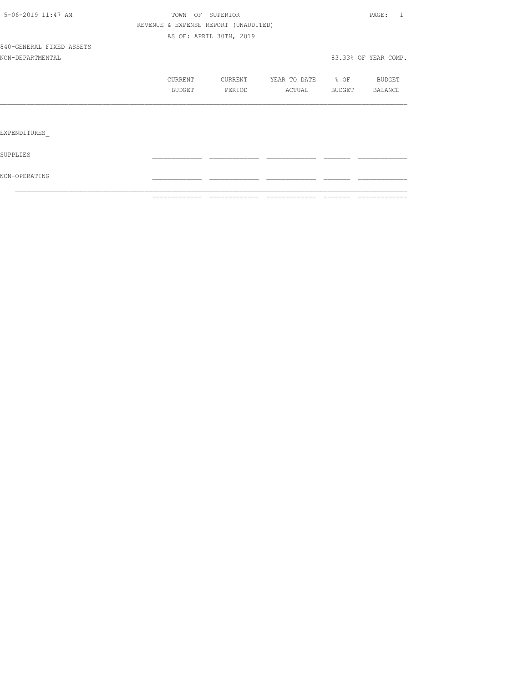|                          | =============                        |                         | ============================== | -------- | =============        |
|--------------------------|--------------------------------------|-------------------------|--------------------------------|----------|----------------------|
| NON-OPERATING            |                                      |                         |                                |          |                      |
| SUPPLIES                 |                                      |                         |                                |          |                      |
| EXPENDITURES             |                                      |                         |                                |          |                      |
|                          |                                      |                         |                                |          |                      |
|                          | BUDGET                               | PERIOD                  | ACTUAL                         |          | BUDGET BALANCE       |
|                          | <b>CURRENT</b>                       | CURRENT                 | YEAR TO DATE % OF              |          | BUDGET               |
| NON-DEPARTMENTAL         |                                      |                         |                                |          | 83.33% OF YEAR COMP. |
| 840-GENERAL FIXED ASSETS |                                      |                         |                                |          |                      |
|                          |                                      | AS OF: APRIL 30TH, 2019 |                                |          |                      |
|                          | REVENUE & EXPENSE REPORT (UNAUDITED) |                         |                                |          |                      |
| 5-06-2019 11:47 AM       |                                      | TOWN OF SUPERIOR        |                                |          | PAGE: 1              |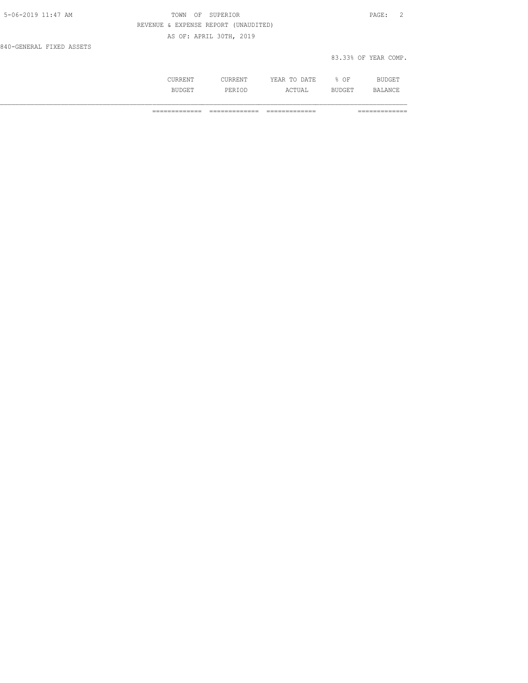| 5-06-2019 11:47 AM       | TOWN OF SUPERIOR                     | PAGE: 2              |
|--------------------------|--------------------------------------|----------------------|
|                          | REVENUE & EXPENSE REPORT (UNAUDITED) |                      |
|                          | AS OF: APRIL 30TH, 2019              |                      |
| 840-GENERAL FIXED ASSETS |                                      |                      |
|                          |                                      | 83.33% OF YEAR COMP. |

| .              | 71. m. T.<br>----<br>----- | ΟF<br>∽.<br>- | -- |
|----------------|----------------------------|---------------|----|
| اما د .<br>◡∸◡ | ---                        | --            |    |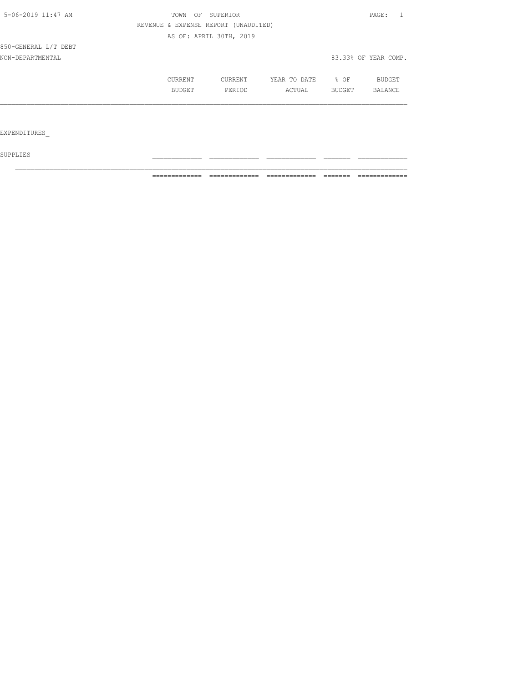| 5-06-2019 11:47 AM   | OF<br>TOWN    | SUPERIOR                             |              |        | PAGE:                |
|----------------------|---------------|--------------------------------------|--------------|--------|----------------------|
|                      |               | REVENUE & EXPENSE REPORT (UNAUDITED) |              |        |                      |
|                      |               | AS OF: APRIL 30TH, 2019              |              |        |                      |
| 850-GENERAL L/T DEBT |               |                                      |              |        |                      |
| NON-DEPARTMENTAL     |               |                                      |              |        | 83.33% OF YEAR COMP. |
|                      | CURRENT       | CURRENT                              | YEAR TO DATE | $8$ OF | BUDGET               |
|                      | <b>BUDGET</b> | PERIOD                               | ACTUAL       | BUDGET | BALANCE              |
|                      |               |                                      |              |        |                      |
| EXPENDITURES         |               |                                      |              |        |                      |
|                      |               |                                      |              |        |                      |

 ${\tt SUPPLIES}$